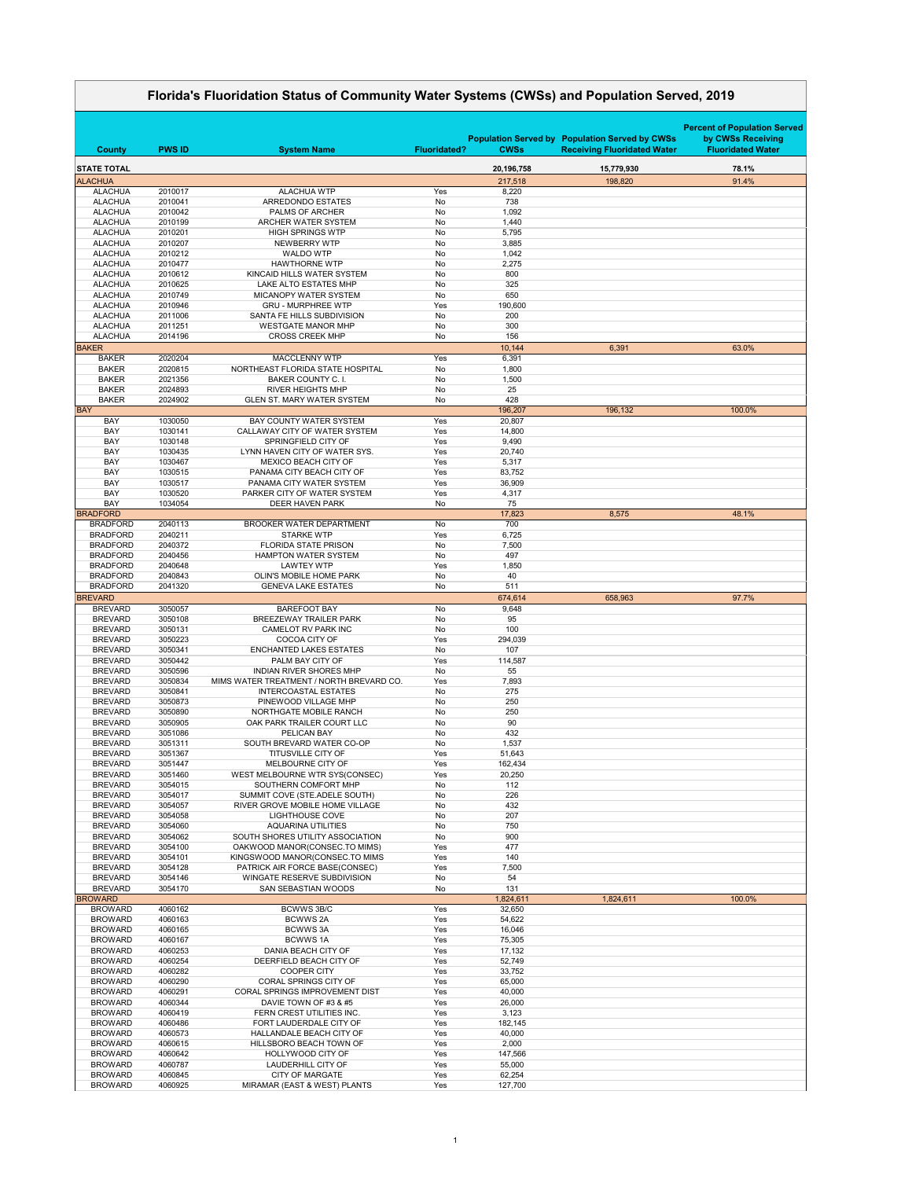|                                    | Florida's Fluoridation Status of Community Water Systems (CWSs) and Population Served, 2019 |                                                                         |                     |                   |                                                                                             |                                                                                      |  |
|------------------------------------|---------------------------------------------------------------------------------------------|-------------------------------------------------------------------------|---------------------|-------------------|---------------------------------------------------------------------------------------------|--------------------------------------------------------------------------------------|--|
| <b>County</b>                      | <b>PWS ID</b>                                                                               | <b>System Name</b>                                                      | <b>Fluoridated?</b> | <b>CWSs</b>       | <b>Population Served by Population Served by CWSs</b><br><b>Receiving Fluoridated Water</b> | <b>Percent of Population Served</b><br>by CWSs Receiving<br><b>Fluoridated Water</b> |  |
| <b>STATE TOTAL</b>                 |                                                                                             |                                                                         |                     | 20,196,758        | 15,779,930                                                                                  | 78.1%                                                                                |  |
| <b>ALACHUA</b>                     |                                                                                             |                                                                         |                     | 217,518           | 198,820                                                                                     | 91.4%                                                                                |  |
| <b>ALACHUA</b>                     | 2010017                                                                                     | <b>ALACHUA WTP</b>                                                      | Yes                 | 8,220             |                                                                                             |                                                                                      |  |
| <b>ALACHUA</b><br><b>ALACHUA</b>   | 2010041<br>2010042                                                                          | ARREDONDO ESTATES<br><b>PALMS OF ARCHER</b>                             | No<br>No            | 738<br>1,092      |                                                                                             |                                                                                      |  |
| <b>ALACHUA</b>                     | 2010199                                                                                     | ARCHER WATER SYSTEM                                                     | No                  | 1,440             |                                                                                             |                                                                                      |  |
| <b>ALACHUA</b>                     | 2010201                                                                                     | <b>HIGH SPRINGS WTP</b>                                                 | No                  | 5,795             |                                                                                             |                                                                                      |  |
| <b>ALACHUA</b><br><b>ALACHUA</b>   | 2010207                                                                                     | NEWBERRY WTP<br><b>WALDO WTP</b>                                        | No<br>No            | 3,885             |                                                                                             |                                                                                      |  |
| <b>ALACHUA</b>                     | 2010212<br>2010477                                                                          | <b>HAWTHORNE WTP</b>                                                    | No                  | 1,042<br>2,275    |                                                                                             |                                                                                      |  |
| <b>ALACHUA</b>                     | 2010612                                                                                     | KINCAID HILLS WATER SYSTEM                                              | No                  | 800               |                                                                                             |                                                                                      |  |
| <b>ALACHUA</b>                     | 2010625                                                                                     | <b>LAKE ALTO ESTATES MHP</b>                                            | No                  | 325               |                                                                                             |                                                                                      |  |
| <b>ALACHUA</b><br><b>ALACHUA</b>   | 2010749<br>2010946                                                                          | <b>MICANOPY WATER SYSTEM</b><br><b>GRU - MURPHREE WTP</b>               | No<br>Yes           | 650<br>190,600    |                                                                                             |                                                                                      |  |
| <b>ALACHUA</b>                     | 2011006                                                                                     | SANTA FE HILLS SUBDIVISION                                              | No                  | 200               |                                                                                             |                                                                                      |  |
| <b>ALACHUA</b>                     | 2011251                                                                                     | <b>WESTGATE MANOR MHP</b>                                               | No                  | 300               |                                                                                             |                                                                                      |  |
| <b>ALACHUA</b>                     | 2014196                                                                                     | <b>CROSS CREEK MHP</b>                                                  | No                  | 156               |                                                                                             |                                                                                      |  |
| <b>BAKER</b><br><b>BAKER</b>       | 2020204                                                                                     | <b>MACCLENNY WTP</b>                                                    | Yes                 | 10,144<br>6,391   | 6,391                                                                                       | 63.0%                                                                                |  |
| <b>BAKER</b>                       | 2020815                                                                                     | NORTHEAST FLORIDA STATE HOSPITAL                                        | No                  | 1,800             |                                                                                             |                                                                                      |  |
| <b>BAKER</b>                       | 2021356                                                                                     | <b>BAKER COUNTY C. I.</b>                                               | No                  | 1,500             |                                                                                             |                                                                                      |  |
| <b>BAKER</b>                       | 2024893                                                                                     | <b>RIVER HEIGHTS MHP</b>                                                | No                  | 25                |                                                                                             |                                                                                      |  |
| <b>BAKER</b><br><b>BAY</b>         | 2024902                                                                                     | <b>GLEN ST. MARY WATER SYSTEM</b>                                       | No                  | 428<br>196,207    | 196,132                                                                                     | 100.0%                                                                               |  |
| <b>BAY</b>                         | 1030050                                                                                     | <b>BAY COUNTY WATER SYSTEM</b>                                          | Yes                 | 20,807            |                                                                                             |                                                                                      |  |
| <b>BAY</b>                         | 1030141                                                                                     | CALLAWAY CITY OF WATER SYSTEM                                           | Yes                 | 14,800            |                                                                                             |                                                                                      |  |
| <b>BAY</b><br><b>BAY</b>           | 1030148<br>1030435                                                                          | SPRINGFIELD CITY OF<br>LYNN HAVEN CITY OF WATER SYS.                    | Yes<br>Yes          | 9,490<br>20,740   |                                                                                             |                                                                                      |  |
| <b>BAY</b>                         | 1030467                                                                                     | <b>MEXICO BEACH CITY OF</b>                                             | Yes                 | 5,317             |                                                                                             |                                                                                      |  |
| <b>BAY</b>                         | 1030515                                                                                     | PANAMA CITY BEACH CITY OF                                               | Yes                 | 83,752            |                                                                                             |                                                                                      |  |
| <b>BAY</b>                         | 1030517                                                                                     | PANAMA CITY WATER SYSTEM                                                | Yes                 | 36,909            |                                                                                             |                                                                                      |  |
| <b>BAY</b><br><b>BAY</b>           | 1030520<br>1034054                                                                          | PARKER CITY OF WATER SYSTEM<br><b>DEER HAVEN PARK</b>                   | Yes<br>No           | 4,317<br>75       |                                                                                             |                                                                                      |  |
| <b>BRADFORD</b>                    |                                                                                             |                                                                         |                     | 17,823            | 8,575                                                                                       | 48.1%                                                                                |  |
| <b>BRADFORD</b>                    | 2040113                                                                                     | <b>BROOKER WATER DEPARTMENT</b>                                         | No                  | 700               |                                                                                             |                                                                                      |  |
| <b>BRADFORD</b>                    | 2040211                                                                                     | <b>STARKE WTP</b>                                                       | Yes                 | 6,725             |                                                                                             |                                                                                      |  |
| <b>BRADFORD</b><br><b>BRADFORD</b> | 2040372<br>2040456                                                                          | <b>FLORIDA STATE PRISON</b><br><b>HAMPTON WATER SYSTEM</b>              | No<br>No            | 7,500<br>497      |                                                                                             |                                                                                      |  |
| <b>BRADFORD</b>                    | 2040648                                                                                     | <b>LAWTEY WTP</b>                                                       | Yes                 | 1,850             |                                                                                             |                                                                                      |  |
| <b>BRADFORD</b>                    | 2040843                                                                                     | <b>OLIN'S MOBILE HOME PARK</b>                                          | No                  | 40                |                                                                                             |                                                                                      |  |
| <b>BRADFORD</b><br><b>BREVARD</b>  | 2041320                                                                                     | <b>GENEVA LAKE ESTATES</b>                                              | No                  | 511<br>674,614    | 658,963                                                                                     | 97.7%                                                                                |  |
| <b>BREVARD</b>                     | 3050057                                                                                     | <b>BAREFOOT BAY</b>                                                     | No                  | 9,648             |                                                                                             |                                                                                      |  |
| <b>BREVARD</b>                     | 3050108                                                                                     | <b>BREEZEWAY TRAILER PARK</b>                                           | No                  | 95                |                                                                                             |                                                                                      |  |
| <b>BREVARD</b>                     | 3050131                                                                                     | <b>CAMELOT RV PARK INC</b>                                              | No                  | 100               |                                                                                             |                                                                                      |  |
| <b>BREVARD</b><br><b>BREVARD</b>   | 3050223<br>3050341                                                                          | <b>COCOA CITY OF</b><br><b>ENCHANTED LAKES ESTATES</b>                  | Yes<br>No           | 294,039<br>107    |                                                                                             |                                                                                      |  |
| <b>BREVARD</b>                     | 3050442                                                                                     | PALM BAY CITY OF                                                        | Yes                 | 114,587           |                                                                                             |                                                                                      |  |
| <b>BREVARD</b>                     | 3050596                                                                                     | <b>INDIAN RIVER SHORES MHP</b>                                          | No                  | 55                |                                                                                             |                                                                                      |  |
| <b>BREVARD</b><br><b>BREVARD</b>   | 3050834<br>3050841                                                                          | MIMS WATER TREATMENT / NORTH BREVARD CO.<br><b>INTERCOASTAL ESTATES</b> | Yes<br>No           | 7,893<br>275      |                                                                                             |                                                                                      |  |
| <b>BREVARD</b>                     | 3050873                                                                                     | PINEWOOD VILLAGE MHP                                                    | No                  | 250               |                                                                                             |                                                                                      |  |
| <b>BREVARD</b>                     | 3050890                                                                                     | NORTHGATE MOBILE RANCH                                                  | No                  | 250               |                                                                                             |                                                                                      |  |
| <b>BREVARD</b>                     | 3050905                                                                                     | OAK PARK TRAILER COURT LLC                                              | No                  | 90                |                                                                                             |                                                                                      |  |
| <b>BREVARD</b><br><b>BREVARD</b>   | 3051086<br>3051311                                                                          | PELICAN BAY<br>SOUTH BREVARD WATER CO-OP                                | No<br>No            | 432<br>1,537      |                                                                                             |                                                                                      |  |
| <b>BREVARD</b>                     | 3051367                                                                                     | <b>TITUSVILLE CITY OF</b>                                               | Yes                 | 51,643            |                                                                                             |                                                                                      |  |
| <b>BREVARD</b>                     | 3051447                                                                                     | MELBOURNE CITY OF                                                       | Yes                 | 162,434           |                                                                                             |                                                                                      |  |
| <b>BREVARD</b>                     | 3051460                                                                                     | WEST MELBOURNE WTR SYS(CONSEC)                                          | Yes<br>No           | 20,250<br>112     |                                                                                             |                                                                                      |  |
| <b>BREVARD</b><br><b>BREVARD</b>   | 3054015<br>3054017                                                                          | SOUTHERN COMFORT MHP<br>SUMMIT COVE (STE.ADELE SOUTH)                   | No                  | 226               |                                                                                             |                                                                                      |  |
| <b>BREVARD</b>                     | 3054057                                                                                     | RIVER GROVE MOBILE HOME VILLAGE                                         | No                  | 432               |                                                                                             |                                                                                      |  |
| <b>BREVARD</b>                     | 3054058                                                                                     | <b>LIGHTHOUSE COVE</b>                                                  | No                  | 207               |                                                                                             |                                                                                      |  |
| <b>BREVARD</b><br><b>BREVARD</b>   | 3054060<br>3054062                                                                          | <b>AQUARINA UTILITIES</b><br>SOUTH SHORES UTILITY ASSOCIATION           | No<br>No            | 750<br>900        |                                                                                             |                                                                                      |  |
| <b>BREVARD</b>                     | 3054100                                                                                     | OAKWOOD MANOR(CONSEC.TO MIMS)                                           | Yes                 | 477               |                                                                                             |                                                                                      |  |
| <b>BREVARD</b>                     | 3054101                                                                                     | KINGSWOOD MANOR(CONSEC.TO MIMS                                          | Yes                 | 140               |                                                                                             |                                                                                      |  |
| <b>BREVARD</b><br><b>BREVARD</b>   | 3054128<br>3054146                                                                          | PATRICK AIR FORCE BASE(CONSEC)<br>WINGATE RESERVE SUBDIVISION           | Yes<br>No           | 7,500<br>54       |                                                                                             |                                                                                      |  |
| <b>BREVARD</b>                     | 3054170                                                                                     | <b>SAN SEBASTIAN WOODS</b>                                              | No                  | 131               |                                                                                             |                                                                                      |  |
| <b>BROWARD</b>                     |                                                                                             |                                                                         |                     | 1,824,611         | 1,824,611                                                                                   | 100.0%                                                                               |  |
| <b>BROWARD</b><br><b>BROWARD</b>   | 4060162<br>4060163                                                                          | <b>BCWWS 3B/C</b><br><b>BCWWS 2A</b>                                    | Yes<br>Yes          | 32,650<br>54,622  |                                                                                             |                                                                                      |  |
| <b>BROWARD</b>                     | 4060165                                                                                     | <b>BCWWS3A</b>                                                          | Yes                 | 16,046            |                                                                                             |                                                                                      |  |
| <b>BROWARD</b>                     | 4060167                                                                                     | <b>BCWWS1A</b>                                                          | Yes                 | 75,305            |                                                                                             |                                                                                      |  |
| <b>BROWARD</b>                     | 4060253                                                                                     | <b>DANIA BEACH CITY OF</b>                                              | Yes                 | 17,132            |                                                                                             |                                                                                      |  |
| <b>BROWARD</b><br><b>BROWARD</b>   | 4060254<br>4060282                                                                          | DEERFIELD BEACH CITY OF<br><b>COOPER CITY</b>                           | Yes<br>Yes          | 52,749<br>33,752  |                                                                                             |                                                                                      |  |
| <b>BROWARD</b>                     | 4060290                                                                                     | <b>CORAL SPRINGS CITY OF</b>                                            | Yes                 | 65,000            |                                                                                             |                                                                                      |  |
| <b>BROWARD</b>                     | 4060291                                                                                     | <b>CORAL SPRINGS IMPROVEMENT DIST</b>                                   | Yes                 | 40,000            |                                                                                             |                                                                                      |  |
| <b>BROWARD</b><br><b>BROWARD</b>   | 4060344<br>4060419                                                                          | DAVIE TOWN OF #3 & #5<br>FERN CREST UTILITIES INC.                      | Yes<br>Yes          | 26,000<br>3,123   |                                                                                             |                                                                                      |  |
| <b>BROWARD</b>                     | 4060486                                                                                     | FORT LAUDERDALE CITY OF                                                 | Yes                 | 182,145           |                                                                                             |                                                                                      |  |
| <b>BROWARD</b>                     | 4060573                                                                                     | HALLANDALE BEACH CITY OF                                                | Yes                 | 40,000            |                                                                                             |                                                                                      |  |
| <b>BROWARD</b>                     | 4060615                                                                                     | HILLSBORO BEACH TOWN OF                                                 | Yes                 | 2,000             |                                                                                             |                                                                                      |  |
| <b>BROWARD</b><br><b>BROWARD</b>   | 4060642<br>4060787                                                                          | HOLLYWOOD CITY OF<br><b>LAUDERHILL CITY OF</b>                          | Yes<br>Yes          | 147,566<br>55,000 |                                                                                             |                                                                                      |  |
| <b>BROWARD</b>                     | 4060845                                                                                     | <b>CITY OF MARGATE</b>                                                  | Yes                 | 62,254            |                                                                                             |                                                                                      |  |
| <b>BROWARD</b>                     | 4060925                                                                                     | MIRAMAR (EAST & WEST) PLANTS                                            | Yes                 | 127,700           |                                                                                             |                                                                                      |  |

 $\overline{\phantom{0}}$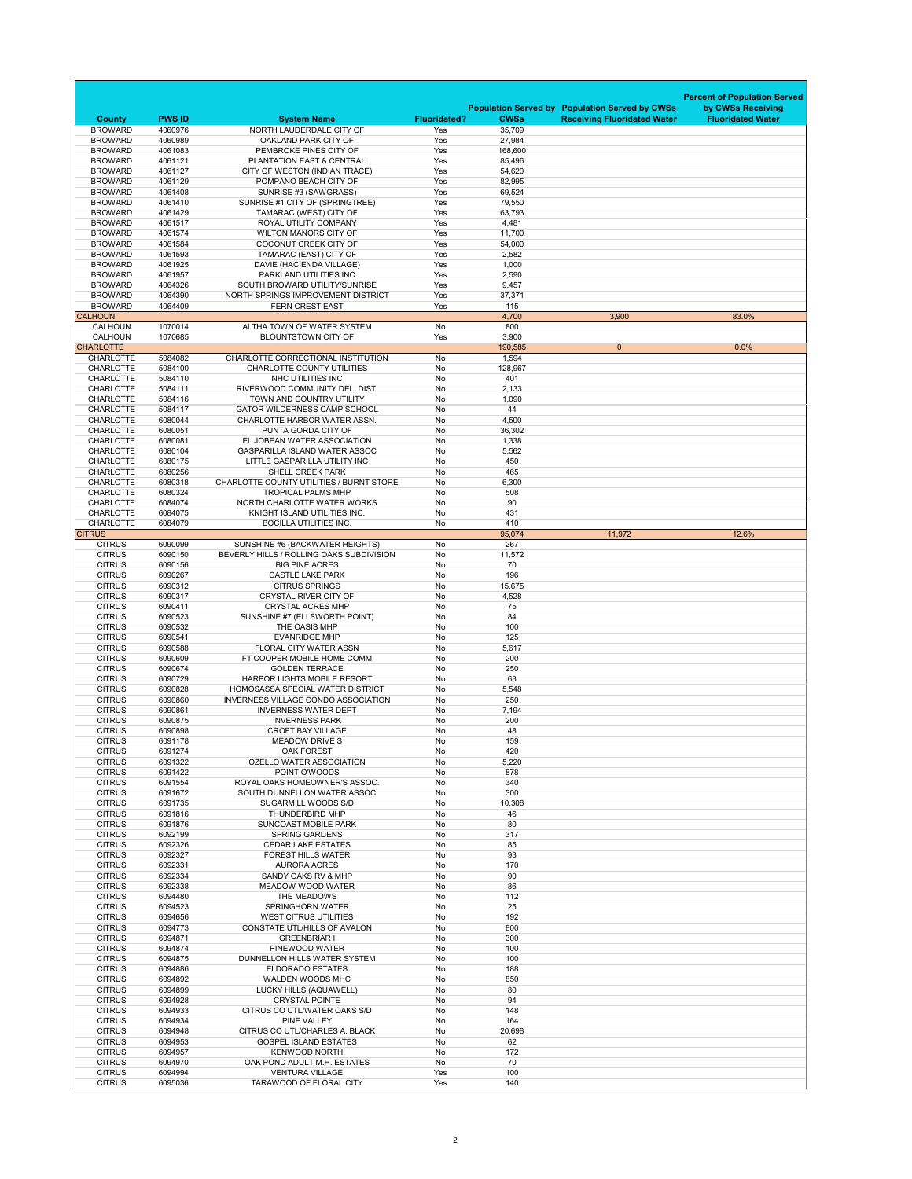|                                      |                    |                                                                              |                     |                  |                                                                                             | <b>Percent of Population Served</b>           |
|--------------------------------------|--------------------|------------------------------------------------------------------------------|---------------------|------------------|---------------------------------------------------------------------------------------------|-----------------------------------------------|
| <b>County</b>                        | <b>PWS ID</b>      | <b>System Name</b>                                                           | <b>Fluoridated?</b> | <b>CWSs</b>      | <b>Population Served by Population Served by CWSs</b><br><b>Receiving Fluoridated Water</b> | by CWSs Receiving<br><b>Fluoridated Water</b> |
| <b>BROWARD</b>                       | 4060976            | NORTH LAUDERDALE CITY OF                                                     | Yes                 | 35,709           |                                                                                             |                                               |
| <b>BROWARD</b>                       | 4060989            | OAKLAND PARK CITY OF                                                         | Yes                 | 27,984           |                                                                                             |                                               |
| <b>BROWARD</b>                       | 4061083            | PEMBROKE PINES CITY OF                                                       | Yes                 | 168,600          |                                                                                             |                                               |
| <b>BROWARD</b><br><b>BROWARD</b>     | 4061121<br>4061127 | PLANTATION EAST & CENTRAL<br>CITY OF WESTON (INDIAN TRACE)                   | Yes<br>Yes          | 85,496<br>54,620 |                                                                                             |                                               |
| <b>BROWARD</b>                       | 4061129            | POMPANO BEACH CITY OF                                                        | Yes                 | 82,995           |                                                                                             |                                               |
| <b>BROWARD</b>                       | 4061408            | SUNRISE #3 (SAWGRASS)                                                        | Yes                 | 69,524           |                                                                                             |                                               |
| <b>BROWARD</b><br><b>BROWARD</b>     | 4061410<br>4061429 | SUNRISE #1 CITY OF (SPRINGTREE)<br>TAMARAC (WEST) CITY OF                    | Yes<br>Yes          | 79,550<br>63,793 |                                                                                             |                                               |
| <b>BROWARD</b>                       | 4061517            | ROYAL UTILITY COMPANY                                                        | Yes                 | 4,481            |                                                                                             |                                               |
| <b>BROWARD</b>                       | 4061574            | <b>WILTON MANORS CITY OF</b>                                                 | Yes                 | 11,700           |                                                                                             |                                               |
| <b>BROWARD</b>                       | 4061584            | <b>COCONUT CREEK CITY OF</b>                                                 | Yes                 | 54,000           |                                                                                             |                                               |
| <b>BROWARD</b><br><b>BROWARD</b>     | 4061593<br>4061925 | TAMARAC (EAST) CITY OF<br>DAVIE (HACIENDA VILLAGE)                           | Yes<br>Yes          | 2,582<br>1,000   |                                                                                             |                                               |
| <b>BROWARD</b>                       | 4061957            | PARKLAND UTILITIES INC                                                       | Yes                 | 2,590            |                                                                                             |                                               |
| <b>BROWARD</b>                       | 4064326            | SOUTH BROWARD UTILITY/SUNRISE                                                | Yes                 | 9,457            |                                                                                             |                                               |
| <b>BROWARD</b><br><b>BROWARD</b>     | 4064390<br>4064409 | NORTH SPRINGS IMPROVEMENT DISTRICT<br><b>FERN CREST EAST</b>                 | Yes<br>Yes          | 37,371<br>115    |                                                                                             |                                               |
| <b>CALHOUN</b>                       |                    |                                                                              |                     | 4,700            | 3,900                                                                                       | 83.0%                                         |
| <b>CALHOUN</b>                       | 1070014            | ALTHA TOWN OF WATER SYSTEM                                                   | No                  | 800              |                                                                                             |                                               |
| <b>CALHOUN</b><br><b>CHARLOTTE</b>   | 1070685            | <b>BLOUNTSTOWN CITY OF</b>                                                   | Yes                 | 3,900<br>190,585 | $\overline{0}$                                                                              | 0.0%                                          |
| <b>CHARLOTTE</b>                     | 5084082            | CHARLOTTE CORRECTIONAL INSTITUTION                                           | No                  | 1,594            |                                                                                             |                                               |
| <b>CHARLOTTE</b>                     | 5084100            | <b>CHARLOTTE COUNTY UTILITIES</b>                                            | No                  | 128,967          |                                                                                             |                                               |
| <b>CHARLOTTE</b>                     | 5084110            | <b>NHC UTILITIES INC</b>                                                     | No                  | 401              |                                                                                             |                                               |
| <b>CHARLOTTE</b><br><b>CHARLOTTE</b> | 5084111<br>5084116 | RIVERWOOD COMMUNITY DEL. DIST.<br>TOWN AND COUNTRY UTILITY                   | No<br>No            | 2,133<br>1,090   |                                                                                             |                                               |
| <b>CHARLOTTE</b>                     | 5084117            | <b>GATOR WILDERNESS CAMP SCHOOL</b>                                          | No                  | 44               |                                                                                             |                                               |
| <b>CHARLOTTE</b>                     | 6080044            | CHARLOTTE HARBOR WATER ASSN.                                                 | No                  | 4,500            |                                                                                             |                                               |
| <b>CHARLOTTE</b>                     | 6080051            | PUNTA GORDA CITY OF                                                          | No                  | 36,302           |                                                                                             |                                               |
| <b>CHARLOTTE</b><br><b>CHARLOTTE</b> | 6080081<br>6080104 | EL JOBEAN WATER ASSOCIATION<br><b>GASPARILLA ISLAND WATER ASSOC</b>          | No<br>No            | 1,338<br>5,562   |                                                                                             |                                               |
| <b>CHARLOTTE</b>                     | 6080175            | LITTLE GASPARILLA UTILITY INC                                                | No                  | 450              |                                                                                             |                                               |
| <b>CHARLOTTE</b>                     | 6080256            | <b>SHELL CREEK PARK</b>                                                      | No                  | 465              |                                                                                             |                                               |
| <b>CHARLOTTE</b><br><b>CHARLOTTE</b> | 6080318<br>6080324 | <b>CHARLOTTE COUNTY UTILITIES / BURNT STORE</b><br><b>TROPICAL PALMS MHP</b> | No<br>No            | 6,300<br>508     |                                                                                             |                                               |
| <b>CHARLOTTE</b>                     | 6084074            | NORTH CHARLOTTE WATER WORKS                                                  | No                  | 90               |                                                                                             |                                               |
| <b>CHARLOTTE</b>                     | 6084075            | KNIGHT ISLAND UTILITIES INC.                                                 | No                  | 431              |                                                                                             |                                               |
| <b>CHARLOTTE</b><br><b>CITRUS</b>    | 6084079            | <b>BOCILLA UTILITIES INC.</b>                                                | No                  | 410<br>95,074    | 11,972                                                                                      | 12.6%                                         |
| <b>CITRUS</b>                        | 6090099            | SUNSHINE #6 (BACKWATER HEIGHTS)                                              | No                  | 267              |                                                                                             |                                               |
| <b>CITRUS</b>                        | 6090150            | BEVERLY HILLS / ROLLING OAKS SUBDIVISION                                     | No                  | 11,572           |                                                                                             |                                               |
| <b>CITRUS</b><br><b>CITRUS</b>       | 6090156<br>6090267 | <b>BIG PINE ACRES</b><br><b>CASTLE LAKE PARK</b>                             | No<br>No            | 70<br>196        |                                                                                             |                                               |
| <b>CITRUS</b>                        | 6090312            | <b>CITRUS SPRINGS</b>                                                        | No                  | 15,675           |                                                                                             |                                               |
| <b>CITRUS</b>                        | 6090317            | <b>CRYSTAL RIVER CITY OF</b>                                                 | No                  | 4,528            |                                                                                             |                                               |
| <b>CITRUS</b>                        | 6090411            | <b>CRYSTAL ACRES MHP</b>                                                     | No                  | 75               |                                                                                             |                                               |
| <b>CITRUS</b><br><b>CITRUS</b>       | 6090523<br>6090532 | SUNSHINE #7 (ELLSWORTH POINT)<br>THE OASIS MHP                               | No<br>No            | 84<br>100        |                                                                                             |                                               |
| <b>CITRUS</b>                        | 6090541            | <b>EVANRIDGE MHP</b>                                                         | No                  | 125              |                                                                                             |                                               |
| <b>CITRUS</b>                        | 6090588            | <b>FLORAL CITY WATER ASSN</b>                                                | No                  | 5,617            |                                                                                             |                                               |
| <b>CITRUS</b><br><b>CITRUS</b>       | 6090609<br>6090674 | FT COOPER MOBILE HOME COMM<br><b>GOLDEN TERRACE</b>                          | No<br>No            | 200<br>250       |                                                                                             |                                               |
| <b>CITRUS</b>                        | 6090729            | <b>HARBOR LIGHTS MOBILE RESORT</b>                                           | No                  | 63               |                                                                                             |                                               |
| <b>CITRUS</b>                        | 6090828            | HOMOSASSA SPECIAL WATER DISTRICT                                             | No                  | 5,548            |                                                                                             |                                               |
| <b>CITRUS</b><br><b>CITRUS</b>       | 6090860<br>6090861 | INVERNESS VILLAGE CONDO ASSOCIATION<br><b>INVERNESS WATER DEPT</b>           | No<br>No            | 250<br>7,194     |                                                                                             |                                               |
| <b>CITRUS</b>                        | 6090875            | <b>INVERNESS PARK</b>                                                        | No                  | 200              |                                                                                             |                                               |
| <b>CITRUS</b>                        | 6090898            | <b>CROFT BAY VILLAGE</b>                                                     | No                  | 48               |                                                                                             |                                               |
| <b>CITRUS</b>                        | 6091178            | <b>MEADOW DRIVE S</b>                                                        | No                  | 159              |                                                                                             |                                               |
| <b>CITRUS</b><br><b>CITRUS</b>       | 6091274<br>6091322 | <b>OAK FOREST</b><br><b>OZELLO WATER ASSOCIATION</b>                         | No<br>No            | 420<br>5,220     |                                                                                             |                                               |
| <b>CITRUS</b>                        | 6091422            | POINT O'WOODS                                                                | No                  | 878              |                                                                                             |                                               |
| <b>CITRUS</b>                        | 6091554            | ROYAL OAKS HOMEOWNER'S ASSOC.                                                | No                  | 340              |                                                                                             |                                               |
| <b>CITRUS</b><br><b>CITRUS</b>       | 6091672<br>6091735 | SOUTH DUNNELLON WATER ASSOC<br><b>SUGARMILL WOODS S/D</b>                    | No<br>No            | 300<br>10,308    |                                                                                             |                                               |
| <b>CITRUS</b>                        | 6091816            | <b>THUNDERBIRD MHP</b>                                                       | No                  | 46               |                                                                                             |                                               |
| <b>CITRUS</b>                        | 6091876            | <b>SUNCOAST MOBILE PARK</b>                                                  | No                  | 80               |                                                                                             |                                               |
| <b>CITRUS</b><br><b>CITRUS</b>       | 6092199<br>6092326 | <b>SPRING GARDENS</b><br><b>CEDAR LAKE ESTATES</b>                           | No<br>No            | 317<br>85        |                                                                                             |                                               |
| <b>CITRUS</b>                        | 6092327            | <b>FOREST HILLS WATER</b>                                                    | No                  | 93               |                                                                                             |                                               |
| <b>CITRUS</b>                        | 6092331            | <b>AURORA ACRES</b>                                                          | No                  | 170              |                                                                                             |                                               |
| <b>CITRUS</b><br><b>CITRUS</b>       | 6092334<br>6092338 | SANDY OAKS RV & MHP<br><b>MEADOW WOOD WATER</b>                              | No<br>No            | 90<br>86         |                                                                                             |                                               |
| <b>CITRUS</b>                        | 6094480            | THE MEADOWS                                                                  | No                  | 112              |                                                                                             |                                               |
| <b>CITRUS</b>                        | 6094523            | <b>SPRINGHORN WATER</b>                                                      | No                  | 25               |                                                                                             |                                               |
| <b>CITRUS</b><br><b>CITRUS</b>       | 6094656<br>6094773 | <b>WEST CITRUS UTILITIES</b><br>CONSTATE UTL/HILLS OF AVALON                 | No<br>No            | 192<br>800       |                                                                                             |                                               |
| <b>CITRUS</b>                        | 6094871            | <b>GREENBRIAR I</b>                                                          | No                  | 300              |                                                                                             |                                               |
| <b>CITRUS</b>                        | 6094874            | PINEWOOD WATER                                                               | No                  | 100              |                                                                                             |                                               |
| <b>CITRUS</b>                        | 6094875            | DUNNELLON HILLS WATER SYSTEM<br><b>ELDORADO ESTATES</b>                      | No                  | 100<br>188       |                                                                                             |                                               |
| <b>CITRUS</b><br><b>CITRUS</b>       | 6094886<br>6094892 | <b>WALDEN WOODS MHC</b>                                                      | No<br>No            | 850              |                                                                                             |                                               |
| <b>CITRUS</b>                        | 6094899            | LUCKY HILLS (AQUAWELL)                                                       | No                  | 80               |                                                                                             |                                               |
| <b>CITRUS</b>                        | 6094928            | <b>CRYSTAL POINTE</b>                                                        | No                  | 94               |                                                                                             |                                               |
| <b>CITRUS</b><br><b>CITRUS</b>       | 6094933<br>6094934 | CITRUS CO UTL/WATER OAKS S/D<br>PINE VALLEY                                  | No<br>No            | 148<br>164       |                                                                                             |                                               |
| <b>CITRUS</b>                        | 6094948            | CITRUS CO UTL/CHARLES A. BLACK                                               | No                  | 20,698           |                                                                                             |                                               |
| <b>CITRUS</b>                        | 6094953            | <b>GOSPEL ISLAND ESTATES</b>                                                 | No                  | 62               |                                                                                             |                                               |
| <b>CITRUS</b><br><b>CITRUS</b>       | 6094957<br>6094970 | <b>KENWOOD NORTH</b><br>OAK POND ADULT M.H. ESTATES                          | No<br>No            | 172<br>70        |                                                                                             |                                               |
| <b>CITRUS</b>                        | 6094994            | <b>VENTURA VILLAGE</b>                                                       | Yes                 | 100              |                                                                                             |                                               |
| <b>CITRUS</b>                        | 6095036            | TARAWOOD OF FLORAL CITY                                                      | Yes                 | 140              |                                                                                             |                                               |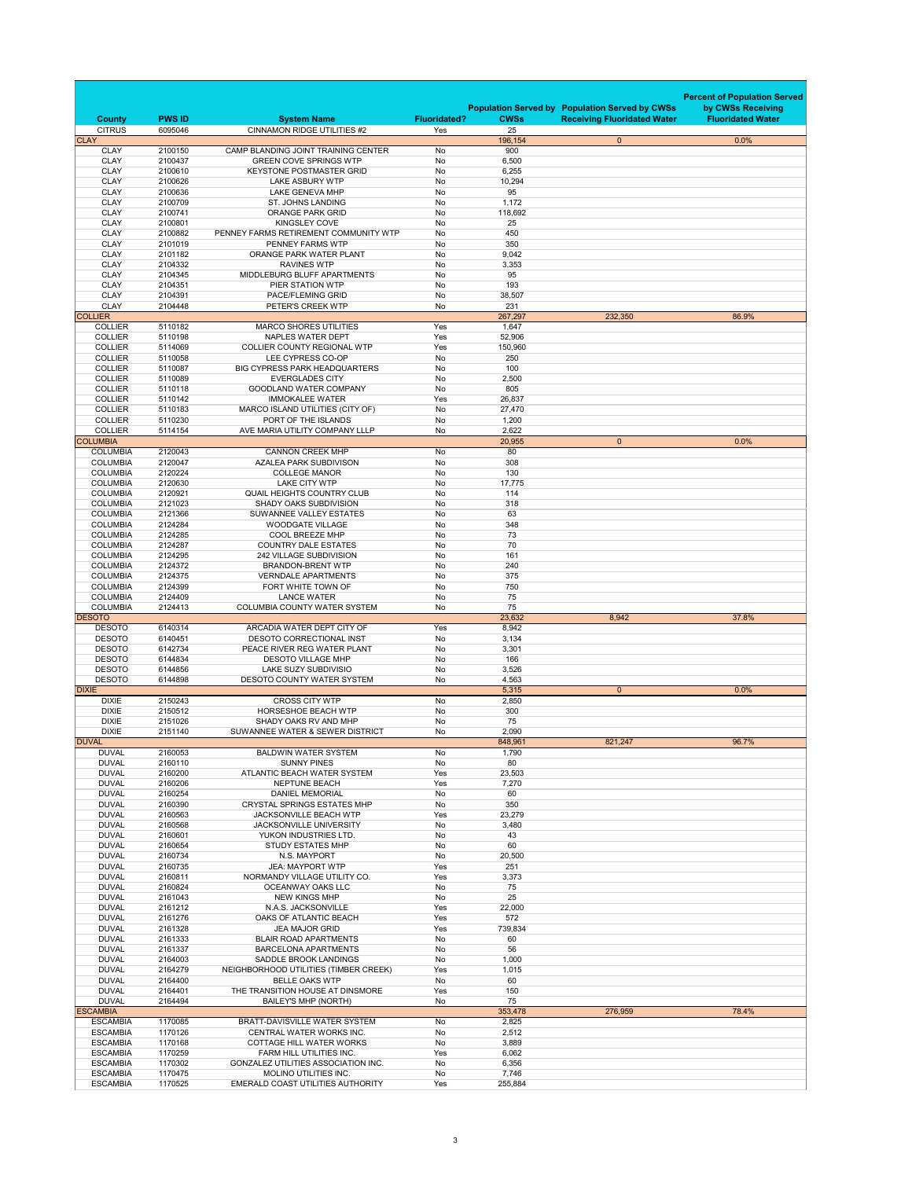|              | <b>County</b>                      | <b>PWS ID</b>      | <b>System Name</b>                                                  | <b>Fluoridated?</b> | <b>CWSs</b>      | <b>Population Served by Population Served by CWSs</b><br><b>Receiving Fluoridated Water</b> | <b>Percent of Population Served</b><br>by CWSs Receiving<br><b>Fluoridated Water</b> |
|--------------|------------------------------------|--------------------|---------------------------------------------------------------------|---------------------|------------------|---------------------------------------------------------------------------------------------|--------------------------------------------------------------------------------------|
| <b>CLAY</b>  | <b>CITRUS</b>                      | 6095046            | <b>CINNAMON RIDGE UTILITIES #2</b>                                  | Yes                 | 25<br>196,154    | $\overline{0}$                                                                              | 0.0%                                                                                 |
|              | <b>CLAY</b>                        | 2100150            | CAMP BLANDING JOINT TRAINING CENTER                                 | No                  | 900              |                                                                                             |                                                                                      |
|              | <b>CLAY</b>                        | 2100437            | <b>GREEN COVE SPRINGS WTP</b>                                       | <b>No</b>           | 6,500            |                                                                                             |                                                                                      |
|              | <b>CLAY</b>                        | 2100610            | <b>KEYSTONE POSTMASTER GRID</b>                                     | No                  | 6,255            |                                                                                             |                                                                                      |
|              | <b>CLAY</b>                        | 2100626            | <b>LAKE ASBURY WTP</b>                                              | No                  | 10,294           |                                                                                             |                                                                                      |
|              | <b>CLAY</b>                        | 2100636            | <b>LAKE GENEVA MHP</b>                                              | No                  | 95               |                                                                                             |                                                                                      |
|              | <b>CLAY</b><br><b>CLAY</b>         | 2100709<br>2100741 | <b>ST. JOHNS LANDING</b><br><b>ORANGE PARK GRID</b>                 | No<br><b>No</b>     | 1,172<br>118,692 |                                                                                             |                                                                                      |
|              | <b>CLAY</b>                        | 2100801            | <b>KINGSLEY COVE</b>                                                | No                  | 25               |                                                                                             |                                                                                      |
|              | <b>CLAY</b>                        | 2100882            | PENNEY FARMS RETIREMENT COMMUNITY WTP                               | No                  | 450              |                                                                                             |                                                                                      |
|              | <b>CLAY</b>                        | 2101019            | PENNEY FARMS WTP                                                    | No                  | 350              |                                                                                             |                                                                                      |
|              | <b>CLAY</b>                        | 2101182            | ORANGE PARK WATER PLANT                                             | No                  | 9,042            |                                                                                             |                                                                                      |
|              | <b>CLAY</b>                        | 2104332            | <b>RAVINES WTP</b>                                                  | No                  | 3,353            |                                                                                             |                                                                                      |
|              | <b>CLAY</b>                        | 2104345            | MIDDLEBURG BLUFF APARTMENTS                                         | No                  | 95               |                                                                                             |                                                                                      |
|              | <b>CLAY</b><br><b>CLAY</b>         | 2104351<br>2104391 | <b>PIER STATION WTP</b><br>PACE/FLEMING GRID                        | No<br>No            | 193<br>38,507    |                                                                                             |                                                                                      |
|              | <b>CLAY</b>                        | 2104448            | PETER'S CREEK WTP                                                   | No                  | 231              |                                                                                             |                                                                                      |
|              | <b>COLLIER</b>                     |                    |                                                                     |                     | 267,297          | 232,350                                                                                     | 86.9%                                                                                |
|              | <b>COLLIER</b>                     | 5110182            | <b>MARCO SHORES UTILITIES</b>                                       | Yes                 | 1,647            |                                                                                             |                                                                                      |
|              | <b>COLLIER</b>                     | 5110198            | NAPLES WATER DEPT                                                   | Yes                 | 52,906           |                                                                                             |                                                                                      |
|              | <b>COLLIER</b>                     | 5114069            | <b>COLLIER COUNTY REGIONAL WTP</b>                                  | Yes                 | 150,960          |                                                                                             |                                                                                      |
|              | <b>COLLIER</b>                     | 5110058            | LEE CYPRESS CO-OP                                                   | No                  | 250              |                                                                                             |                                                                                      |
|              | <b>COLLIER</b>                     | 5110087            | <b>BIG CYPRESS PARK HEADQUARTERS</b>                                | No                  | 100              |                                                                                             |                                                                                      |
|              | <b>COLLIER</b><br><b>COLLIER</b>   | 5110089<br>5110118 | <b>EVERGLADES CITY</b><br><b>GOODLAND WATER COMPANY</b>             | No<br>No            | 2,500<br>805     |                                                                                             |                                                                                      |
|              | <b>COLLIER</b>                     | 5110142            | <b>IMMOKALEE WATER</b>                                              | Yes                 | 26,837           |                                                                                             |                                                                                      |
|              | <b>COLLIER</b>                     | 5110183            | MARCO ISLAND UTILITIES (CITY OF)                                    | No.                 | 27,470           |                                                                                             |                                                                                      |
|              | <b>COLLIER</b>                     | 5110230            | PORT OF THE ISLANDS                                                 | No                  | 1,200            |                                                                                             |                                                                                      |
|              | <b>COLLIER</b>                     | 5114154            | AVE MARIA UTILITY COMPANY LLLP                                      | No                  | 2,622            |                                                                                             |                                                                                      |
|              | <b>COLUMBIA</b>                    |                    |                                                                     |                     | 20,955           | $\overline{0}$                                                                              | 0.0%                                                                                 |
|              | <b>COLUMBIA</b>                    | 2120043            | <b>CANNON CREEK MHP</b>                                             | No                  | 80               |                                                                                             |                                                                                      |
|              | <b>COLUMBIA</b>                    | 2120047            | <b>AZALEA PARK SUBDIVISON</b>                                       | No                  | 308              |                                                                                             |                                                                                      |
|              | <b>COLUMBIA</b><br><b>COLUMBIA</b> | 2120224<br>2120630 | <b>COLLEGE MANOR</b><br><b>LAKE CITY WTP</b>                        | No<br>No            | 130<br>17,775    |                                                                                             |                                                                                      |
|              | <b>COLUMBIA</b>                    | 2120921            | <b>QUAIL HEIGHTS COUNTRY CLUB</b>                                   | No                  | 114              |                                                                                             |                                                                                      |
|              | <b>COLUMBIA</b>                    | 2121023            | <b>SHADY OAKS SUBDIVISION</b>                                       | No                  | 318              |                                                                                             |                                                                                      |
|              | <b>COLUMBIA</b>                    | 2121366            | <b>SUWANNEE VALLEY ESTATES</b>                                      | No                  | 63               |                                                                                             |                                                                                      |
|              | <b>COLUMBIA</b>                    | 2124284            | <b>WOODGATE VILLAGE</b>                                             | No                  | 348              |                                                                                             |                                                                                      |
|              | <b>COLUMBIA</b>                    | 2124285            | <b>COOL BREEZE MHP</b>                                              | No                  | 73               |                                                                                             |                                                                                      |
|              | <b>COLUMBIA</b>                    | 2124287            | <b>COUNTRY DALE ESTATES</b>                                         | No                  | 70               |                                                                                             |                                                                                      |
|              | <b>COLUMBIA</b>                    | 2124295            | 242 VILLAGE SUBDIVISION                                             | No                  | 161              |                                                                                             |                                                                                      |
|              | <b>COLUMBIA</b>                    | 2124372            | <b>BRANDON-BRENT WTP</b>                                            | No                  | 240              |                                                                                             |                                                                                      |
|              |                                    |                    |                                                                     |                     |                  |                                                                                             |                                                                                      |
|              | <b>COLUMBIA</b>                    | 2124375            | <b>VERNDALE APARTMENTS</b>                                          | No                  | 375              |                                                                                             |                                                                                      |
|              | <b>COLUMBIA</b><br><b>COLUMBIA</b> | 2124399<br>2124409 | FORT WHITE TOWN OF<br><b>LANCE WATER</b>                            | No<br>No            | 750<br>75        |                                                                                             |                                                                                      |
|              | <b>COLUMBIA</b>                    | 2124413            | <b>COLUMBIA COUNTY WATER SYSTEM</b>                                 | No                  | 75               |                                                                                             |                                                                                      |
|              | <b>DESOTO</b>                      |                    |                                                                     |                     | 23,632           | 8,942                                                                                       | 37.8%                                                                                |
|              | <b>DESOTO</b>                      | 6140314            | ARCADIA WATER DEPT CITY OF                                          | Yes                 | 8,942            |                                                                                             |                                                                                      |
|              | <b>DESOTO</b>                      | 6140451            | <b>DESOTO CORRECTIONAL INST</b>                                     | No                  | 3,134            |                                                                                             |                                                                                      |
|              | <b>DESOTO</b>                      | 6142734            | PEACE RIVER REG WATER PLANT                                         | No                  | 3,301            |                                                                                             |                                                                                      |
|              | <b>DESOTO</b><br><b>DESOTO</b>     | 6144834<br>6144856 | <b>DESOTO VILLAGE MHP</b><br><b>LAKE SUZY SUBDIVISIO</b>            | No                  | 166              |                                                                                             |                                                                                      |
|              | <b>DESOTO</b>                      | 6144898            | <b>DESOTO COUNTY WATER SYSTEM</b>                                   | No<br>No            | 3,526<br>4,563   |                                                                                             |                                                                                      |
| <b>DIXIE</b> |                                    |                    |                                                                     |                     | 5,315            | $\overline{0}$                                                                              | $0.0\%$                                                                              |
|              | <b>DIXIE</b>                       | 2150243            | <b>CROSS CITY WTP</b>                                               | No                  | 2,850            |                                                                                             |                                                                                      |
|              | <b>DIXIE</b>                       | 2150512            | <b>HORSESHOE BEACH WTP</b>                                          | No                  | 300              |                                                                                             |                                                                                      |
|              | <b>DIXIE</b>                       | 2151026            | SHADY OAKS RV AND MHP                                               | No.                 | 75               |                                                                                             |                                                                                      |
|              | <b>DIXIE</b>                       | 2151140            | SUWANNEE WATER & SEWER DISTRICT                                     | No                  | 2,090            |                                                                                             |                                                                                      |
|              | <b>DUVAL</b>                       |                    |                                                                     |                     | 848,961          | 821,247                                                                                     | 96.7%                                                                                |
|              | <b>DUVAL</b><br><b>DUVAL</b>       | 2160053<br>2160110 | <b>BALDWIN WATER SYSTEM</b><br><b>SUNNY PINES</b>                   | No<br>No            | 1,790<br>80      |                                                                                             |                                                                                      |
|              | <b>DUVAL</b>                       | 2160200            | ATLANTIC BEACH WATER SYSTEM                                         | Yes                 | 23,503           |                                                                                             |                                                                                      |
|              | <b>DUVAL</b>                       | 2160206            | <b>NEPTUNE BEACH</b>                                                | Yes                 | 7,270            |                                                                                             |                                                                                      |
|              | <b>DUVAL</b>                       | 2160254            | <b>DANIEL MEMORIAL</b>                                              | No                  | 60               |                                                                                             |                                                                                      |
|              | <b>DUVAL</b>                       | 2160390            | <b>CRYSTAL SPRINGS ESTATES MHP</b>                                  | No                  | 350              |                                                                                             |                                                                                      |
|              | <b>DUVAL</b>                       | 2160563            | JACKSONVILLE BEACH WTP                                              | Yes                 | 23,279           |                                                                                             |                                                                                      |
|              | <b>DUVAL</b>                       | 2160568            | JACKSONVILLE UNIVERSITY                                             | No                  | 3,480            |                                                                                             |                                                                                      |
|              | <b>DUVAL</b><br><b>DUVAL</b>       | 2160601<br>2160654 | YUKON INDUSTRIES LTD.<br><b>STUDY ESTATES MHP</b>                   | No<br>No            | 43<br>60         |                                                                                             |                                                                                      |
|              | <b>DUVAL</b>                       | 2160734            | N.S. MAYPORT                                                        | No                  | 20,500           |                                                                                             |                                                                                      |
|              | <b>DUVAL</b>                       | 2160735            | <b>JEA: MAYPORT WTP</b>                                             | Yes                 | 251              |                                                                                             |                                                                                      |
|              | <b>DUVAL</b>                       | 2160811            | NORMANDY VILLAGE UTILITY CO.                                        | Yes                 | 3,373            |                                                                                             |                                                                                      |
|              | <b>DUVAL</b>                       | 2160824            | OCEANWAY OAKS LLC                                                   | No                  | 75               |                                                                                             |                                                                                      |
|              | <b>DUVAL</b>                       | 2161043            | <b>NEW KINGS MHP</b>                                                | No                  | 25               |                                                                                             |                                                                                      |
|              | <b>DUVAL</b>                       | 2161212            | N.A.S. JACKSONVILLE                                                 | Yes                 | 22,000           |                                                                                             |                                                                                      |
|              | <b>DUVAL</b><br><b>DUVAL</b>       | 2161276<br>2161328 | OAKS OF ATLANTIC BEACH<br><b>JEA MAJOR GRID</b>                     | Yes<br>Yes          | 572<br>739,834   |                                                                                             |                                                                                      |
|              | <b>DUVAL</b>                       | 2161333            | <b>BLAIR ROAD APARTMENTS</b>                                        | No                  | 60               |                                                                                             |                                                                                      |
|              | <b>DUVAL</b>                       | 2161337            | <b>BARCELONA APARTMENTS</b>                                         | No                  | 56               |                                                                                             |                                                                                      |
|              | <b>DUVAL</b>                       | 2164003            | SADDLE BROOK LANDINGS                                               | No                  | 1,000            |                                                                                             |                                                                                      |
|              | <b>DUVAL</b>                       | 2164279            | NEIGHBORHOOD UTILITIES (TIMBER CREEK)                               | Yes                 | 1,015            |                                                                                             |                                                                                      |
|              | <b>DUVAL</b>                       | 2164400            | <b>BELLE OAKS WTP</b>                                               | No                  | 60               |                                                                                             |                                                                                      |
|              | <b>DUVAL</b><br><b>DUVAL</b>       | 2164401<br>2164494 | THE TRANSITION HOUSE AT DINSMORE                                    | Yes<br>No           | 150<br>75        |                                                                                             |                                                                                      |
|              | <b>ESCAMBIA</b>                    |                    | <b>BAILEY'S MHP (NORTH)</b>                                         |                     | 353,478          | 276,959                                                                                     | 78.4%                                                                                |
|              | <b>ESCAMBIA</b>                    | 1170085            | <b>BRATT-DAVISVILLE WATER SYSTEM</b>                                | No                  | 2,825            |                                                                                             |                                                                                      |
|              | <b>ESCAMBIA</b>                    | 1170126            | CENTRAL WATER WORKS INC.                                            | No                  | 2,512            |                                                                                             |                                                                                      |
|              | <b>ESCAMBIA</b>                    | 1170168            | COTTAGE HILL WATER WORKS                                            | No                  | 3,889            |                                                                                             |                                                                                      |
|              | <b>ESCAMBIA</b>                    | 1170259            | FARM HILL UTILITIES INC.                                            | Yes                 | 6,062            |                                                                                             |                                                                                      |
|              | <b>ESCAMBIA</b><br><b>ESCAMBIA</b> | 1170302<br>1170475 | <b>GONZALEZ UTILITIES ASSOCIATION INC.</b><br>MOLINO UTILITIES INC. | No<br>No            | 6,356<br>7,746   |                                                                                             |                                                                                      |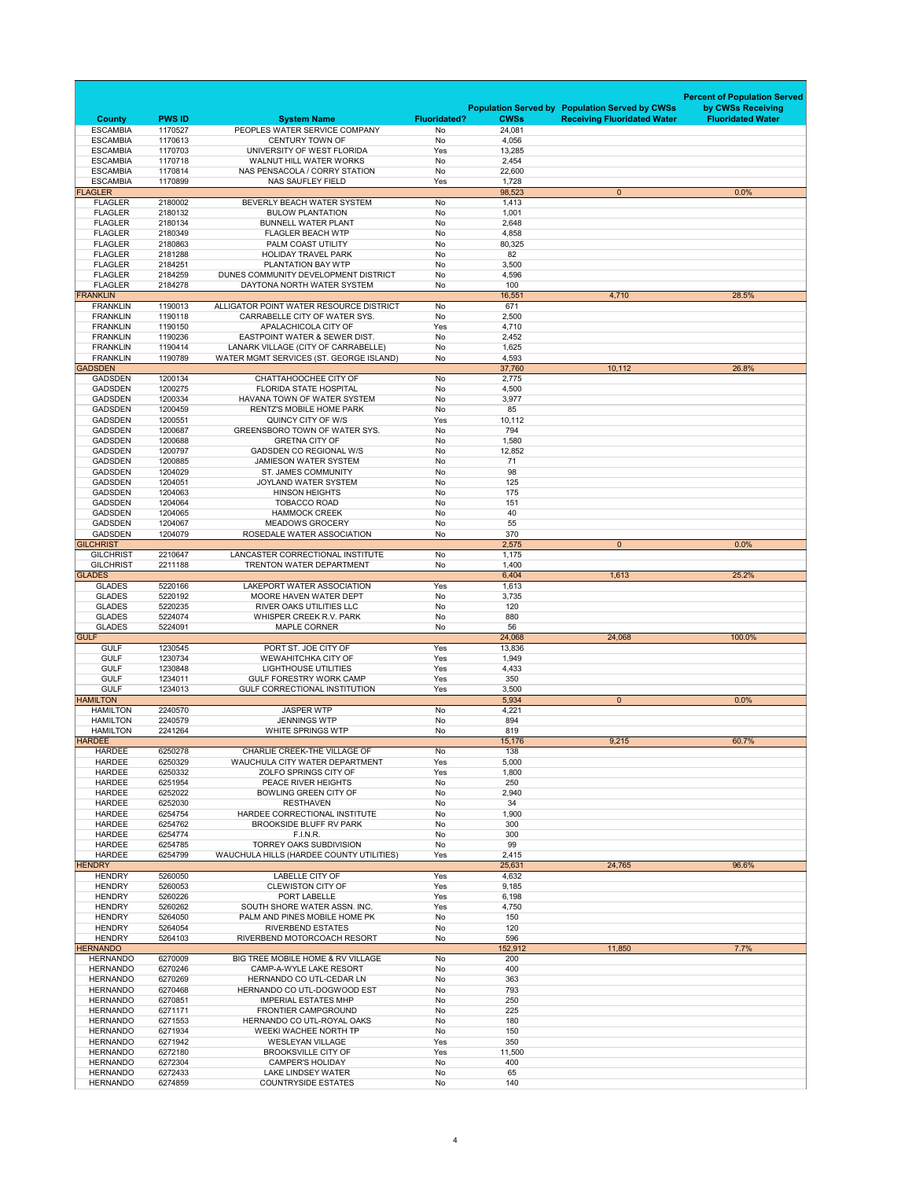|             |                                      |                          |                                                                     |                           |                       |                                                       | <b>Percent of Population Served</b> |
|-------------|--------------------------------------|--------------------------|---------------------------------------------------------------------|---------------------------|-----------------------|-------------------------------------------------------|-------------------------------------|
|             |                                      |                          |                                                                     |                           |                       | <b>Population Served by Population Served by CWSs</b> | by CWSs Receiving                   |
|             | <b>County</b><br><b>ESCAMBIA</b>     | <b>PWS ID</b><br>1170527 | <b>System Name</b><br>PEOPLES WATER SERVICE COMPANY                 | <b>Fluoridated?</b><br>No | <b>CWSs</b><br>24,081 | <b>Receiving Fluoridated Water</b>                    | <b>Fluoridated Water</b>            |
|             | <b>ESCAMBIA</b>                      | 1170613                  | <b>CENTURY TOWN OF</b>                                              | <b>No</b>                 | 4,056                 |                                                       |                                     |
|             | <b>ESCAMBIA</b>                      | 1170703                  | UNIVERSITY OF WEST FLORIDA                                          | Yes                       | 13,285                |                                                       |                                     |
|             | <b>ESCAMBIA</b><br><b>ESCAMBIA</b>   | 1170718<br>1170814       | <b>WALNUT HILL WATER WORKS</b><br>NAS PENSACOLA / CORRY STATION     | No<br><b>No</b>           | 2,454<br>22,600       |                                                       |                                     |
|             | <b>ESCAMBIA</b>                      | 1170899                  | <b>NAS SAUFLEY FIELD</b>                                            | Yes                       | 1,728                 |                                                       |                                     |
|             | <b>FLAGLER</b>                       |                          |                                                                     |                           | 98,523                | $\overline{0}$                                        | 0.0%                                |
|             | <b>FLAGLER</b><br><b>FLAGLER</b>     | 2180002<br>2180132       | BEVERLY BEACH WATER SYSTEM<br><b>BULOW PLANTATION</b>               | <b>No</b><br>No           | 1,413<br>1,001        |                                                       |                                     |
|             | <b>FLAGLER</b>                       | 2180134                  | <b>BUNNELL WATER PLANT</b>                                          | <b>No</b>                 | 2,648                 |                                                       |                                     |
|             | <b>FLAGLER</b>                       | 2180349                  | <b>FLAGLER BEACH WTP</b>                                            | No                        | 4,858                 |                                                       |                                     |
|             | <b>FLAGLER</b><br><b>FLAGLER</b>     | 2180863<br>2181288       | PALM COAST UTILITY<br><b>HOLIDAY TRAVEL PARK</b>                    | No<br><b>No</b>           | 80,325<br>82          |                                                       |                                     |
|             | <b>FLAGLER</b>                       | 2184251                  | PLANTATION BAY WTP                                                  | No                        | 3,500                 |                                                       |                                     |
|             | <b>FLAGLER</b>                       | 2184259                  | DUNES COMMUNITY DEVELOPMENT DISTRICT                                | No                        | 4,596                 |                                                       |                                     |
|             | <b>FLAGLER</b><br><b>FRANKLIN</b>    | 2184278                  | DAYTONA NORTH WATER SYSTEM                                          | <b>No</b>                 | 100<br>16,551         | 4,710                                                 | 28.5%                               |
|             | <b>FRANKLIN</b>                      | 1190013                  | ALLIGATOR POINT WATER RESOURCE DISTRICT                             | No                        | 671                   |                                                       |                                     |
|             | <b>FRANKLIN</b>                      | 1190118                  | CARRABELLE CITY OF WATER SYS.                                       | No                        | 2,500                 |                                                       |                                     |
|             | <b>FRANKLIN</b><br><b>FRANKLIN</b>   | 1190150<br>1190236       | APALACHICOLA CITY OF<br><b>EASTPOINT WATER &amp; SEWER DIST.</b>    | Yes<br>No                 | 4,710<br>2,452        |                                                       |                                     |
|             | <b>FRANKLIN</b>                      | 1190414                  | LANARK VILLAGE (CITY OF CARRABELLE)                                 | No                        | 1,625                 |                                                       |                                     |
|             | <b>FRANKLIN</b>                      | 1190789                  | WATER MGMT SERVICES (ST. GEORGE ISLAND)                             | No                        | 4,593                 |                                                       |                                     |
|             | <b>GADSDEN</b><br><b>GADSDEN</b>     | 1200134                  | CHATTAHOOCHEE CITY OF                                               | No                        | 37,760<br>2,775       | 10,112                                                | 26.8%                               |
|             | <b>GADSDEN</b>                       | 1200275                  | <b>FLORIDA STATE HOSPITAL</b>                                       | <b>No</b>                 | 4,500                 |                                                       |                                     |
|             | <b>GADSDEN</b>                       | 1200334                  | HAVANA TOWN OF WATER SYSTEM                                         | No                        | 3,977                 |                                                       |                                     |
|             | <b>GADSDEN</b>                       | 1200459                  | <b>RENTZ'S MOBILE HOME PARK</b>                                     | No                        | 85                    |                                                       |                                     |
|             | <b>GADSDEN</b><br><b>GADSDEN</b>     | 1200551<br>1200687       | QUINCY CITY OF W/S<br><b>GREENSBORO TOWN OF WATER SYS.</b>          | Yes<br>No                 | 10,112<br>794         |                                                       |                                     |
|             | <b>GADSDEN</b>                       | 1200688                  | <b>GRETNA CITY OF</b>                                               | No                        | 1,580                 |                                                       |                                     |
|             | <b>GADSDEN</b>                       | 1200797                  | <b>GADSDEN CO REGIONAL W/S</b>                                      | No                        | 12,852                |                                                       |                                     |
|             | <b>GADSDEN</b><br><b>GADSDEN</b>     | 1200885                  | <b>JAMIESON WATER SYSTEM</b>                                        | No                        | 71<br>98              |                                                       |                                     |
|             | <b>GADSDEN</b>                       | 1204029<br>1204051       | <b>ST. JAMES COMMUNITY</b><br><b>JOYLAND WATER SYSTEM</b>           | No<br>No                  | 125                   |                                                       |                                     |
|             | <b>GADSDEN</b>                       | 1204063                  | <b>HINSON HEIGHTS</b>                                               | No                        | 175                   |                                                       |                                     |
|             | <b>GADSDEN</b>                       | 1204064                  | <b>TOBACCO ROAD</b>                                                 | No                        | 151                   |                                                       |                                     |
|             | <b>GADSDEN</b><br><b>GADSDEN</b>     | 1204065<br>1204067       | <b>HAMMOCK CREEK</b><br><b>MEADOWS GROCERY</b>                      | No<br>No                  | 40<br>55              |                                                       |                                     |
|             | <b>GADSDEN</b>                       | 1204079                  | ROSEDALE WATER ASSOCIATION                                          | No                        | 370                   |                                                       |                                     |
|             | <b>GILCHRIST</b>                     |                          |                                                                     |                           | 2,575                 | $\overline{0}$                                        | 0.0%                                |
|             | <b>GILCHRIST</b><br><b>GILCHRIST</b> | 2210647<br>2211188       | LANCASTER CORRECTIONAL INSTITUTE<br><b>TRENTON WATER DEPARTMENT</b> | No<br>No                  | 1,175<br>1,400        |                                                       |                                     |
|             | <b>GLADES</b>                        |                          |                                                                     |                           | 6,404                 | 1,613                                                 | 25.2%                               |
|             | <b>GLADES</b>                        | 5220166                  | LAKEPORT WATER ASSOCIATION                                          | Yes                       | 1,613                 |                                                       |                                     |
|             | <b>GLADES</b>                        | 5220192                  | MOORE HAVEN WATER DEPT                                              | No                        | 3,735                 |                                                       |                                     |
|             | <b>GLADES</b><br><b>GLADES</b>       | 5220235<br>5224074       | <b>RIVER OAKS UTILITIES LLC</b><br><b>WHISPER CREEK R.V. PARK</b>   | No<br>No                  | 120<br>880            |                                                       |                                     |
|             | <b>GLADES</b>                        | 5224091                  | <b>MAPLE CORNER</b>                                                 | No                        | 56                    |                                                       |                                     |
| <b>GULF</b> |                                      |                          |                                                                     |                           | 24,068                | 24,068                                                | 100.0%                              |
|             | <b>GULF</b><br><b>GULF</b>           | 1230545<br>1230734       | PORT ST. JOE CITY OF<br><b>WEWAHITCHKA CITY OF</b>                  | Yes<br>Yes                | 13,836<br>1,949       |                                                       |                                     |
|             | <b>GULF</b>                          | 1230848                  | <b>LIGHTHOUSE UTILITIES</b>                                         | Yes                       | 4,433                 |                                                       |                                     |
|             | <b>GULF</b>                          | 1234011                  | <b>GULF FORESTRY WORK CAMP</b>                                      | Yes                       | 350                   |                                                       |                                     |
|             | <b>GULF</b><br><b>HAMILTON</b>       | 1234013                  | <b>GULF CORRECTIONAL INSTITUTION</b>                                | Yes                       | 3,500<br>5,934        | $\overline{0}$                                        | 0.0%                                |
|             | <b>HAMILTON</b>                      | 2240570                  | <b>JASPER WTP</b>                                                   | No                        | 4,221                 |                                                       |                                     |
|             | <b>HAMILTON</b>                      | 2240579                  | <b>JENNINGS WTP</b>                                                 | No                        | 894                   |                                                       |                                     |
|             | <b>HAMILTON</b><br><b>HARDEE</b>     | 2241264                  | <b>WHITE SPRINGS WTP</b>                                            | No                        | 819<br>15,176         | 9,215                                                 | 60.7%                               |
|             | <b>HARDEE</b>                        | 6250278                  | CHARLIE CREEK-THE VILLAGE OF                                        | No                        | 138                   |                                                       |                                     |
|             | <b>HARDEE</b>                        | 6250329                  | WAUCHULA CITY WATER DEPARTMENT                                      | Yes                       | 5,000                 |                                                       |                                     |
|             | <b>HARDEE</b>                        | 6250332                  | ZOLFO SPRINGS CITY OF<br>PEACE RIVER HEIGHTS                        | Yes                       | 1,800                 |                                                       |                                     |
|             | <b>HARDEE</b><br><b>HARDEE</b>       | 6251954<br>6252022       | <b>BOWLING GREEN CITY OF</b>                                        | No<br>No                  | 250<br>2,940          |                                                       |                                     |
|             | <b>HARDEE</b>                        | 6252030                  | <b>RESTHAVEN</b>                                                    | No                        | 34                    |                                                       |                                     |
|             | <b>HARDEE</b><br><b>HARDEE</b>       | 6254754<br>6254762       | HARDEE CORRECTIONAL INSTITUTE<br><b>BROOKSIDE BLUFF RV PARK</b>     | No<br>No                  | 1,900<br>300          |                                                       |                                     |
|             | <b>HARDEE</b>                        | 6254774                  | F.I.N.R.                                                            | No                        | 300                   |                                                       |                                     |
|             | <b>HARDEE</b>                        | 6254785                  | <b>TORREY OAKS SUBDIVISION</b>                                      | No                        | 99                    |                                                       |                                     |
|             | <b>HARDEE</b>                        | 6254799                  | WAUCHULA HILLS (HARDEE COUNTY UTILITIES)                            | Yes                       | 2,415                 |                                                       |                                     |
|             | <b>HENDRY</b><br><b>HENDRY</b>       | 5260050                  | <b>LABELLE CITY OF</b>                                              | Yes                       | 25,631<br>4,632       | 24,765                                                | 96.6%                               |
|             | <b>HENDRY</b>                        | 5260053                  | <b>CLEWISTON CITY OF</b>                                            | Yes                       | 9,185                 |                                                       |                                     |
|             | <b>HENDRY</b>                        | 5260226                  | PORT LABELLE                                                        | Yes                       | 6,198                 |                                                       |                                     |
|             | <b>HENDRY</b><br><b>HENDRY</b>       | 5260262<br>5264050       | SOUTH SHORE WATER ASSN. INC.<br>PALM AND PINES MOBILE HOME PK       | Yes<br>No                 | 4,750<br>150          |                                                       |                                     |
|             | <b>HENDRY</b>                        | 5264054                  | <b>RIVERBEND ESTATES</b>                                            | No                        | 120                   |                                                       |                                     |
|             | <b>HENDRY</b>                        | 5264103                  | RIVERBEND MOTORCOACH RESORT                                         | No                        | 596                   |                                                       |                                     |
|             | <b>HERNANDO</b><br><b>HERNANDO</b>   | 6270009                  | BIG TREE MOBILE HOME & RV VILLAGE                                   | No                        | 152,912<br>200        | 11,850                                                | 7.7%                                |
|             | <b>HERNANDO</b>                      | 6270246                  | <b>CAMP-A-WYLE LAKE RESORT</b>                                      | No                        | 400                   |                                                       |                                     |
|             | <b>HERNANDO</b>                      | 6270269                  | HERNANDO CO UTL-CEDAR LN                                            | No                        | 363                   |                                                       |                                     |
|             | <b>HERNANDO</b>                      | 6270468                  | HERNANDO CO UTL-DOGWOOD EST                                         | No                        | 793                   |                                                       |                                     |
|             | <b>HERNANDO</b><br><b>HERNANDO</b>   | 6270851<br>6271171       | <b>IMPERIAL ESTATES MHP</b><br><b>FRONTIER CAMPGROUND</b>           | No<br>No                  | 250<br>225            |                                                       |                                     |
|             | <b>HERNANDO</b>                      | 6271553                  | HERNANDO CO UTL-ROYAL OAKS                                          | No                        | 180                   |                                                       |                                     |
|             | <b>HERNANDO</b>                      | 6271934                  | WEEKI WACHEE NORTH TP                                               | No                        | 150                   |                                                       |                                     |
|             | <b>HERNANDO</b><br><b>HERNANDO</b>   | 6271942<br>6272180       | <b>WESLEYAN VILLAGE</b><br><b>BROOKSVILLE CITY OF</b>               | Yes<br>Yes                | 350<br>11,500         |                                                       |                                     |
|             | <b>HERNANDO</b>                      | 6272304                  | <b>CAMPER'S HOLIDAY</b>                                             | No                        | 400                   |                                                       |                                     |
|             | <b>HERNANDO</b>                      | 6272433                  | <b>LAKE LINDSEY WATER</b>                                           | No                        | 65                    |                                                       |                                     |
|             | <b>HERNANDO</b>                      | 6274859                  | <b>COUNTRYSIDE ESTATES</b>                                          | No                        | 140                   |                                                       |                                     |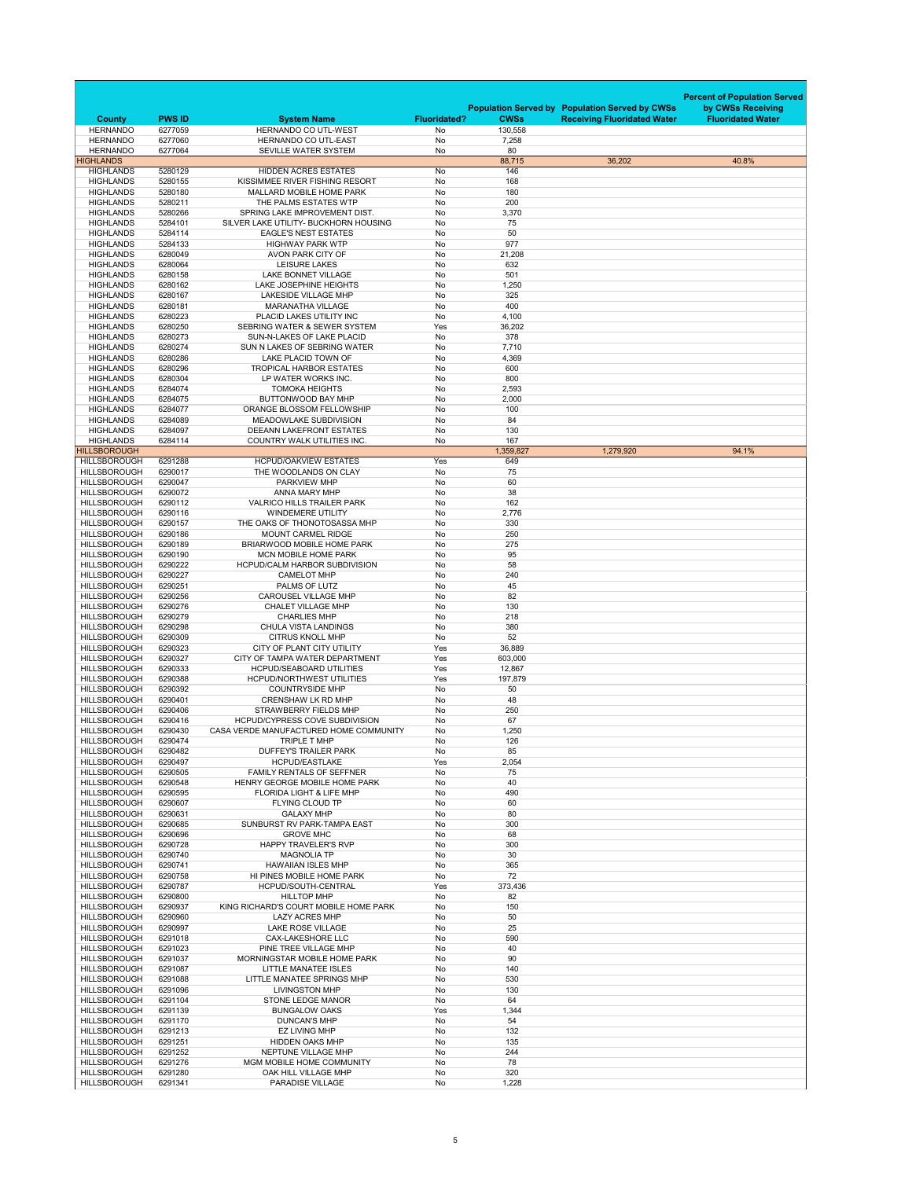|                                            |                          |                                                                                 |                                  |                        |                                                       | <b>Percent of Population Served</b> |
|--------------------------------------------|--------------------------|---------------------------------------------------------------------------------|----------------------------------|------------------------|-------------------------------------------------------|-------------------------------------|
|                                            |                          |                                                                                 |                                  |                        | <b>Population Served by Population Served by CWSs</b> | by CWSs Receiving                   |
| <b>County</b><br><b>HERNANDO</b>           | <b>PWS ID</b><br>6277059 | <b>System Name</b><br><b>HERNANDO CO UTL-WEST</b>                               | <b>Fluoridated?</b><br><b>No</b> | <b>CWSs</b><br>130,558 | <b>Receiving Fluoridated Water</b>                    | <b>Fluoridated Water</b>            |
| <b>HERNANDO</b>                            | 6277060                  | HERNANDO CO UTL-EAST                                                            | No                               | 7,258                  |                                                       |                                     |
| <b>HERNANDO</b><br><b>HIGHLANDS</b>        | 6277064                  | SEVILLE WATER SYSTEM                                                            | No                               | 80<br>88,715           |                                                       |                                     |
| <b>HIGHLANDS</b>                           | 5280129                  | <b>HIDDEN ACRES ESTATES</b>                                                     | No                               | 146                    | 36,202                                                | 40.8%                               |
| <b>HIGHLANDS</b>                           | 5280155                  | KISSIMMEE RIVER FISHING RESORT                                                  | No                               | 168                    |                                                       |                                     |
| <b>HIGHLANDS</b><br><b>HIGHLANDS</b>       | 5280180<br>5280211       | <b>MALLARD MOBILE HOME PARK</b><br>THE PALMS ESTATES WTP                        | No<br>No                         | 180<br>200             |                                                       |                                     |
| <b>HIGHLANDS</b>                           | 5280266                  | SPRING LAKE IMPROVEMENT DIST.                                                   | No                               | 3,370                  |                                                       |                                     |
| <b>HIGHLANDS</b>                           | 5284101                  | SILVER LAKE UTILITY- BUCKHORN HOUSING                                           | No                               | 75                     |                                                       |                                     |
| <b>HIGHLANDS</b><br><b>HIGHLANDS</b>       | 5284114<br>5284133       | <b>EAGLE'S NEST ESTATES</b><br><b>HIGHWAY PARK WTP</b>                          | No<br>No                         | 50<br>977              |                                                       |                                     |
| <b>HIGHLANDS</b>                           | 6280049                  | AVON PARK CITY OF                                                               | No                               | 21,208                 |                                                       |                                     |
| <b>HIGHLANDS</b><br><b>HIGHLANDS</b>       | 6280064<br>6280158       | <b>LEISURE LAKES</b><br><b>LAKE BONNET VILLAGE</b>                              | No<br>No                         | 632<br>501             |                                                       |                                     |
| <b>HIGHLANDS</b>                           | 6280162                  | <b>LAKE JOSEPHINE HEIGHTS</b>                                                   | No                               | 1,250                  |                                                       |                                     |
| <b>HIGHLANDS</b>                           | 6280167                  | <b>LAKESIDE VILLAGE MHP</b>                                                     | No                               | 325                    |                                                       |                                     |
| <b>HIGHLANDS</b><br><b>HIGHLANDS</b>       | 6280181<br>6280223       | <b>MARANATHA VILLAGE</b><br>PLACID LAKES UTILITY INC                            | No<br>No                         | 400<br>4,100           |                                                       |                                     |
| <b>HIGHLANDS</b>                           | 6280250                  | SEBRING WATER & SEWER SYSTEM                                                    | Yes                              | 36,202                 |                                                       |                                     |
| <b>HIGHLANDS</b><br><b>HIGHLANDS</b>       | 6280273<br>6280274       | SUN-N-LAKES OF LAKE PLACID<br>SUN N LAKES OF SEBRING WATER                      | No<br><b>No</b>                  | 378<br>7,710           |                                                       |                                     |
| <b>HIGHLANDS</b>                           | 6280286                  | LAKE PLACID TOWN OF                                                             | No                               | 4,369                  |                                                       |                                     |
| <b>HIGHLANDS</b>                           | 6280296                  | <b>TROPICAL HARBOR ESTATES</b>                                                  | <b>No</b>                        | 600                    |                                                       |                                     |
| <b>HIGHLANDS</b><br><b>HIGHLANDS</b>       | 6280304<br>6284074       | LP WATER WORKS INC.<br><b>TOMOKA HEIGHTS</b>                                    | No<br>No                         | 800<br>2,593           |                                                       |                                     |
| <b>HIGHLANDS</b>                           | 6284075                  | <b>BUTTONWOOD BAY MHP</b>                                                       | No                               | 2,000                  |                                                       |                                     |
| <b>HIGHLANDS</b>                           | 6284077                  | <b>ORANGE BLOSSOM FELLOWSHIP</b>                                                | No.                              | 100                    |                                                       |                                     |
| <b>HIGHLANDS</b><br><b>HIGHLANDS</b>       | 6284089<br>6284097       | MEADOWLAKE SUBDIVISION<br><b>DEEANN LAKEFRONT ESTATES</b>                       | No<br>No                         | 84<br>130              |                                                       |                                     |
| <b>HIGHLANDS</b>                           | 6284114                  | <b>COUNTRY WALK UTILITIES INC.</b>                                              | No                               | 167                    |                                                       |                                     |
| <b>HILLSBOROUGH</b>                        |                          |                                                                                 |                                  | 1,359,827              | 1,279,920                                             | 94.1%                               |
| <b>HILLSBOROUGH</b><br><b>HILLSBOROUGH</b> | 6291288<br>6290017       | <b>HCPUD/OAKVIEW ESTATES</b><br>THE WOODLANDS ON CLAY                           | Yes<br>No                        | 649<br>75              |                                                       |                                     |
| <b>HILLSBOROUGH</b>                        | 6290047                  | <b>PARKVIEW MHP</b>                                                             | No                               | 60                     |                                                       |                                     |
| <b>HILLSBOROUGH</b><br><b>HILLSBOROUGH</b> | 6290072<br>6290112       | ANNA MARY MHP<br><b>VALRICO HILLS TRAILER PARK</b>                              | No<br>No                         | 38<br>162              |                                                       |                                     |
| <b>HILLSBOROUGH</b>                        | 6290116                  | <b>WINDEMERE UTILITY</b>                                                        | No                               | 2,776                  |                                                       |                                     |
| <b>HILLSBOROUGH</b>                        | 6290157                  | THE OAKS OF THONOTOSASSA MHP                                                    | No                               | 330                    |                                                       |                                     |
| <b>HILLSBOROUGH</b><br><b>HILLSBOROUGH</b> | 6290186<br>6290189       | <b>MOUNT CARMEL RIDGE</b><br><b>BRIARWOOD MOBILE HOME PARK</b>                  | No<br>No                         | 250<br>275             |                                                       |                                     |
| <b>HILLSBOROUGH</b>                        | 6290190                  | <b>MCN MOBILE HOME PARK</b>                                                     | No                               | 95                     |                                                       |                                     |
| <b>HILLSBOROUGH</b>                        | 6290222                  | <b>HCPUD/CALM HARBOR SUBDIVISION</b>                                            | No                               | 58                     |                                                       |                                     |
| <b>HILLSBOROUGH</b><br><b>HILLSBOROUGH</b> | 6290227<br>6290251       | <b>CAMELOT MHP</b><br>PALMS OF LUTZ                                             | No<br>No                         | 240<br>45              |                                                       |                                     |
| <b>HILLSBOROUGH</b>                        | 6290256                  | <b>CAROUSEL VILLAGE MHP</b>                                                     | No                               | 82                     |                                                       |                                     |
| <b>HILLSBOROUGH</b><br><b>HILLSBOROUGH</b> | 6290276<br>6290279       | <b>CHALET VILLAGE MHP</b><br><b>CHARLIES MHP</b>                                | No<br>No                         | 130<br>218             |                                                       |                                     |
| <b>HILLSBOROUGH</b>                        | 6290298                  | <b>CHULA VISTA LANDINGS</b>                                                     | No                               | 380                    |                                                       |                                     |
| <b>HILLSBOROUGH</b>                        | 6290309                  | <b>CITRUS KNOLL MHP</b>                                                         | No                               | 52                     |                                                       |                                     |
| <b>HILLSBOROUGH</b><br><b>HILLSBOROUGH</b> | 6290323<br>6290327       | CITY OF PLANT CITY UTILITY<br>CITY OF TAMPA WATER DEPARTMENT                    | Yes<br>Yes                       | 36,889<br>603,000      |                                                       |                                     |
| <b>HILLSBOROUGH</b>                        | 6290333                  | <b>HCPUD/SEABOARD UTILITIES</b>                                                 | Yes                              | 12,867                 |                                                       |                                     |
| <b>HILLSBOROUGH</b><br><b>HILLSBOROUGH</b> | 6290388                  | <b>HCPUD/NORTHWEST UTILITIES</b><br><b>COUNTRYSIDE MHP</b>                      | Yes<br>No                        | 197,879<br>50          |                                                       |                                     |
| <b>HILLSBOROUGH</b>                        | 6290392<br>6290401       | <b>CRENSHAW LK RD MHP</b>                                                       | No                               | 48                     |                                                       |                                     |
| <b>HILLSBOROUGH</b>                        | 6290406                  | <b>STRAWBERRY FIELDS MHP</b>                                                    | No                               | 250                    |                                                       |                                     |
| <b>HILLSBOROUGH</b><br><b>HILLSBOROUGH</b> | 6290416<br>6290430       | <b>HCPUD/CYPRESS COVE SUBDIVISION</b><br>CASA VERDE MANUFACTURED HOME COMMUNITY | No<br>No.                        | 67<br>1,250            |                                                       |                                     |
| <b>HILLSBOROUGH</b>                        | 6290474                  | TRIPLE T MHP                                                                    | No                               | 126                    |                                                       |                                     |
| <b>HILLSBOROUGH</b>                        | 6290482                  | <b>DUFFEY'S TRAILER PARK</b>                                                    | No                               | 85                     |                                                       |                                     |
| <b>HILLSBOROUGH</b><br><b>HILLSBOROUGH</b> | 6290497<br>6290505       | <b>HCPUD/EASTLAKE</b><br><b>FAMILY RENTALS OF SEFFNER</b>                       | Yes<br>No                        | 2,054<br>75            |                                                       |                                     |
| <b>HILLSBOROUGH</b>                        | 6290548                  | HENRY GEORGE MOBILE HOME PARK                                                   | No                               | 40                     |                                                       |                                     |
| <b>HILLSBOROUGH</b><br><b>HILLSBOROUGH</b> | 6290595<br>6290607       | <b>FLORIDA LIGHT &amp; LIFE MHP</b><br>FLYING CLOUD TP                          | No<br>No                         | 490<br>60              |                                                       |                                     |
| <b>HILLSBOROUGH</b>                        | 6290631                  | <b>GALAXY MHP</b>                                                               | No                               | 80                     |                                                       |                                     |
| <b>HILLSBOROUGH</b>                        | 6290685                  | SUNBURST RV PARK-TAMPA EAST                                                     | No                               | 300                    |                                                       |                                     |
| <b>HILLSBOROUGH</b><br><b>HILLSBOROUGH</b> | 6290696<br>6290728       | <b>GROVE MHC</b><br><b>HAPPY TRAVELER'S RVP</b>                                 | No<br>No                         | 68<br>300              |                                                       |                                     |
| <b>HILLSBOROUGH</b>                        | 6290740                  | <b>MAGNOLIA TP</b>                                                              | No                               | 30                     |                                                       |                                     |
| <b>HILLSBOROUGH</b><br><b>HILLSBOROUGH</b> | 6290741<br>6290758       | <b>HAWAIIAN ISLES MHP</b>                                                       | No<br>No                         | 365<br>72              |                                                       |                                     |
| <b>HILLSBOROUGH</b>                        | 6290787                  | HI PINES MOBILE HOME PARK<br>HCPUD/SOUTH-CENTRAL                                | Yes                              | 373,436                |                                                       |                                     |
| <b>HILLSBOROUGH</b>                        | 6290800                  | <b>HILLTOP MHP</b>                                                              | No                               | 82                     |                                                       |                                     |
| <b>HILLSBOROUGH</b><br><b>HILLSBOROUGH</b> | 6290937<br>6290960       | KING RICHARD'S COURT MOBILE HOME PARK<br><b>LAZY ACRES MHP</b>                  | No<br>No                         | 150<br>50              |                                                       |                                     |
| <b>HILLSBOROUGH</b>                        | 6290997                  | <b>LAKE ROSE VILLAGE</b>                                                        | No                               | 25                     |                                                       |                                     |
| <b>HILLSBOROUGH</b><br><b>HILLSBOROUGH</b> | 6291018<br>6291023       | <b>CAX-LAKESHORE LLC</b><br>PINE TREE VILLAGE MHP                               | No                               | 590<br>40              |                                                       |                                     |
| <b>HILLSBOROUGH</b>                        | 6291037                  | MORNINGSTAR MOBILE HOME PARK                                                    | No<br>No                         | 90                     |                                                       |                                     |
| <b>HILLSBOROUGH</b>                        | 6291087                  | <b>LITTLE MANATEE ISLES</b>                                                     | No                               | 140                    |                                                       |                                     |
| <b>HILLSBOROUGH</b><br><b>HILLSBOROUGH</b> | 6291088<br>6291096       | LITTLE MANATEE SPRINGS MHP<br><b>LIVINGSTON MHP</b>                             | No<br>No                         | 530<br>130             |                                                       |                                     |
| <b>HILLSBOROUGH</b>                        | 6291104                  | <b>STONE LEDGE MANOR</b>                                                        | No                               | 64                     |                                                       |                                     |
| <b>HILLSBOROUGH</b>                        | 6291139                  | <b>BUNGALOW OAKS</b>                                                            | Yes                              | 1,344                  |                                                       |                                     |
| HILLSBOROUGH<br><b>HILLSBOROUGH</b>        | 6291170<br>6291213       | <b>DUNCAN'S MHP</b><br><b>EZ LIVING MHP</b>                                     | No<br>No                         | 54<br>132              |                                                       |                                     |
| <b>HILLSBOROUGH</b>                        | 6291251                  | <b>HIDDEN OAKS MHP</b>                                                          | No                               | 135                    |                                                       |                                     |
| <b>HILLSBOROUGH</b><br><b>HILLSBOROUGH</b> | 6291252<br>6291276       | NEPTUNE VILLAGE MHP<br>MGM MOBILE HOME COMMUNITY                                | No<br>No                         | 244<br>78              |                                                       |                                     |
| <b>HILLSBOROUGH</b>                        | 6291280                  | OAK HILL VILLAGE MHP                                                            | No                               | 320                    |                                                       |                                     |
| <b>HILLSBOROUGH</b>                        | 6291341                  | PARADISE VILLAGE                                                                | No                               | 1,228                  |                                                       |                                     |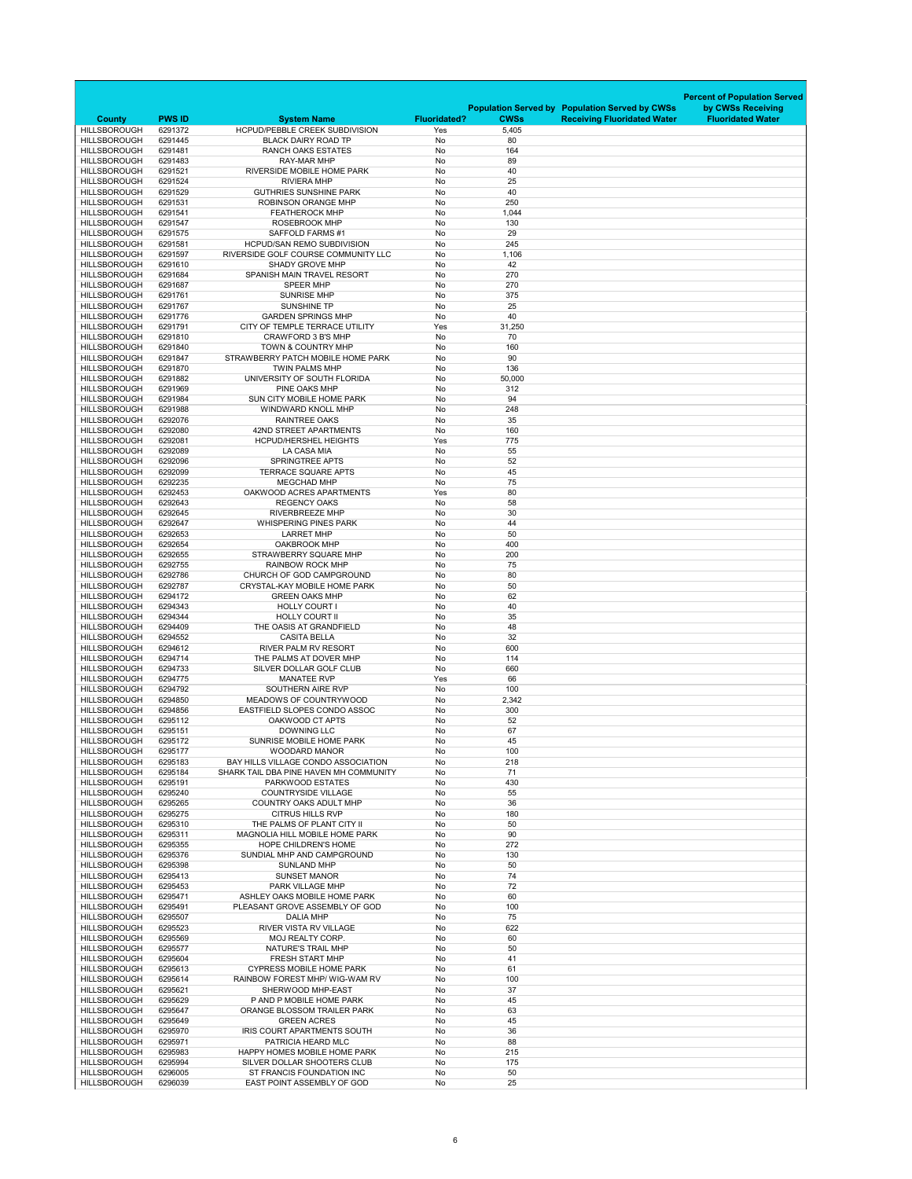|                                            |                    |                                                                     |                     |               |                                                       | <b>Percent of Population Served</b> |
|--------------------------------------------|--------------------|---------------------------------------------------------------------|---------------------|---------------|-------------------------------------------------------|-------------------------------------|
|                                            |                    |                                                                     |                     |               | <b>Population Served by Population Served by CWSs</b> | by CWSs Receiving                   |
| <b>County</b>                              | <b>PWS ID</b>      | <b>System Name</b>                                                  | <b>Fluoridated?</b> | <b>CWSs</b>   | <b>Receiving Fluoridated Water</b>                    | <b>Fluoridated Water</b>            |
| <b>HILLSBOROUGH</b><br><b>HILLSBOROUGH</b> | 6291372<br>6291445 | <b>HCPUD/PEBBLE CREEK SUBDIVISION</b><br><b>BLACK DAIRY ROAD TP</b> | Yes<br>No           | 5,405<br>80   |                                                       |                                     |
| <b>HILLSBOROUGH</b>                        | 6291481            | <b>RANCH OAKS ESTATES</b>                                           | No                  | 164           |                                                       |                                     |
| <b>HILLSBOROUGH</b>                        | 6291483            | <b>RAY-MAR MHP</b>                                                  | No                  | 89            |                                                       |                                     |
| <b>HILLSBOROUGH</b><br><b>HILLSBOROUGH</b> | 6291521<br>6291524 | RIVERSIDE MOBILE HOME PARK<br><b>RIVIERA MHP</b>                    | No<br><b>No</b>     | 40<br>25      |                                                       |                                     |
| <b>HILLSBOROUGH</b>                        | 6291529            | <b>GUTHRIES SUNSHINE PARK</b>                                       | No                  | 40            |                                                       |                                     |
| <b>HILLSBOROUGH</b>                        | 6291531            | <b>ROBINSON ORANGE MHP</b>                                          | No                  | 250           |                                                       |                                     |
| <b>HILLSBOROUGH</b>                        | 6291541            | <b>FEATHEROCK MHP</b>                                               | No                  | 1,044         |                                                       |                                     |
| <b>HILLSBOROUGH</b><br><b>HILLSBOROUGH</b> | 6291547<br>6291575 | <b>ROSEBROOK MHP</b><br><b>SAFFOLD FARMS#1</b>                      | No<br><b>No</b>     | 130<br>29     |                                                       |                                     |
| <b>HILLSBOROUGH</b>                        | 6291581            | <b>HCPUD/SAN REMO SUBDIVISION</b>                                   | No                  | 245           |                                                       |                                     |
| <b>HILLSBOROUGH</b>                        | 6291597            | RIVERSIDE GOLF COURSE COMMUNITY LLC                                 | No                  | 1,106         |                                                       |                                     |
| <b>HILLSBOROUGH</b>                        | 6291610            | <b>SHADY GROVE MHP</b>                                              | No                  | 42            |                                                       |                                     |
| <b>HILLSBOROUGH</b><br><b>HILLSBOROUGH</b> | 6291684<br>6291687 | SPANISH MAIN TRAVEL RESORT<br><b>SPEER MHP</b>                      | No<br>No            | 270<br>270    |                                                       |                                     |
| <b>HILLSBOROUGH</b>                        | 6291761            | <b>SUNRISE MHP</b>                                                  | No                  | 375           |                                                       |                                     |
| <b>HILLSBOROUGH</b>                        | 6291767            | <b>SUNSHINE TP</b>                                                  | No                  | 25            |                                                       |                                     |
| <b>HILLSBOROUGH</b>                        | 6291776            | <b>GARDEN SPRINGS MHP</b>                                           | No                  | 40            |                                                       |                                     |
| <b>HILLSBOROUGH</b><br><b>HILLSBOROUGH</b> | 6291791<br>6291810 | CITY OF TEMPLE TERRACE UTILITY<br><b>CRAWFORD 3 B'S MHP</b>         | Yes<br>No           | 31,250<br>70  |                                                       |                                     |
| <b>HILLSBOROUGH</b>                        | 6291840            | <b>TOWN &amp; COUNTRY MHP</b>                                       | No                  | 160           |                                                       |                                     |
| <b>HILLSBOROUGH</b>                        | 6291847            | STRAWBERRY PATCH MOBILE HOME PARK                                   | No                  | 90            |                                                       |                                     |
| <b>HILLSBOROUGH</b>                        | 6291870            | <b>TWIN PALMS MHP</b>                                               | No                  | 136           |                                                       |                                     |
| <b>HILLSBOROUGH</b><br><b>HILLSBOROUGH</b> | 6291882<br>6291969 | UNIVERSITY OF SOUTH FLORIDA<br>PINE OAKS MHP                        | No<br>No            | 50,000<br>312 |                                                       |                                     |
| <b>HILLSBOROUGH</b>                        | 6291984            | <b>SUN CITY MOBILE HOME PARK</b>                                    | No                  | 94            |                                                       |                                     |
| <b>HILLSBOROUGH</b>                        | 6291988            | WINDWARD KNOLL MHP                                                  | No                  | 248           |                                                       |                                     |
| <b>HILLSBOROUGH</b>                        | 6292076            | <b>RAINTREE OAKS</b>                                                | No                  | 35            |                                                       |                                     |
| <b>HILLSBOROUGH</b><br><b>HILLSBOROUGH</b> | 6292080<br>6292081 | 42ND STREET APARTMENTS<br><b>HCPUD/HERSHEL HEIGHTS</b>              | No<br>Yes           | 160<br>775    |                                                       |                                     |
| <b>HILLSBOROUGH</b>                        | 6292089            | <b>LA CASA MIA</b>                                                  | No                  | 55            |                                                       |                                     |
| <b>HILLSBOROUGH</b>                        | 6292096            | <b>SPRINGTREE APTS</b>                                              | No                  | 52            |                                                       |                                     |
| <b>HILLSBOROUGH</b><br><b>HILLSBOROUGH</b> | 6292099<br>6292235 | <b>TERRACE SQUARE APTS</b><br><b>MEGCHAD MHP</b>                    | No                  | 45<br>75      |                                                       |                                     |
| <b>HILLSBOROUGH</b>                        | 6292453            | OAKWOOD ACRES APARTMENTS                                            | No<br>Yes           | 80            |                                                       |                                     |
| <b>HILLSBOROUGH</b>                        | 6292643            | <b>REGENCY OAKS</b>                                                 | No                  | 58            |                                                       |                                     |
| <b>HILLSBOROUGH</b>                        | 6292645            | <b>RIVERBREEZE MHP</b>                                              | No                  | 30            |                                                       |                                     |
| <b>HILLSBOROUGH</b><br><b>HILLSBOROUGH</b> | 6292647<br>6292653 | <b>WHISPERING PINES PARK</b><br><b>LARRET MHP</b>                   | No<br>No            | 44<br>50      |                                                       |                                     |
| <b>HILLSBOROUGH</b>                        | 6292654            | <b>OAKBROOK MHP</b>                                                 | No                  | 400           |                                                       |                                     |
| <b>HILLSBOROUGH</b>                        | 6292655            | <b>STRAWBERRY SQUARE MHP</b>                                        | No                  | 200           |                                                       |                                     |
| <b>HILLSBOROUGH</b>                        | 6292755            | <b>RAINBOW ROCK MHP</b>                                             | No                  | 75            |                                                       |                                     |
| <b>HILLSBOROUGH</b><br><b>HILLSBOROUGH</b> | 6292786<br>6292787 | CHURCH OF GOD CAMPGROUND<br><b>CRYSTAL-KAY MOBILE HOME PARK</b>     | No<br>No            | 80<br>50      |                                                       |                                     |
| <b>HILLSBOROUGH</b>                        | 6294172            | <b>GREEN OAKS MHP</b>                                               | No                  | 62            |                                                       |                                     |
| <b>HILLSBOROUGH</b>                        | 6294343            | <b>HOLLY COURT I</b>                                                | No                  | 40            |                                                       |                                     |
| <b>HILLSBOROUGH</b>                        | 6294344            | <b>HOLLY COURT II</b>                                               | No                  | 35            |                                                       |                                     |
| <b>HILLSBOROUGH</b><br><b>HILLSBOROUGH</b> | 6294409<br>6294552 | THE OASIS AT GRANDFIELD<br><b>CASITA BELLA</b>                      | No<br>No            | 48<br>32      |                                                       |                                     |
| <b>HILLSBOROUGH</b>                        | 6294612            | <b>RIVER PALM RV RESORT</b>                                         | No                  | 600           |                                                       |                                     |
| <b>HILLSBOROUGH</b>                        | 6294714            | THE PALMS AT DOVER MHP                                              | No                  | 114           |                                                       |                                     |
| <b>HILLSBOROUGH</b><br><b>HILLSBOROUGH</b> | 6294733<br>6294775 | SILVER DOLLAR GOLF CLUB<br><b>MANATEE RVP</b>                       | No<br>Yes           | 660<br>66     |                                                       |                                     |
| <b>HILLSBOROUGH</b>                        | 6294792            | SOUTHERN AIRE RVP                                                   | No                  | 100           |                                                       |                                     |
| <b>HILLSBOROUGH</b>                        | 6294850            | MEADOWS OF COUNTRYWOOD                                              | No                  | 2,342         |                                                       |                                     |
| <b>HILLSBOROUGH</b>                        | 6294856            | EASTFIELD SLOPES CONDO ASSOC                                        | No                  | 300           |                                                       |                                     |
| <b>HILLSBOROUGH</b><br><b>HILLSBOROUGH</b> | 6295112<br>6295151 | OAKWOOD CT APTS<br><b>DOWNING LLC</b>                               | No<br>No            | 52<br>67      |                                                       |                                     |
| <b>HILLSBOROUGH</b>                        | 6295172            | <b>SUNRISE MOBILE HOME PARK</b>                                     | No                  | 45            |                                                       |                                     |
| <b>HILLSBOROUGH</b>                        | 6295177            | <b>WOODARD MANOR</b>                                                | No                  | 100           |                                                       |                                     |
| <b>HILLSBOROUGH</b>                        | 6295183            | BAY HILLS VILLAGE CONDO ASSOCIATION                                 | No                  | 218           |                                                       |                                     |
| <b>HILLSBOROUGH</b><br><b>HILLSBOROUGH</b> | 6295184<br>6295191 | SHARK TAIL DBA PINE HAVEN MH COMMUNITY<br><b>PARKWOOD ESTATES</b>   | No<br>No            | 71<br>430     |                                                       |                                     |
| <b>HILLSBOROUGH</b>                        | 6295240            | <b>COUNTRYSIDE VILLAGE</b>                                          | No                  | 55            |                                                       |                                     |
| <b>HILLSBOROUGH</b>                        | 6295265            | <b>COUNTRY OAKS ADULT MHP</b>                                       | No                  | 36            |                                                       |                                     |
| <b>HILLSBOROUGH</b><br><b>HILLSBOROUGH</b> | 6295275<br>6295310 | <b>CITRUS HILLS RVP</b><br>THE PALMS OF PLANT CITY II               | No<br>No            | 180<br>50     |                                                       |                                     |
| <b>HILLSBOROUGH</b>                        | 6295311            | <b>MAGNOLIA HILL MOBILE HOME PARK</b>                               | No                  | 90            |                                                       |                                     |
| <b>HILLSBOROUGH</b>                        | 6295355            | <b>HOPE CHILDREN'S HOME</b>                                         | No                  | 272           |                                                       |                                     |
| <b>HILLSBOROUGH</b>                        | 6295376            | SUNDIAL MHP AND CAMPGROUND                                          | No                  | 130           |                                                       |                                     |
| <b>HILLSBOROUGH</b><br><b>HILLSBOROUGH</b> | 6295398<br>6295413 | <b>SUNLAND MHP</b><br><b>SUNSET MANOR</b>                           | No<br>No            | 50<br>74      |                                                       |                                     |
| <b>HILLSBOROUGH</b>                        | 6295453            | <b>PARK VILLAGE MHP</b>                                             | No                  | 72            |                                                       |                                     |
| <b>HILLSBOROUGH</b>                        | 6295471            | ASHLEY OAKS MOBILE HOME PARK                                        | No                  | 60            |                                                       |                                     |
| <b>HILLSBOROUGH</b>                        | 6295491            | PLEASANT GROVE ASSEMBLY OF GOD                                      | No                  | 100           |                                                       |                                     |
| <b>HILLSBOROUGH</b><br><b>HILLSBOROUGH</b> | 6295507<br>6295523 | <b>DALIA MHP</b><br><b>RIVER VISTA RV VILLAGE</b>                   | No<br>No            | 75<br>622     |                                                       |                                     |
| <b>HILLSBOROUGH</b>                        | 6295569            | <b>MOJ REALTY CORP.</b>                                             | No                  | 60            |                                                       |                                     |
| <b>HILLSBOROUGH</b>                        | 6295577            | <b>NATURE'S TRAIL MHP</b>                                           | No                  | 50            |                                                       |                                     |
| <b>HILLSBOROUGH</b>                        | 6295604            | <b>FRESH START MHP</b>                                              | No                  | 41            |                                                       |                                     |
| <b>HILLSBOROUGH</b><br><b>HILLSBOROUGH</b> | 6295613<br>6295614 | <b>CYPRESS MOBILE HOME PARK</b><br>RAINBOW FOREST MHP/ WIG-WAM RV   | No<br>No            | 61<br>100     |                                                       |                                     |
| <b>HILLSBOROUGH</b>                        | 6295621            | SHERWOOD MHP-EAST                                                   | No                  | 37            |                                                       |                                     |
| <b>HILLSBOROUGH</b>                        | 6295629            | P AND P MOBILE HOME PARK                                            | No                  | 45            |                                                       |                                     |
| <b>HILLSBOROUGH</b><br><b>HILLSBOROUGH</b> | 6295647<br>6295649 | ORANGE BLOSSOM TRAILER PARK<br><b>GREEN ACRES</b>                   | No<br>No            | 63<br>45      |                                                       |                                     |
| <b>HILLSBOROUGH</b>                        | 6295970            | IRIS COURT APARTMENTS SOUTH                                         | No                  | 36            |                                                       |                                     |
| <b>HILLSBOROUGH</b>                        | 6295971            | PATRICIA HEARD MLC                                                  | No                  | 88            |                                                       |                                     |
| <b>HILLSBOROUGH</b>                        | 6295983            | HAPPY HOMES MOBILE HOME PARK                                        | No                  | 215           |                                                       |                                     |
| <b>HILLSBOROUGH</b><br><b>HILLSBOROUGH</b> | 6295994<br>6296005 | SILVER DOLLAR SHOOTERS CLUB<br>ST FRANCIS FOUNDATION INC            | No<br>No            | 175<br>50     |                                                       |                                     |
| <b>HILLSBOROUGH</b>                        | 6296039            | EAST POINT ASSEMBLY OF GOD                                          | No                  | 25            |                                                       |                                     |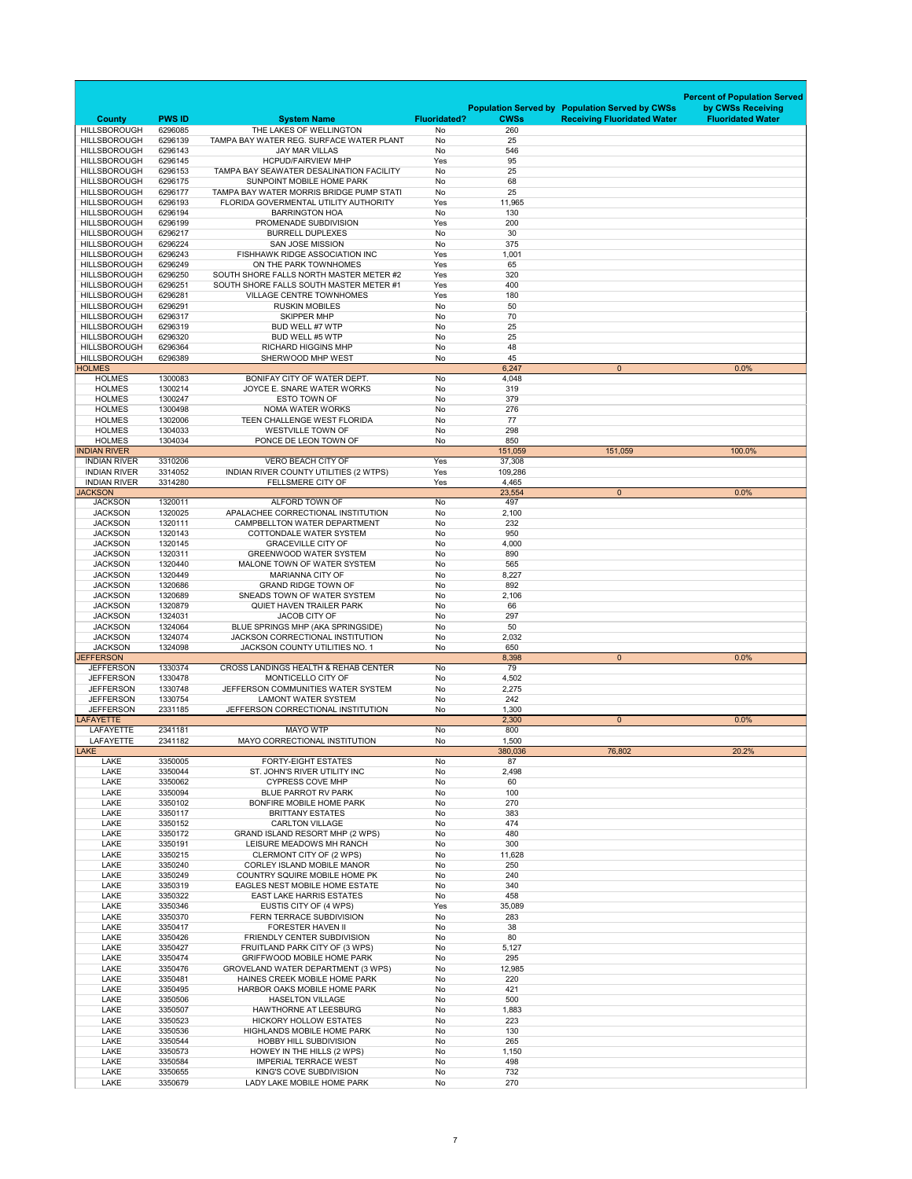|                                            |                    |                                                                              |                     |                |                                                       | <b>Percent of Population Served</b> |
|--------------------------------------------|--------------------|------------------------------------------------------------------------------|---------------------|----------------|-------------------------------------------------------|-------------------------------------|
|                                            |                    |                                                                              |                     |                | <b>Population Served by Population Served by CWSs</b> | by CWSs Receiving                   |
| <b>County</b>                              | <b>PWS ID</b>      | <b>System Name</b>                                                           | <b>Fluoridated?</b> | <b>CWSs</b>    | <b>Receiving Fluoridated Water</b>                    | <b>Fluoridated Water</b>            |
| <b>HILLSBOROUGH</b><br><b>HILLSBOROUGH</b> | 6296085<br>6296139 | THE LAKES OF WELLINGTON<br>TAMPA BAY WATER REG. SURFACE WATER PLANT          | No<br>No            | 260<br>25      |                                                       |                                     |
| <b>HILLSBOROUGH</b>                        | 6296143            | <b>JAY MAR VILLAS</b>                                                        | No                  | 546            |                                                       |                                     |
| <b>HILLSBOROUGH</b>                        | 6296145            | <b>HCPUD/FAIRVIEW MHP</b>                                                    | Yes                 | 95             |                                                       |                                     |
| <b>HILLSBOROUGH</b>                        | 6296153            | TAMPA BAY SEAWATER DESALINATION FACILITY                                     | No                  | 25             |                                                       |                                     |
| <b>HILLSBOROUGH</b><br><b>HILLSBOROUGH</b> | 6296175<br>6296177 | <b>SUNPOINT MOBILE HOME PARK</b><br>TAMPA BAY WATER MORRIS BRIDGE PUMP STATI | No<br><b>No</b>     | 68<br>25       |                                                       |                                     |
| <b>HILLSBOROUGH</b>                        | 6296193            | FLORIDA GOVERMENTAL UTILITY AUTHORITY                                        | Yes                 | 11,965         |                                                       |                                     |
| <b>HILLSBOROUGH</b>                        | 6296194            | <b>BARRINGTON HOA</b>                                                        | No                  | 130            |                                                       |                                     |
| <b>HILLSBOROUGH</b>                        | 6296199            | PROMENADE SUBDIVISION                                                        | Yes                 | 200            |                                                       |                                     |
| <b>HILLSBOROUGH</b>                        | 6296217            | <b>BURRELL DUPLEXES</b>                                                      | No                  | 30             |                                                       |                                     |
| <b>HILLSBOROUGH</b><br><b>HILLSBOROUGH</b> | 6296224<br>6296243 | <b>SAN JOSE MISSION</b><br><b>FISHHAWK RIDGE ASSOCIATION INC</b>             | <b>No</b><br>Yes    | 375<br>1,001   |                                                       |                                     |
| <b>HILLSBOROUGH</b>                        | 6296249            | ON THE PARK TOWNHOMES                                                        | Yes                 | 65             |                                                       |                                     |
| <b>HILLSBOROUGH</b>                        | 6296250            | SOUTH SHORE FALLS NORTH MASTER METER #2                                      | Yes                 | 320            |                                                       |                                     |
| <b>HILLSBOROUGH</b>                        | 6296251            | SOUTH SHORE FALLS SOUTH MASTER METER #1                                      | Yes                 | 400            |                                                       |                                     |
| <b>HILLSBOROUGH</b>                        | 6296281            | <b>VILLAGE CENTRE TOWNHOMES</b>                                              | Yes                 | 180            |                                                       |                                     |
| <b>HILLSBOROUGH</b><br><b>HILLSBOROUGH</b> | 6296291<br>6296317 | <b>RUSKIN MOBILES</b><br><b>SKIPPER MHP</b>                                  | No<br>No            | 50<br>70       |                                                       |                                     |
| <b>HILLSBOROUGH</b>                        | 6296319            | <b>BUD WELL #7 WTP</b>                                                       | No                  | 25             |                                                       |                                     |
| <b>HILLSBOROUGH</b>                        | 6296320            | <b>BUD WELL #5 WTP</b>                                                       | No                  | 25             |                                                       |                                     |
| <b>HILLSBOROUGH</b>                        | 6296364            | <b>RICHARD HIGGINS MHP</b>                                                   | No                  | 48             |                                                       |                                     |
| <b>HILLSBOROUGH</b>                        | 6296389            | SHERWOOD MHP WEST                                                            | No                  | 45             |                                                       |                                     |
| <b>HOLMES</b><br><b>HOLMES</b>             | 1300083            | BONIFAY CITY OF WATER DEPT.                                                  | No                  | 6,247<br>4,048 | $\overline{0}$                                        | 0.0%                                |
| <b>HOLMES</b>                              | 1300214            | JOYCE E. SNARE WATER WORKS                                                   | No                  | 319            |                                                       |                                     |
| <b>HOLMES</b>                              | 1300247            | <b>ESTO TOWN OF</b>                                                          | No                  | 379            |                                                       |                                     |
| <b>HOLMES</b>                              | 1300498            | <b>NOMA WATER WORKS</b>                                                      | No                  | 276            |                                                       |                                     |
| <b>HOLMES</b>                              | 1302006            | TEEN CHALLENGE WEST FLORIDA                                                  | No                  | 77             |                                                       |                                     |
| <b>HOLMES</b><br><b>HOLMES</b>             | 1304033<br>1304034 | <b>WESTVILLE TOWN OF</b><br>PONCE DE LEON TOWN OF                            | No<br>No            | 298<br>850     |                                                       |                                     |
| <b>INDIAN RIVER</b>                        |                    |                                                                              |                     | 151,059        | 151,059                                               | 100.0%                              |
| <b>INDIAN RIVER</b>                        | 3310206            | <b>VERO BEACH CITY OF</b>                                                    | Yes                 | 37,308         |                                                       |                                     |
| <b>INDIAN RIVER</b>                        | 3314052            | INDIAN RIVER COUNTY UTILITIES (2 WTPS)                                       | Yes                 | 109,286        |                                                       |                                     |
| <b>INDIAN RIVER</b>                        | 3314280            | FELLSMERE CITY OF                                                            | Yes                 | 4,465          |                                                       |                                     |
| <b>JACKSON</b><br><b>JACKSON</b>           | 1320011            | ALFORD TOWN OF                                                               | No                  | 23,554<br>497  | $\overline{0}$                                        | 0.0%                                |
| <b>JACKSON</b>                             | 1320025            | APALACHEE CORRECTIONAL INSTITUTION                                           | No                  | 2,100          |                                                       |                                     |
| <b>JACKSON</b>                             | 1320111            | <b>CAMPBELLTON WATER DEPARTMENT</b>                                          | No                  | 232            |                                                       |                                     |
| <b>JACKSON</b>                             | 1320143            | <b>COTTONDALE WATER SYSTEM</b>                                               | No                  | 950            |                                                       |                                     |
| <b>JACKSON</b><br><b>JACKSON</b>           | 1320145<br>1320311 | <b>GRACEVILLE CITY OF</b><br><b>GREENWOOD WATER SYSTEM</b>                   | No<br>No            | 4,000<br>890   |                                                       |                                     |
| <b>JACKSON</b>                             | 1320440            | MALONE TOWN OF WATER SYSTEM                                                  | No                  | 565            |                                                       |                                     |
| <b>JACKSON</b>                             | 1320449            | <b>MARIANNA CITY OF</b>                                                      | No                  | 8,227          |                                                       |                                     |
| <b>JACKSON</b>                             | 1320686            | <b>GRAND RIDGE TOWN OF</b>                                                   | No                  | 892            |                                                       |                                     |
| <b>JACKSON</b>                             | 1320689            | SNEADS TOWN OF WATER SYSTEM                                                  | No                  | 2,106          |                                                       |                                     |
| <b>JACKSON</b><br><b>JACKSON</b>           | 1320879<br>1324031 | <b>QUIET HAVEN TRAILER PARK</b><br>JACOB CITY OF                             | No<br>No            | 66<br>297      |                                                       |                                     |
| <b>JACKSON</b>                             | 1324064            | BLUE SPRINGS MHP (AKA SPRINGSIDE)                                            | No                  | 50             |                                                       |                                     |
| <b>JACKSON</b>                             | 1324074            | <b>JACKSON CORRECTIONAL INSTITUTION</b>                                      | No                  | 2,032          |                                                       |                                     |
| <b>JACKSON</b>                             | 1324098            | <b>JACKSON COUNTY UTILITIES NO. 1</b>                                        | No                  | 650            |                                                       |                                     |
| <b>JEFFERSON</b>                           |                    | <b>CROSS LANDINGS HEALTH &amp; REHAB CENTER</b>                              |                     | 8,398<br>79    | $\overline{0}$                                        | 0.0%                                |
| <b>JEFFERSON</b><br><b>JEFFERSON</b>       | 1330374<br>1330478 | MONTICELLO CITY OF                                                           | No<br>No            | 4,502          |                                                       |                                     |
| <b>JEFFERSON</b>                           | 1330748            | JEFFERSON COMMUNITIES WATER SYSTEM                                           | No                  | 2,275          |                                                       |                                     |
| <b>JEFFERSON</b>                           | 1330754            | <b>LAMONT WATER SYSTEM</b>                                                   | No                  | 242            |                                                       |                                     |
| <b>JEFFERSON</b>                           | 2331185            | JEFFERSON CORRECTIONAL INSTITUTION                                           | No                  | 1,300          |                                                       |                                     |
| <b>LAFAYETTE</b><br><b>LAFAYETTE</b>       | 2341181            | <b>MAYO WTP</b>                                                              | No                  | 2,300<br>800   | $\overline{0}$                                        | 0.0%                                |
| <b>LAFAYETTE</b>                           | 2341182            | MAYO CORRECTIONAL INSTITUTION                                                | No                  | 1,500          |                                                       |                                     |
| <b>LAKE</b>                                |                    |                                                                              |                     | 380,036        | 76,802                                                | 20.2%                               |
| <b>LAKE</b>                                | 3350005            | <b>FORTY-EIGHT ESTATES</b>                                                   | No                  | 87             |                                                       |                                     |
| <b>LAKE</b>                                | 3350044            | ST. JOHN'S RIVER UTILITY INC                                                 | No                  | 2,498          |                                                       |                                     |
| <b>LAKE</b><br><b>LAKE</b>                 | 3350062<br>3350094 | <b>CYPRESS COVE MHP</b><br><b>BLUE PARROT RV PARK</b>                        | No<br>No            | 60<br>100      |                                                       |                                     |
| <b>LAKE</b>                                | 3350102            | BONFIRE MOBILE HOME PARK                                                     | No                  | 270            |                                                       |                                     |
| <b>LAKE</b>                                | 3350117            | <b>BRITTANY ESTATES</b>                                                      | No                  | 383            |                                                       |                                     |
| <b>LAKE</b>                                | 3350152            | <b>CARLTON VILLAGE</b>                                                       | No                  | 474            |                                                       |                                     |
| <b>LAKE</b><br><b>LAKE</b>                 | 3350172            | <b>GRAND ISLAND RESORT MHP (2 WPS)</b>                                       | No<br>No            | 480<br>300     |                                                       |                                     |
| <b>LAKE</b>                                | 3350191<br>3350215 | LEISURE MEADOWS MH RANCH<br>CLERMONT CITY OF (2 WPS)                         | No                  | 11,628         |                                                       |                                     |
| <b>LAKE</b>                                | 3350240            | <b>CORLEY ISLAND MOBILE MANOR</b>                                            | No                  | 250            |                                                       |                                     |
| <b>LAKE</b>                                | 3350249            | <b>COUNTRY SQUIRE MOBILE HOME PK</b>                                         | No                  | 240            |                                                       |                                     |
| <b>LAKE</b>                                | 3350319            | <b>EAGLES NEST MOBILE HOME ESTATE</b>                                        | No                  | 340            |                                                       |                                     |
| <b>LAKE</b>                                | 3350322            | <b>EAST LAKE HARRIS ESTATES</b>                                              | No                  | 458            |                                                       |                                     |
| <b>LAKE</b><br><b>LAKE</b>                 | 3350346<br>3350370 | EUSTIS CITY OF (4 WPS)<br>FERN TERRACE SUBDIVISION                           | Yes<br>No           | 35,089<br>283  |                                                       |                                     |
| <b>LAKE</b>                                | 3350417            | <b>FORESTER HAVEN II</b>                                                     | No                  | 38             |                                                       |                                     |
| <b>LAKE</b>                                | 3350426            | FRIENDLY CENTER SUBDIVISION                                                  | No                  | 80             |                                                       |                                     |
| <b>LAKE</b>                                | 3350427            | FRUITLAND PARK CITY OF (3 WPS)                                               | No                  | 5,127          |                                                       |                                     |
| <b>LAKE</b><br><b>LAKE</b>                 | 3350474<br>3350476 | <b>GRIFFWOOD MOBILE HOME PARK</b><br>GROVELAND WATER DEPARTMENT (3 WPS)      | No<br>No            | 295<br>12,985  |                                                       |                                     |
| <b>LAKE</b>                                | 3350481            | HAINES CREEK MOBILE HOME PARK                                                | No                  | 220            |                                                       |                                     |
| <b>LAKE</b>                                | 3350495            | HARBOR OAKS MOBILE HOME PARK                                                 | No                  | 421            |                                                       |                                     |
| <b>LAKE</b>                                | 3350506            | <b>HASELTON VILLAGE</b>                                                      | No                  | 500            |                                                       |                                     |
| <b>LAKE</b>                                | 3350507            | <b>HAWTHORNE AT LEESBURG</b>                                                 | No                  | 1,883          |                                                       |                                     |
| <b>LAKE</b><br><b>LAKE</b>                 | 3350523<br>3350536 | <b>HICKORY HOLLOW ESTATES</b><br><b>HIGHLANDS MOBILE HOME PARK</b>           | No<br>No            | 223<br>130     |                                                       |                                     |
| <b>LAKE</b>                                | 3350544            | <b>HOBBY HILL SUBDIVISION</b>                                                | <b>No</b>           | 265            |                                                       |                                     |
| <b>LAKE</b>                                | 3350573            | HOWEY IN THE HILLS (2 WPS)                                                   | No                  | 1,150          |                                                       |                                     |
| LAKE                                       | 3350584            | <b>IMPERIAL TERRACE WEST</b>                                                 | No                  | 498            |                                                       |                                     |
| <b>LAKE</b><br><b>LAKE</b>                 | 3350655<br>3350679 | KING'S COVE SUBDIVISION<br>LADY LAKE MOBILE HOME PARK                        | No<br>No            | 732<br>270     |                                                       |                                     |
|                                            |                    |                                                                              |                     |                |                                                       |                                     |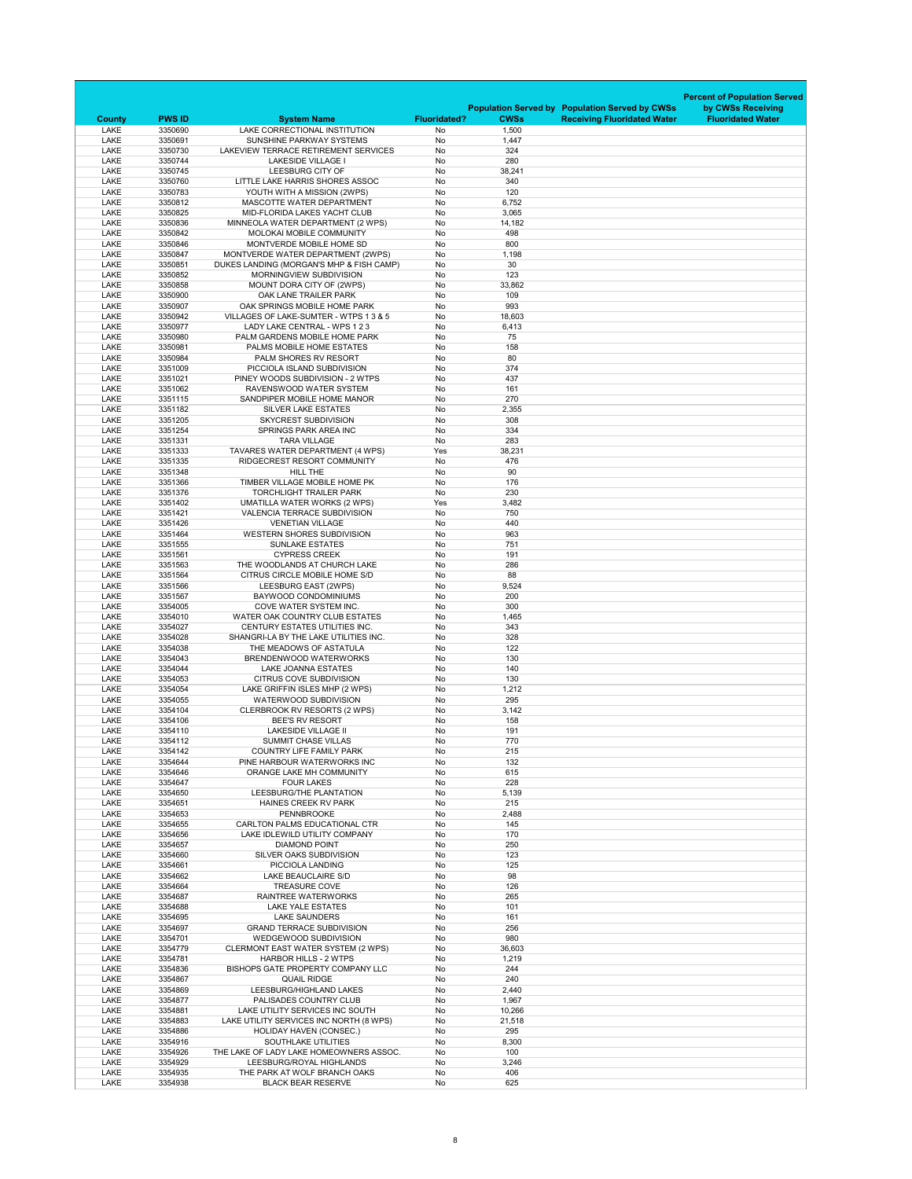|                              |                          |                                                                           |                                  |                      |                                                       | <b>Percent of Population Served</b> |
|------------------------------|--------------------------|---------------------------------------------------------------------------|----------------------------------|----------------------|-------------------------------------------------------|-------------------------------------|
|                              |                          |                                                                           |                                  |                      | <b>Population Served by Population Served by CWSs</b> | by CWSs Receiving                   |
| <b>County</b><br><b>LAKE</b> | <b>PWS ID</b><br>3350690 | <b>System Name</b><br>LAKE CORRECTIONAL INSTITUTION                       | <b>Fluoridated?</b><br><b>No</b> | <b>CWSs</b><br>1,500 | <b>Receiving Fluoridated Water</b>                    | <b>Fluoridated Water</b>            |
| <b>LAKE</b>                  | 3350691                  | SUNSHINE PARKWAY SYSTEMS                                                  | No                               | 1,447                |                                                       |                                     |
| <b>LAKE</b>                  | 3350730                  | LAKEVIEW TERRACE RETIREMENT SERVICES                                      | No                               | 324                  |                                                       |                                     |
| <b>LAKE</b>                  | 3350744                  | <b>LAKESIDE VILLAGE I</b>                                                 | No                               | 280                  |                                                       |                                     |
| <b>LAKE</b>                  | 3350745                  | LEESBURG CITY OF                                                          | <b>No</b>                        | 38,241               |                                                       |                                     |
| <b>LAKE</b>                  | 3350760                  | LITTLE LAKE HARRIS SHORES ASSOC                                           | No                               | 340                  |                                                       |                                     |
| <b>LAKE</b><br><b>LAKE</b>   | 3350783<br>3350812       | YOUTH WITH A MISSION (2WPS)<br>MASCOTTE WATER DEPARTMENT                  | No<br>No                         | 120                  |                                                       |                                     |
| <b>LAKE</b>                  | 3350825                  | MID-FLORIDA LAKES YACHT CLUB                                              | No                               | 6,752<br>3,065       |                                                       |                                     |
| <b>LAKE</b>                  | 3350836                  | MINNEOLA WATER DEPARTMENT (2 WPS)                                         | No                               | 14,182               |                                                       |                                     |
| <b>LAKE</b>                  | 3350842                  | MOLOKAI MOBILE COMMUNITY                                                  | No                               | 498                  |                                                       |                                     |
| <b>LAKE</b>                  | 3350846                  | MONTVERDE MOBILE HOME SD                                                  | No                               | 800                  |                                                       |                                     |
| <b>LAKE</b>                  | 3350847                  | MONTVERDE WATER DEPARTMENT (2WPS)                                         | No                               | 1,198                |                                                       |                                     |
| <b>LAKE</b>                  | 3350851                  | DUKES LANDING (MORGAN'S MHP & FISH CAMP)                                  | No                               | 30                   |                                                       |                                     |
| <b>LAKE</b><br><b>LAKE</b>   | 3350852                  | MORNINGVIEW SUBDIVISION<br>MOUNT DORA CITY OF (2WPS)                      | No<br>No                         | 123                  |                                                       |                                     |
| <b>LAKE</b>                  | 3350858<br>3350900       | OAK LANE TRAILER PARK                                                     | No                               | 33,862<br>109        |                                                       |                                     |
| <b>LAKE</b>                  | 3350907                  | OAK SPRINGS MOBILE HOME PARK                                              | No                               | 993                  |                                                       |                                     |
| <b>LAKE</b>                  | 3350942                  | VILLAGES OF LAKE-SUMTER - WTPS 1 3 & 5                                    | No                               | 18,603               |                                                       |                                     |
| <b>LAKE</b>                  | 3350977                  | LADY LAKE CENTRAL - WPS 1 2 3                                             | No                               | 6,413                |                                                       |                                     |
| <b>LAKE</b>                  | 3350980                  | PALM GARDENS MOBILE HOME PARK                                             | No                               | 75                   |                                                       |                                     |
| <b>LAKE</b>                  | 3350981                  | PALMS MOBILE HOME ESTATES                                                 | No                               | 158                  |                                                       |                                     |
| <b>LAKE</b>                  | 3350984                  | PALM SHORES RV RESORT                                                     | No                               | 80                   |                                                       |                                     |
| <b>LAKE</b><br><b>LAKE</b>   | 3351009<br>3351021       | PICCIOLA ISLAND SUBDIVISION<br>PINEY WOODS SUBDIVISION - 2 WTPS           | No<br>No                         | 374<br>437           |                                                       |                                     |
| <b>LAKE</b>                  | 3351062                  | RAVENSWOOD WATER SYSTEM                                                   | No                               | 161                  |                                                       |                                     |
| <b>LAKE</b>                  | 3351115                  | SANDPIPER MOBILE HOME MANOR                                               | No                               | 270                  |                                                       |                                     |
| LAKE                         | 3351182                  | <b>SILVER LAKE ESTATES</b>                                                | No                               | 2,355                |                                                       |                                     |
| <b>LAKE</b>                  | 3351205                  | <b>SKYCREST SUBDIVISION</b>                                               | No                               | 308                  |                                                       |                                     |
| <b>LAKE</b>                  | 3351254                  | SPRINGS PARK AREA INC                                                     | No                               | 334                  |                                                       |                                     |
| <b>LAKE</b><br><b>LAKE</b>   | 3351331                  | <b>TARA VILLAGE</b>                                                       | No                               | 283                  |                                                       |                                     |
| LAKE                         | 3351333<br>3351335       | TAVARES WATER DEPARTMENT (4 WPS)<br>RIDGECREST RESORT COMMUNITY           | Yes<br>No                        | 38,231<br>476        |                                                       |                                     |
| LAKE                         | 3351348                  | <b>HILL THE</b>                                                           | No                               | 90                   |                                                       |                                     |
| <b>LAKE</b>                  | 3351366                  | TIMBER VILLAGE MOBILE HOME PK                                             | No                               | 176                  |                                                       |                                     |
| <b>LAKE</b>                  | 3351376                  | <b>TORCHLIGHT TRAILER PARK</b>                                            | No                               | 230                  |                                                       |                                     |
| <b>LAKE</b>                  | 3351402                  | <b>UMATILLA WATER WORKS (2 WPS)</b>                                       | Yes                              | 3,482                |                                                       |                                     |
| <b>LAKE</b>                  | 3351421                  | <b>VALENCIA TERRACE SUBDIVISION</b>                                       | No                               | 750                  |                                                       |                                     |
| LAKE                         | 3351426                  | <b>VENETIAN VILLAGE</b>                                                   | No                               | 440                  |                                                       |                                     |
| <b>LAKE</b><br><b>LAKE</b>   | 3351464<br>3351555       | <b>WESTERN SHORES SUBDIVISION</b><br><b>SUNLAKE ESTATES</b>               | No<br>No                         | 963<br>751           |                                                       |                                     |
| <b>LAKE</b>                  | 3351561                  | <b>CYPRESS CREEK</b>                                                      | No                               | 191                  |                                                       |                                     |
| <b>LAKE</b>                  | 3351563                  | THE WOODLANDS AT CHURCH LAKE                                              | No                               | 286                  |                                                       |                                     |
| <b>LAKE</b>                  | 3351564                  | CITRUS CIRCLE MOBILE HOME S/D                                             | No                               | 88                   |                                                       |                                     |
| <b>LAKE</b>                  | 3351566                  | LEESBURG EAST (2WPS)                                                      | No                               | 9,524                |                                                       |                                     |
| LAKE                         | 3351567                  | <b>BAYWOOD CONDOMINIUMS</b>                                               | No                               | 200                  |                                                       |                                     |
| <b>LAKE</b>                  | 3354005                  | COVE WATER SYSTEM INC.                                                    | No                               | 300                  |                                                       |                                     |
| <b>LAKE</b><br><b>LAKE</b>   | 3354010<br>3354027       | WATER OAK COUNTRY CLUB ESTATES<br><b>CENTURY ESTATES UTILITIES INC.</b>   | No<br>No                         | 1,465<br>343         |                                                       |                                     |
| <b>LAKE</b>                  | 3354028                  | SHANGRI-LA BY THE LAKE UTILITIES INC.                                     | No                               | 328                  |                                                       |                                     |
| LAKE                         | 3354038                  | THE MEADOWS OF ASTATULA                                                   | No                               | 122                  |                                                       |                                     |
| <b>LAKE</b>                  | 3354043                  | BRENDENWOOD WATERWORKS                                                    | No                               | 130                  |                                                       |                                     |
| <b>LAKE</b>                  | 3354044                  | <b>LAKE JOANNA ESTATES</b>                                                | No                               | 140                  |                                                       |                                     |
| <b>LAKE</b>                  | 3354053                  | <b>CITRUS COVE SUBDIVISION</b>                                            | No                               | 130                  |                                                       |                                     |
| <b>LAKE</b>                  | 3354054                  | LAKE GRIFFIN ISLES MHP (2 WPS)                                            | No                               | 1,212                |                                                       |                                     |
| <b>LAKE</b><br><b>LAKE</b>   | 3354055<br>3354104       | <b>WATERWOOD SUBDIVISION</b><br><b>CLERBROOK RV RESORTS (2 WPS)</b>       | No<br>No                         | 295<br>3,142         |                                                       |                                     |
| <b>LAKE</b>                  | 3354106                  | <b>BEE'S RV RESORT</b>                                                    | No                               | 158                  |                                                       |                                     |
| <b>LAKE</b>                  | 3354110                  | <b>LAKESIDE VILLAGE II</b>                                                | No                               | 191                  |                                                       |                                     |
| <b>LAKE</b>                  | 3354112                  | <b>SUMMIT CHASE VILLAS</b>                                                | No                               | 770                  |                                                       |                                     |
| <b>LAKE</b>                  | 3354142                  | <b>COUNTRY LIFE FAMILY PARK</b>                                           | No                               | 215                  |                                                       |                                     |
| <b>LAKE</b>                  | 3354644                  | PINE HARBOUR WATERWORKS INC                                               | No                               | 132                  |                                                       |                                     |
| <b>LAKE</b>                  | 3354646                  | ORANGE LAKE MH COMMUNITY                                                  | No                               | 615                  |                                                       |                                     |
| <b>LAKE</b><br><b>LAKE</b>   | 3354647<br>3354650       | <b>FOUR LAKES</b><br>LEESBURG/THE PLANTATION                              | No<br>No                         | 228<br>5,139         |                                                       |                                     |
| <b>LAKE</b>                  | 3354651                  | <b>HAINES CREEK RV PARK</b>                                               | No                               | 215                  |                                                       |                                     |
| <b>LAKE</b>                  | 3354653                  | <b>PENNBROOKE</b>                                                         | No                               | 2,488                |                                                       |                                     |
| <b>LAKE</b>                  | 3354655                  | <b>CARLTON PALMS EDUCATIONAL CTR</b>                                      | No                               | 145                  |                                                       |                                     |
| <b>LAKE</b>                  | 3354656                  | LAKE IDLEWILD UTILITY COMPANY                                             | No                               | 170                  |                                                       |                                     |
| <b>LAKE</b>                  | 3354657                  | <b>DIAMOND POINT</b>                                                      | No                               | 250                  |                                                       |                                     |
| <b>LAKE</b>                  | 3354660                  | <b>SILVER OAKS SUBDIVISION</b>                                            | No                               | 123                  |                                                       |                                     |
| <b>LAKE</b><br><b>LAKE</b>   | 3354661<br>3354662       | PICCIOLA LANDING<br>LAKE BEAUCLAIRE S/D                                   | No<br>No                         | 125<br>98            |                                                       |                                     |
| <b>LAKE</b>                  | 3354664                  | <b>TREASURE COVE</b>                                                      | No                               | 126                  |                                                       |                                     |
| <b>LAKE</b>                  | 3354687                  | <b>RAINTREE WATERWORKS</b>                                                | No                               | 265                  |                                                       |                                     |
| <b>LAKE</b>                  | 3354688                  | <b>LAKE YALE ESTATES</b>                                                  | No                               | 101                  |                                                       |                                     |
| <b>LAKE</b>                  | 3354695                  | <b>LAKE SAUNDERS</b>                                                      | No                               | 161                  |                                                       |                                     |
| <b>LAKE</b>                  | 3354697                  | <b>GRAND TERRACE SUBDIVISION</b>                                          | No                               | 256                  |                                                       |                                     |
| <b>LAKE</b>                  | 3354701                  | WEDGEWOOD SUBDIVISION                                                     | No                               | 980                  |                                                       |                                     |
| <b>LAKE</b><br><b>LAKE</b>   | 3354779<br>3354781       | <b>CLERMONT EAST WATER SYSTEM (2 WPS)</b><br><b>HARBOR HILLS - 2 WTPS</b> | No<br>No                         | 36,603<br>1,219      |                                                       |                                     |
| <b>LAKE</b>                  | 3354836                  | BISHOPS GATE PROPERTY COMPANY LLC                                         | <b>No</b>                        | 244                  |                                                       |                                     |
| <b>LAKE</b>                  | 3354867                  | <b>QUAIL RIDGE</b>                                                        | No                               | 240                  |                                                       |                                     |
| <b>LAKE</b>                  | 3354869                  | LEESBURG/HIGHLAND LAKES                                                   | No                               | 2,440                |                                                       |                                     |
| <b>LAKE</b>                  | 3354877                  | PALISADES COUNTRY CLUB                                                    | No                               | 1,967                |                                                       |                                     |
| <b>LAKE</b>                  | 3354881                  | LAKE UTILITY SERVICES INC SOUTH                                           | No                               | 10,266               |                                                       |                                     |
| LAKE                         | 3354883                  | LAKE UTILITY SERVICES INC NORTH (8 WPS)                                   | No                               | 21,518               |                                                       |                                     |
| <b>LAKE</b><br><b>LAKE</b>   | 3354886<br>3354916       | <b>HOLIDAY HAVEN (CONSEC.)</b><br><b>SOUTHLAKE UTILITIES</b>              | No<br>No                         | 295<br>8,300         |                                                       |                                     |
| <b>LAKE</b>                  | 3354926                  | THE LAKE OF LADY LAKE HOMEOWNERS ASSOC.                                   | No                               | 100                  |                                                       |                                     |
| <b>LAKE</b>                  | 3354929                  | LEESBURG/ROYAL HIGHLANDS                                                  | No                               | 3,246                |                                                       |                                     |
| <b>LAKE</b>                  | 3354935                  | THE PARK AT WOLF BRANCH OAKS                                              | No                               | 406                  |                                                       |                                     |
| <b>LAKE</b>                  | 3354938                  | <b>BLACK BEAR RESERVE</b>                                                 | No                               | 625                  |                                                       |                                     |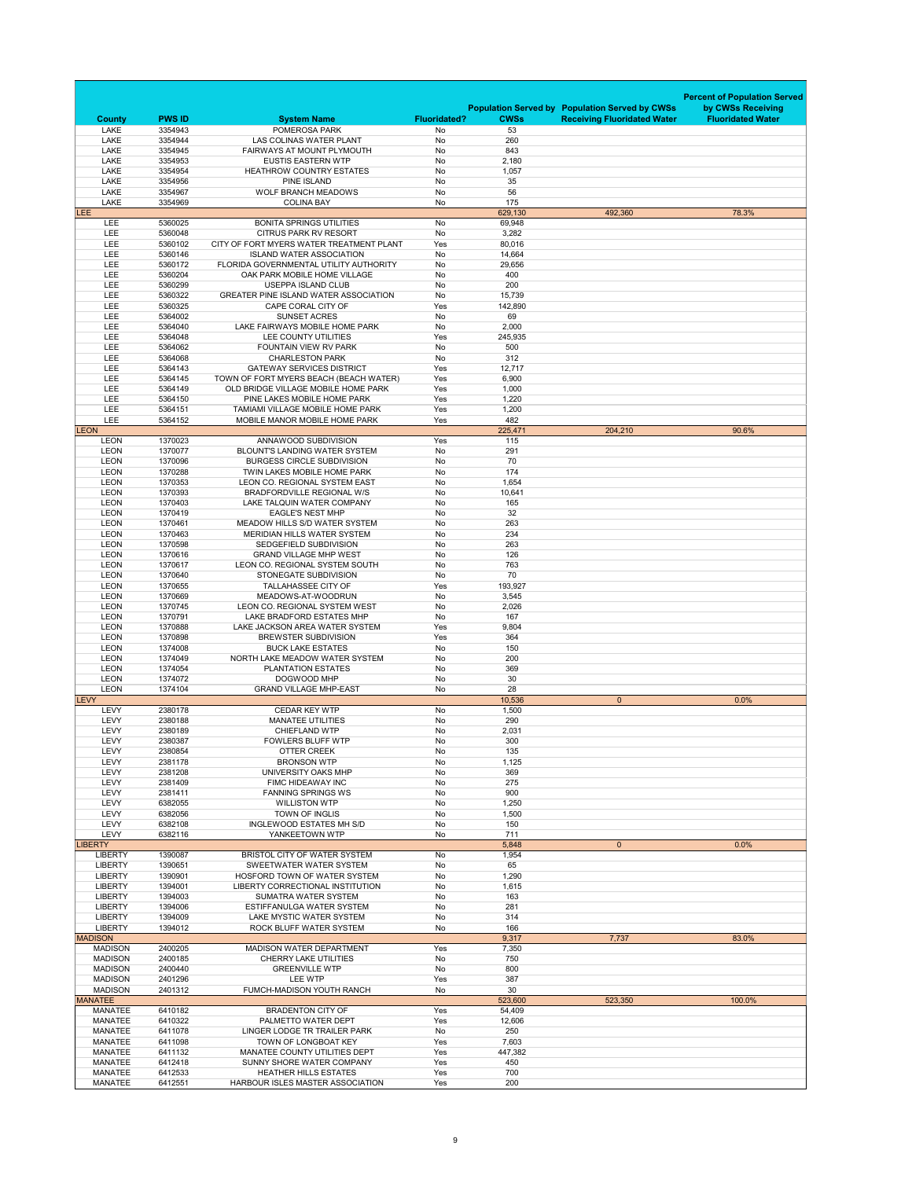|                                  |                          |                                                                               |                           |                   |                                                       | <b>Percent of Population Served</b> |
|----------------------------------|--------------------------|-------------------------------------------------------------------------------|---------------------------|-------------------|-------------------------------------------------------|-------------------------------------|
|                                  |                          |                                                                               |                           |                   | <b>Population Served by Population Served by CWSs</b> | by CWSs Receiving                   |
| <b>County</b><br><b>LAKE</b>     | <b>PWS ID</b><br>3354943 | <b>System Name</b><br>POMEROSA PARK                                           | <b>Fluoridated?</b><br>No | <b>CWSs</b><br>53 | <b>Receiving Fluoridated Water</b>                    | <b>Fluoridated Water</b>            |
| <b>LAKE</b>                      | 3354944                  | LAS COLINAS WATER PLANT                                                       | No                        | 260               |                                                       |                                     |
| <b>LAKE</b><br><b>LAKE</b>       | 3354945<br>3354953       | FAIRWAYS AT MOUNT PLYMOUTH<br><b>EUSTIS EASTERN WTP</b>                       | No<br>No                  | 843<br>2,180      |                                                       |                                     |
| <b>LAKE</b>                      | 3354954                  | <b>HEATHROW COUNTRY ESTATES</b>                                               | No                        | 1,057             |                                                       |                                     |
| <b>LAKE</b><br><b>LAKE</b>       | 3354956<br>3354967       | <b>PINE ISLAND</b><br><b>WOLF BRANCH MEADOWS</b>                              | No<br>No                  | 35<br>56          |                                                       |                                     |
| <b>LAKE</b>                      | 3354969                  | <b>COLINA BAY</b>                                                             | No                        | 175               |                                                       |                                     |
| LEE                              |                          |                                                                               |                           | 629,130           | 492,360                                               | 78.3%                               |
| <b>LEE</b><br>LEE                | 5360025<br>5360048       | <b>BONITA SPRINGS UTILITIES</b><br><b>CITRUS PARK RV RESORT</b>               | No<br>No                  | 69,948<br>3,282   |                                                       |                                     |
| LEE                              | 5360102                  | CITY OF FORT MYERS WATER TREATMENT PLANT                                      | Yes                       | 80,016            |                                                       |                                     |
| LEE                              | 5360146                  | <b>ISLAND WATER ASSOCIATION</b>                                               | No                        | 14,664            |                                                       |                                     |
| LEE<br><b>LEE</b>                | 5360172<br>5360204       | FLORIDA GOVERNMENTAL UTILITY AUTHORITY<br>OAK PARK MOBILE HOME VILLAGE        | No<br>No                  | 29,656<br>400     |                                                       |                                     |
| <b>LEE</b>                       | 5360299                  | <b>USEPPA ISLAND CLUB</b>                                                     | No                        | 200               |                                                       |                                     |
| LEE<br>LEE                       | 5360322<br>5360325       | <b>GREATER PINE ISLAND WATER ASSOCIATION</b><br>CAPE CORAL CITY OF            | No<br>Yes                 | 15,739<br>142,890 |                                                       |                                     |
| LEE                              | 5364002                  | <b>SUNSET ACRES</b>                                                           | No                        | 69                |                                                       |                                     |
| <b>LEE</b>                       | 5364040                  | LAKE FAIRWAYS MOBILE HOME PARK                                                | No                        | 2,000             |                                                       |                                     |
| <b>LEE</b><br>LEE                | 5364048<br>5364062       | LEE COUNTY UTILITIES<br>FOUNTAIN VIEW RV PARK                                 | Yes<br>No                 | 245,935<br>500    |                                                       |                                     |
| <b>LEE</b>                       | 5364068                  | <b>CHARLESTON PARK</b>                                                        | No                        | 312               |                                                       |                                     |
| LEE                              | 5364143                  | <b>GATEWAY SERVICES DISTRICT</b>                                              | Yes                       | 12,717            |                                                       |                                     |
| <b>LEE</b><br><b>LEE</b>         | 5364145<br>5364149       | TOWN OF FORT MYERS BEACH (BEACH WATER)<br>OLD BRIDGE VILLAGE MOBILE HOME PARK | Yes<br>Yes                | 6,900<br>1,000    |                                                       |                                     |
| <b>LEE</b>                       | 5364150                  | PINE LAKES MOBILE HOME PARK                                                   | Yes                       | 1,220             |                                                       |                                     |
| <b>LEE</b>                       | 5364151<br>5364152       | TAMIAMI VILLAGE MOBILE HOME PARK                                              | Yes                       | 1,200             |                                                       |                                     |
| <b>LEE</b><br><b>LEON</b>        |                          | MOBILE MANOR MOBILE HOME PARK                                                 | Yes                       | 482<br>225,471    | 204,210                                               | 90.6%                               |
| <b>LEON</b>                      | 1370023                  | ANNAWOOD SUBDIVISION                                                          | Yes                       | 115               |                                                       |                                     |
| <b>LEON</b><br><b>LEON</b>       | 1370077<br>1370096       | <b>BLOUNT'S LANDING WATER SYSTEM</b><br><b>BURGESS CIRCLE SUBDIVISION</b>     | No<br>No                  | 291<br>70         |                                                       |                                     |
| <b>LEON</b>                      | 1370288                  | TWIN LAKES MOBILE HOME PARK                                                   | No                        | 174               |                                                       |                                     |
| <b>LEON</b>                      | 1370353                  | <b>LEON CO. REGIONAL SYSTEM EAST</b>                                          | No                        | 1,654             |                                                       |                                     |
| <b>LEON</b><br><b>LEON</b>       | 1370393<br>1370403       | <b>BRADFORDVILLE REGIONAL W/S</b><br>LAKE TALQUIN WATER COMPANY               | No<br>No                  | 10,641<br>165     |                                                       |                                     |
| <b>LEON</b>                      | 1370419                  | <b>EAGLE'S NEST MHP</b>                                                       | No                        | 32                |                                                       |                                     |
| <b>LEON</b>                      | 1370461                  | MEADOW HILLS S/D WATER SYSTEM                                                 | No                        | 263               |                                                       |                                     |
| <b>LEON</b><br><b>LEON</b>       | 1370463<br>1370598       | <b>MERIDIAN HILLS WATER SYSTEM</b><br><b>SEDGEFIELD SUBDIVISION</b>           | No<br>No                  | 234<br>263        |                                                       |                                     |
| <b>LEON</b>                      | 1370616                  | <b>GRAND VILLAGE MHP WEST</b>                                                 | No                        | 126               |                                                       |                                     |
| <b>LEON</b><br><b>LEON</b>       | 1370617<br>1370640       | LEON CO. REGIONAL SYSTEM SOUTH<br><b>STONEGATE SUBDIVISION</b>                | No<br>No                  | 763<br>70         |                                                       |                                     |
| <b>LEON</b>                      | 1370655                  | <b>TALLAHASSEE CITY OF</b>                                                    | Yes                       | 193,927           |                                                       |                                     |
| <b>LEON</b>                      | 1370669                  | MEADOWS-AT-WOODRUN                                                            | No                        | 3,545             |                                                       |                                     |
| <b>LEON</b><br><b>LEON</b>       | 1370745<br>1370791       | LEON CO. REGIONAL SYSTEM WEST<br>LAKE BRADFORD ESTATES MHP                    | No<br>No                  | 2,026<br>167      |                                                       |                                     |
| <b>LEON</b>                      | 1370888                  | LAKE JACKSON AREA WATER SYSTEM                                                | Yes                       | 9,804             |                                                       |                                     |
| <b>LEON</b>                      | 1370898                  | <b>BREWSTER SUBDIVISION</b>                                                   | Yes                       | 364               |                                                       |                                     |
| <b>LEON</b><br><b>LEON</b>       | 1374008<br>1374049       | <b>BUCK LAKE ESTATES</b><br>NORTH LAKE MEADOW WATER SYSTEM                    | No<br>No                  | 150<br>200        |                                                       |                                     |
| <b>LEON</b>                      | 1374054                  | <b>PLANTATION ESTATES</b>                                                     | No                        | 369               |                                                       |                                     |
| <b>LEON</b>                      | 1374072                  | DOGWOOD MHP                                                                   | No                        | 30<br>28          |                                                       |                                     |
| <b>LEON</b><br><b>LEVY</b>       | 1374104                  | <b>GRAND VILLAGE MHP-EAST</b>                                                 | No                        | 10,536            | $\overline{0}$                                        | 0.0%                                |
| <b>LEVY</b>                      | 2380178                  | <b>CEDAR KEY WTP</b>                                                          | No                        | 1,500             |                                                       |                                     |
| <b>LEVY</b><br><b>LEVY</b>       | 2380188<br>2380189       | <b>MANATEE UTILITIES</b><br><b>CHIEFLAND WTP</b>                              | No<br>No                  | 290<br>2,031      |                                                       |                                     |
| <b>LEVY</b>                      | 2380387                  | <b>FOWLERS BLUFF WTP</b>                                                      | No                        | 300               |                                                       |                                     |
| <b>LEVY</b>                      | 2380854                  | <b>OTTER CREEK</b>                                                            | No                        | 135               |                                                       |                                     |
| <b>LEVY</b><br><b>LEVY</b>       | 2381178<br>2381208       | <b>BRONSON WTP</b><br>UNIVERSITY OAKS MHP                                     | No<br>No                  | 1,125<br>369      |                                                       |                                     |
| <b>LEVY</b>                      | 2381409                  | FIMC HIDEAWAY INC                                                             | No                        | 275               |                                                       |                                     |
| <b>LEVY</b>                      | 2381411                  | <b>FANNING SPRINGS WS</b>                                                     | No                        | 900               |                                                       |                                     |
| <b>LEVY</b><br><b>LEVY</b>       | 6382055<br>6382056       | <b>WILLISTON WTP</b><br><b>TOWN OF INGLIS</b>                                 | No<br>No                  | 1,250<br>1,500    |                                                       |                                     |
| <b>LEVY</b>                      | 6382108                  | INGLEWOOD ESTATES MH S/D                                                      | No                        | 150               |                                                       |                                     |
| <b>LEVY</b><br><b>LIBERTY</b>    | 6382116                  | YANKEETOWN WTP                                                                | No                        | 711<br>5,848      | $\overline{0}$                                        | 0.0%                                |
| <b>LIBERTY</b>                   | 1390087                  | <b>BRISTOL CITY OF WATER SYSTEM</b>                                           | No                        | 1,954             |                                                       |                                     |
| <b>LIBERTY</b>                   | 1390651                  | SWEETWATER WATER SYSTEM                                                       | No                        | 65                |                                                       |                                     |
| <b>LIBERTY</b><br><b>LIBERTY</b> | 1390901<br>1394001       | HOSFORD TOWN OF WATER SYSTEM<br><b>LIBERTY CORRECTIONAL INSTITUTION</b>       | No<br>No                  | 1,290<br>1,615    |                                                       |                                     |
| <b>LIBERTY</b>                   | 1394003                  | <b>SUMATRA WATER SYSTEM</b>                                                   | No                        | 163               |                                                       |                                     |
| <b>LIBERTY</b><br><b>LIBERTY</b> | 1394006<br>1394009       | ESTIFFANULGA WATER SYSTEM<br>LAKE MYSTIC WATER SYSTEM                         | No<br>No                  | 281<br>314        |                                                       |                                     |
| <b>LIBERTY</b>                   | 1394012                  | <b>ROCK BLUFF WATER SYSTEM</b>                                                | No                        | 166               |                                                       |                                     |
| <b>MADISON</b>                   |                          |                                                                               |                           | 9,317             | 7,737                                                 | 83.0%                               |
| <b>MADISON</b><br><b>MADISON</b> | 2400205<br>2400185       | <b>MADISON WATER DEPARTMENT</b><br><b>CHERRY LAKE UTILITIES</b>               | Yes<br>No                 | 7,350<br>750      |                                                       |                                     |
| <b>MADISON</b>                   | 2400440                  | <b>GREENVILLE WTP</b>                                                         | No                        | 800               |                                                       |                                     |
| <b>MADISON</b>                   | 2401296                  | LEE WTP                                                                       | Yes                       | 387               |                                                       |                                     |
| <b>MADISON</b><br><b>MANATEE</b> | 2401312                  | <b>FUMCH-MADISON YOUTH RANCH</b>                                              | No                        | 30<br>523,600     | 523,350                                               | 100.0%                              |
| <b>MANATEE</b>                   | 6410182                  | <b>BRADENTON CITY OF</b>                                                      | Yes                       | 54,409            |                                                       |                                     |
| <b>MANATEE</b><br><b>MANATEE</b> | 6410322<br>6411078       | PALMETTO WATER DEPT<br>LINGER LODGE TR TRAILER PARK                           | Yes<br>No                 | 12,606<br>250     |                                                       |                                     |
| <b>MANATEE</b>                   | 6411098                  | TOWN OF LONGBOAT KEY                                                          | Yes                       | 7,603             |                                                       |                                     |
| <b>MANATEE</b>                   | 6411132                  | MANATEE COUNTY UTILITIES DEPT                                                 | Yes                       | 447,382           |                                                       |                                     |
| <b>MANATEE</b><br><b>MANATEE</b> | 6412418<br>6412533       | SUNNY SHORE WATER COMPANY<br><b>HEATHER HILLS ESTATES</b>                     | Yes<br>Yes                | 450<br>700        |                                                       |                                     |
| <b>MANATEE</b>                   | 6412551                  | HARBOUR ISLES MASTER ASSOCIATION                                              | Yes                       | 200               |                                                       |                                     |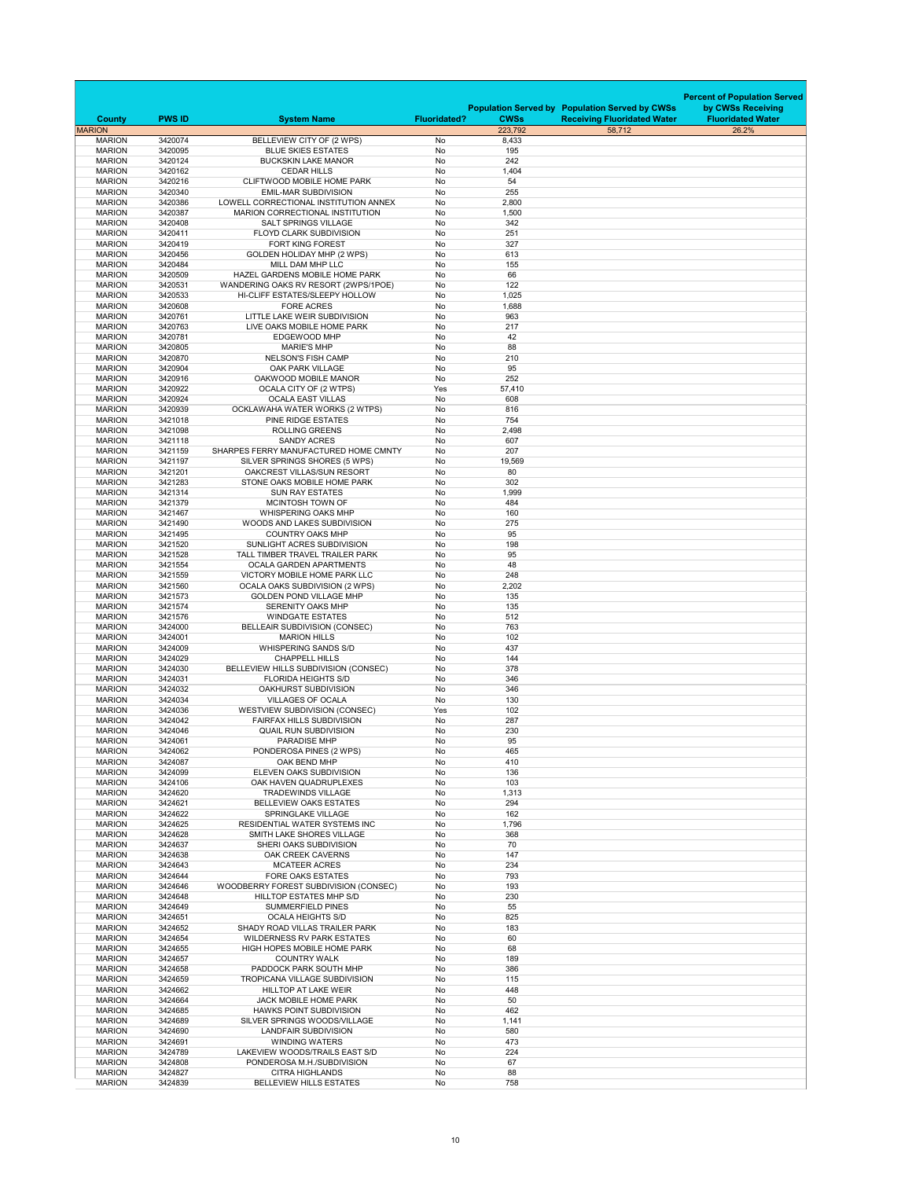|                                |                    |                                                                          |                     |               |                                                                                             | <b>Percent of Population Served</b>           |
|--------------------------------|--------------------|--------------------------------------------------------------------------|---------------------|---------------|---------------------------------------------------------------------------------------------|-----------------------------------------------|
| <b>County</b>                  | <b>PWS ID</b>      | <b>System Name</b>                                                       | <b>Fluoridated?</b> | <b>CWSs</b>   | <b>Population Served by Population Served by CWSs</b><br><b>Receiving Fluoridated Water</b> | by CWSs Receiving<br><b>Fluoridated Water</b> |
| <b>MARION</b>                  |                    |                                                                          |                     | 223,792       | 58,712                                                                                      | 26.2%                                         |
| <b>MARION</b><br><b>MARION</b> | 3420074<br>3420095 | BELLEVIEW CITY OF (2 WPS)<br><b>BLUE SKIES ESTATES</b>                   | No<br>No            | 8,433<br>195  |                                                                                             |                                               |
| <b>MARION</b>                  | 3420124            | <b>BUCKSKIN LAKE MANOR</b>                                               | No                  | 242           |                                                                                             |                                               |
| <b>MARION</b><br><b>MARION</b> | 3420162<br>3420216 | <b>CEDAR HILLS</b><br><b>CLIFTWOOD MOBILE HOME PARK</b>                  | No<br>No            | 1,404<br>54   |                                                                                             |                                               |
| <b>MARION</b>                  | 3420340            | <b>EMIL-MAR SUBDIVISION</b>                                              | No                  | 255           |                                                                                             |                                               |
| <b>MARION</b>                  | 3420386            | LOWELL CORRECTIONAL INSTITUTION ANNEX                                    | No                  | 2,800         |                                                                                             |                                               |
| <b>MARION</b><br><b>MARION</b> | 3420387<br>3420408 | MARION CORRECTIONAL INSTITUTION<br><b>SALT SPRINGS VILLAGE</b>           | No<br>No            | 1,500<br>342  |                                                                                             |                                               |
| <b>MARION</b>                  | 3420411            | <b>FLOYD CLARK SUBDIVISION</b>                                           | No                  | 251           |                                                                                             |                                               |
| <b>MARION</b>                  | 3420419            | <b>FORT KING FOREST</b>                                                  | No                  | 327           |                                                                                             |                                               |
| <b>MARION</b>                  | 3420456            | <b>GOLDEN HOLIDAY MHP (2 WPS)</b>                                        | No                  | 613           |                                                                                             |                                               |
| <b>MARION</b><br><b>MARION</b> | 3420484<br>3420509 | MILL DAM MHP LLC<br>HAZEL GARDENS MOBILE HOME PARK                       | No<br>No            | 155<br>66     |                                                                                             |                                               |
| <b>MARION</b>                  | 3420531            | WANDERING OAKS RV RESORT (2WPS/1POE)                                     | No                  | 122           |                                                                                             |                                               |
| <b>MARION</b>                  | 3420533            | HI-CLIFF ESTATES/SLEEPY HOLLOW                                           | No                  | 1,025         |                                                                                             |                                               |
| <b>MARION</b><br><b>MARION</b> | 3420608<br>3420761 | <b>FORE ACRES</b><br>LITTLE LAKE WEIR SUBDIVISION                        | No<br>No            | 1,688<br>963  |                                                                                             |                                               |
| <b>MARION</b>                  | 3420763            | LIVE OAKS MOBILE HOME PARK                                               | No                  | 217           |                                                                                             |                                               |
| <b>MARION</b>                  | 3420781            | <b>EDGEWOOD MHP</b>                                                      | No                  | 42            |                                                                                             |                                               |
| <b>MARION</b><br><b>MARION</b> | 3420805<br>3420870 | <b>MARIE'S MHP</b>                                                       | No<br>No            | 88            |                                                                                             |                                               |
| <b>MARION</b>                  | 3420904            | <b>NELSON'S FISH CAMP</b><br><b>OAK PARK VILLAGE</b>                     | No                  | 210<br>95     |                                                                                             |                                               |
| <b>MARION</b>                  | 3420916            | OAKWOOD MOBILE MANOR                                                     | No                  | 252           |                                                                                             |                                               |
| <b>MARION</b>                  | 3420922            | <b>OCALA CITY OF (2 WTPS)</b>                                            | Yes                 | 57,410        |                                                                                             |                                               |
| <b>MARION</b><br><b>MARION</b> | 3420924<br>3420939 | <b>OCALA EAST VILLAS</b><br>OCKLAWAHA WATER WORKS (2 WTPS)               | <b>No</b><br>No     | 608<br>816    |                                                                                             |                                               |
| <b>MARION</b>                  | 3421018            | <b>PINE RIDGE ESTATES</b>                                                | No                  | 754           |                                                                                             |                                               |
| <b>MARION</b>                  | 3421098            | <b>ROLLING GREENS</b>                                                    | No                  | 2,498         |                                                                                             |                                               |
| <b>MARION</b>                  | 3421118            | <b>SANDY ACRES</b>                                                       | No                  | 607           |                                                                                             |                                               |
| <b>MARION</b><br><b>MARION</b> | 3421159<br>3421197 | SHARPES FERRY MANUFACTURED HOME CMNTY<br>SILVER SPRINGS SHORES (5 WPS)   | No<br>No            | 207<br>19,569 |                                                                                             |                                               |
| <b>MARION</b>                  | 3421201            | OAKCREST VILLAS/SUN RESORT                                               | No                  | 80            |                                                                                             |                                               |
| <b>MARION</b>                  | 3421283            | STONE OAKS MOBILE HOME PARK                                              | No                  | 302           |                                                                                             |                                               |
| <b>MARION</b><br><b>MARION</b> | 3421314<br>3421379 | <b>SUN RAY ESTATES</b><br>MCINTOSH TOWN OF                               | No<br>No            | 1,999<br>484  |                                                                                             |                                               |
| <b>MARION</b>                  | 3421467            | <b>WHISPERING OAKS MHP</b>                                               | No                  | 160           |                                                                                             |                                               |
| <b>MARION</b>                  | 3421490            | WOODS AND LAKES SUBDIVISION                                              | No                  | 275           |                                                                                             |                                               |
| <b>MARION</b><br><b>MARION</b> | 3421495<br>3421520 | <b>COUNTRY OAKS MHP</b><br>SUNLIGHT ACRES SUBDIVISION                    | No<br>No            | 95<br>198     |                                                                                             |                                               |
| <b>MARION</b>                  | 3421528            | TALL TIMBER TRAVEL TRAILER PARK                                          | No                  | 95            |                                                                                             |                                               |
| <b>MARION</b>                  | 3421554            | <b>OCALA GARDEN APARTMENTS</b>                                           | No                  | 48            |                                                                                             |                                               |
| <b>MARION</b>                  | 3421559            | VICTORY MOBILE HOME PARK LLC                                             | No                  | 248           |                                                                                             |                                               |
| <b>MARION</b><br><b>MARION</b> | 3421560<br>3421573 | <b>OCALA OAKS SUBDIVISION (2 WPS)</b><br><b>GOLDEN POND VILLAGE MHP</b>  | No<br>No            | 2,202<br>135  |                                                                                             |                                               |
| <b>MARION</b>                  | 3421574            | <b>SERENITY OAKS MHP</b>                                                 | No                  | 135           |                                                                                             |                                               |
| <b>MARION</b>                  | 3421576            | <b>WINDGATE ESTATES</b>                                                  | No                  | 512           |                                                                                             |                                               |
| <b>MARION</b><br><b>MARION</b> | 3424000<br>3424001 | BELLEAIR SUBDIVISION (CONSEC)<br><b>MARION HILLS</b>                     | No<br>No            | 763<br>102    |                                                                                             |                                               |
| <b>MARION</b>                  | 3424009            | <b>WHISPERING SANDS S/D</b>                                              | No                  | 437           |                                                                                             |                                               |
| <b>MARION</b>                  | 3424029            | <b>CHAPPELL HILLS</b>                                                    | No                  | 144           |                                                                                             |                                               |
| <b>MARION</b><br><b>MARION</b> | 3424030<br>3424031 | BELLEVIEW HILLS SUBDIVISION (CONSEC)<br><b>FLORIDA HEIGHTS S/D</b>       | <b>No</b><br>No     | 378<br>346    |                                                                                             |                                               |
| <b>MARION</b>                  | 3424032            | OAKHURST SUBDIVISION                                                     | No                  | 346           |                                                                                             |                                               |
| <b>MARION</b>                  | 3424034            | <b>VILLAGES OF OCALA</b>                                                 | No                  | 130           |                                                                                             |                                               |
| <b>MARION</b><br><b>MARION</b> | 3424036<br>3424042 | <b>WESTVIEW SUBDIVISION (CONSEC)</b><br><b>FAIRFAX HILLS SUBDIVISION</b> | Yes<br>No           | 102<br>287    |                                                                                             |                                               |
| <b>MARION</b>                  | 3424046            | <b>QUAIL RUN SUBDIVISION</b>                                             | No                  | 230           |                                                                                             |                                               |
| <b>MARION</b>                  | 3424061            | <b>PARADISE MHP</b>                                                      | No                  | 95            |                                                                                             |                                               |
| <b>MARION</b><br><b>MARION</b> | 3424062<br>3424087 | PONDEROSA PINES (2 WPS)<br>OAK BEND MHP                                  | No<br>No            | 465<br>410    |                                                                                             |                                               |
| <b>MARION</b>                  | 3424099            | ELEVEN OAKS SUBDIVISION                                                  | No                  | 136           |                                                                                             |                                               |
| <b>MARION</b>                  | 3424106            | OAK HAVEN QUADRUPLEXES                                                   | No                  | 103           |                                                                                             |                                               |
| <b>MARION</b>                  | 3424620            | <b>TRADEWINDS VILLAGE</b>                                                | No                  | 1,313         |                                                                                             |                                               |
| <b>MARION</b><br><b>MARION</b> | 3424621<br>3424622 | <b>BELLEVIEW OAKS ESTATES</b><br><b>SPRINGLAKE VILLAGE</b>               | No<br>No            | 294<br>162    |                                                                                             |                                               |
| <b>MARION</b>                  | 3424625            | <b>RESIDENTIAL WATER SYSTEMS INC</b>                                     | No                  | 1,796         |                                                                                             |                                               |
| <b>MARION</b>                  | 3424628            | SMITH LAKE SHORES VILLAGE                                                | No                  | 368           |                                                                                             |                                               |
| <b>MARION</b><br><b>MARION</b> | 3424637<br>3424638 | SHERI OAKS SUBDIVISION<br><b>OAK CREEK CAVERNS</b>                       | No<br>No            | 70<br>147     |                                                                                             |                                               |
| <b>MARION</b>                  | 3424643            | <b>MCATEER ACRES</b>                                                     | No                  | 234           |                                                                                             |                                               |
| <b>MARION</b>                  | 3424644            | <b>FORE OAKS ESTATES</b>                                                 | No                  | 793           |                                                                                             |                                               |
| <b>MARION</b><br><b>MARION</b> | 3424646<br>3424648 | WOODBERRY FOREST SUBDIVISION (CONSEC)<br><b>HILLTOP ESTATES MHP S/D</b>  | No<br>No            | 193<br>230    |                                                                                             |                                               |
| <b>MARION</b>                  | 3424649            | <b>SUMMERFIELD PINES</b>                                                 | No                  | 55            |                                                                                             |                                               |
| <b>MARION</b>                  | 3424651            | <b>OCALA HEIGHTS S/D</b>                                                 | No                  | 825           |                                                                                             |                                               |
| <b>MARION</b><br><b>MARION</b> | 3424652<br>3424654 | SHADY ROAD VILLAS TRAILER PARK<br><b>WILDERNESS RV PARK ESTATES</b>      | No<br>No            | 183<br>60     |                                                                                             |                                               |
| <b>MARION</b>                  | 3424655            | HIGH HOPES MOBILE HOME PARK                                              | No                  | 68            |                                                                                             |                                               |
| <b>MARION</b>                  | 3424657            | <b>COUNTRY WALK</b>                                                      | No                  | 189           |                                                                                             |                                               |
| <b>MARION</b>                  | 3424658            | PADDOCK PARK SOUTH MHP                                                   | No                  | 386           |                                                                                             |                                               |
| <b>MARION</b><br><b>MARION</b> | 3424659<br>3424662 | <b>TROPICANA VILLAGE SUBDIVISION</b><br><b>HILLTOP AT LAKE WEIR</b>      | No<br>No            | 115<br>448    |                                                                                             |                                               |
| <b>MARION</b>                  | 3424664            | <b>JACK MOBILE HOME PARK</b>                                             | No                  | 50            |                                                                                             |                                               |
| <b>MARION</b>                  | 3424685            | <b>HAWKS POINT SUBDIVISION</b>                                           | No                  | 462           |                                                                                             |                                               |
| <b>MARION</b><br><b>MARION</b> | 3424689<br>3424690 | SILVER SPRINGS WOODS/VILLAGE<br><b>LANDFAIR SUBDIVISION</b>              | No<br>No            | 1,141<br>580  |                                                                                             |                                               |
| <b>MARION</b>                  | 3424691            | <b>WINDING WATERS</b>                                                    | No                  | 473           |                                                                                             |                                               |
| <b>MARION</b>                  | 3424789            | LAKEVIEW WOODS/TRAILS EAST S/D                                           | No                  | 224           |                                                                                             |                                               |
| <b>MARION</b><br><b>MARION</b> | 3424808<br>3424827 | PONDEROSA M.H./SUBDIVISION<br><b>CITRA HIGHLANDS</b>                     | No<br>No            | 67<br>88      |                                                                                             |                                               |
| <b>MARION</b>                  | 3424839            | <b>BELLEVIEW HILLS ESTATES</b>                                           | No                  | 758           |                                                                                             |                                               |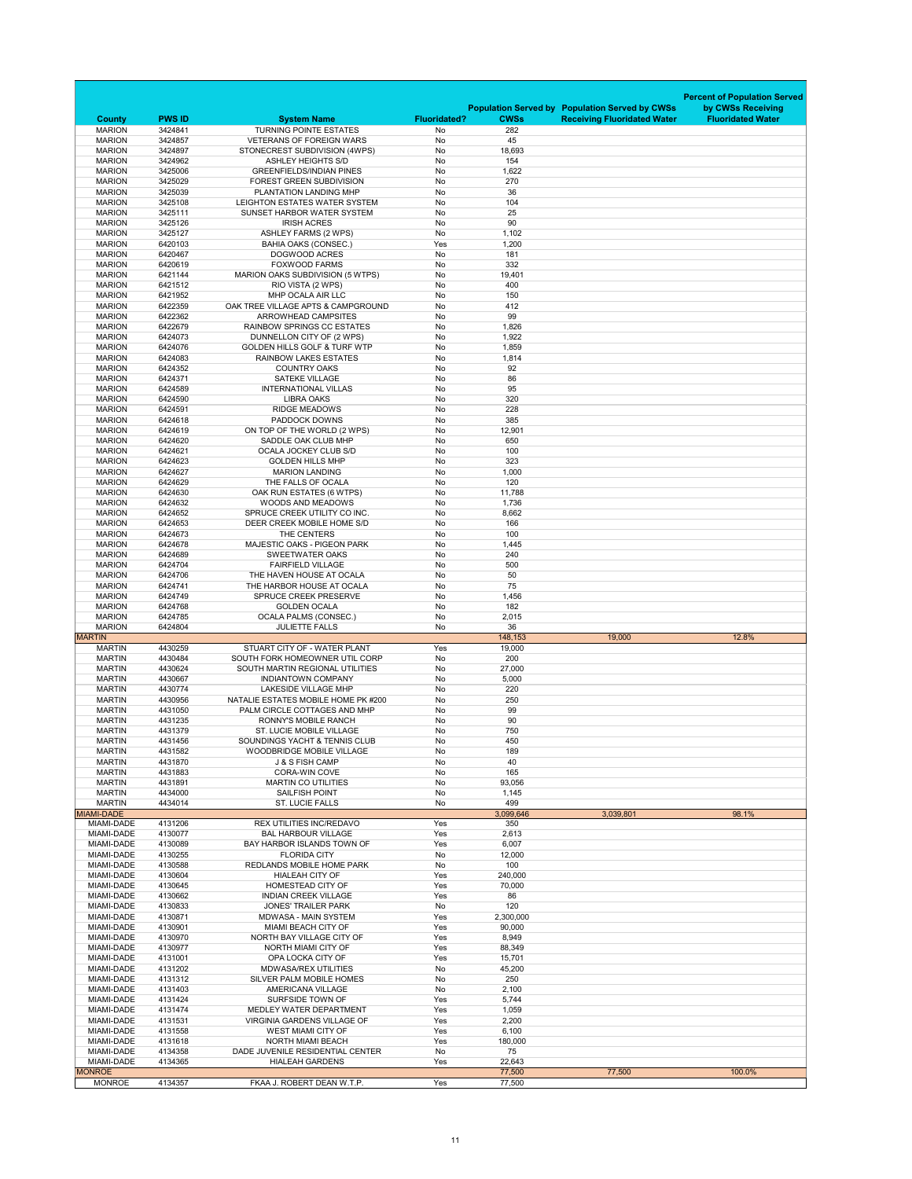|                                 |                    |                                                                         |                     |                  |                                                       | <b>Percent of Population Served</b> |
|---------------------------------|--------------------|-------------------------------------------------------------------------|---------------------|------------------|-------------------------------------------------------|-------------------------------------|
|                                 |                    |                                                                         |                     |                  | <b>Population Served by Population Served by CWSs</b> | by CWSs Receiving                   |
| <b>County</b>                   | <b>PWS ID</b>      | <b>System Name</b>                                                      | <b>Fluoridated?</b> | <b>CWSs</b>      | <b>Receiving Fluoridated Water</b>                    | <b>Fluoridated Water</b>            |
| <b>MARION</b><br><b>MARION</b>  | 3424841<br>3424857 | <b>TURNING POINTE ESTATES</b><br><b>VETERANS OF FOREIGN WARS</b>        | No<br><b>No</b>     | 282<br>45        |                                                       |                                     |
| <b>MARION</b>                   | 3424897            | STONECREST SUBDIVISION (4WPS)                                           | No                  | 18,693           |                                                       |                                     |
| <b>MARION</b>                   | 3424962            | <b>ASHLEY HEIGHTS S/D</b>                                               | No                  | 154              |                                                       |                                     |
| <b>MARION</b>                   | 3425006            | <b>GREENFIELDS/INDIAN PINES</b>                                         | No                  | 1,622            |                                                       |                                     |
| <b>MARION</b><br><b>MARION</b>  | 3425029<br>3425039 | <b>FOREST GREEN SUBDIVISION</b><br>PLANTATION LANDING MHP               | No<br>No            | 270<br>36        |                                                       |                                     |
| <b>MARION</b>                   | 3425108            | LEIGHTON ESTATES WATER SYSTEM                                           | No                  | 104              |                                                       |                                     |
| <b>MARION</b>                   | 3425111            | SUNSET HARBOR WATER SYSTEM                                              | No                  | 25               |                                                       |                                     |
| <b>MARION</b>                   | 3425126            | <b>IRISH ACRES</b>                                                      | No                  | 90               |                                                       |                                     |
| <b>MARION</b><br><b>MARION</b>  | 3425127<br>6420103 | <b>ASHLEY FARMS (2 WPS)</b>                                             | No<br>Yes           | 1,102            |                                                       |                                     |
| <b>MARION</b>                   | 6420467            | <b>BAHIA OAKS (CONSEC.)</b><br><b>DOGWOOD ACRES</b>                     | No                  | 1,200<br>181     |                                                       |                                     |
| <b>MARION</b>                   | 6420619            | <b>FOXWOOD FARMS</b>                                                    | No                  | 332              |                                                       |                                     |
| <b>MARION</b>                   | 6421144            | MARION OAKS SUBDIVISION (5 WTPS)                                        | No                  | 19,401           |                                                       |                                     |
| <b>MARION</b>                   | 6421512            | RIO VISTA (2 WPS)                                                       | No                  | 400              |                                                       |                                     |
| <b>MARION</b><br><b>MARION</b>  | 6421952<br>6422359 | MHP OCALA AIR LLC<br>OAK TREE VILLAGE APTS & CAMPGROUND                 | No<br>No            | 150<br>412       |                                                       |                                     |
| <b>MARION</b>                   | 6422362            | <b>ARROWHEAD CAMPSITES</b>                                              | No                  | 99               |                                                       |                                     |
| <b>MARION</b>                   | 6422679            | <b>RAINBOW SPRINGS CC ESTATES</b>                                       | No                  | 1,826            |                                                       |                                     |
| <b>MARION</b>                   | 6424073            | DUNNELLON CITY OF (2 WPS)                                               | No                  | 1,922            |                                                       |                                     |
| <b>MARION</b><br><b>MARION</b>  | 6424076<br>6424083 | <b>GOLDEN HILLS GOLF &amp; TURF WTP</b><br><b>RAINBOW LAKES ESTATES</b> | No<br>No            | 1,859<br>1,814   |                                                       |                                     |
| <b>MARION</b>                   | 6424352            | <b>COUNTRY OAKS</b>                                                     | No                  | 92               |                                                       |                                     |
| <b>MARION</b>                   | 6424371            | <b>SATEKE VILLAGE</b>                                                   | No                  | 86               |                                                       |                                     |
| <b>MARION</b>                   | 6424589            | <b>INTERNATIONAL VILLAS</b>                                             | No                  | 95               |                                                       |                                     |
| <b>MARION</b><br><b>MARION</b>  | 6424590<br>6424591 | <b>LIBRA OAKS</b><br><b>RIDGE MEADOWS</b>                               | No<br>No            | 320<br>228       |                                                       |                                     |
| <b>MARION</b>                   | 6424618            | PADDOCK DOWNS                                                           | No                  | 385              |                                                       |                                     |
| <b>MARION</b>                   | 6424619            | ON TOP OF THE WORLD (2 WPS)                                             | No                  | 12,901           |                                                       |                                     |
| <b>MARION</b>                   | 6424620            | SADDLE OAK CLUB MHP                                                     | No                  | 650              |                                                       |                                     |
| <b>MARION</b><br><b>MARION</b>  | 6424621<br>6424623 | <b>OCALA JOCKEY CLUB S/D</b><br><b>GOLDEN HILLS MHP</b>                 | No<br>No            | 100<br>323       |                                                       |                                     |
| <b>MARION</b>                   | 6424627            | <b>MARION LANDING</b>                                                   | No                  | 1,000            |                                                       |                                     |
| <b>MARION</b>                   | 6424629            | THE FALLS OF OCALA                                                      | No                  | 120              |                                                       |                                     |
| <b>MARION</b>                   | 6424630            | OAK RUN ESTATES (6 WTPS)                                                | No                  | 11,788           |                                                       |                                     |
| <b>MARION</b>                   | 6424632            | <b>WOODS AND MEADOWS</b>                                                | No                  | 1,736            |                                                       |                                     |
| <b>MARION</b><br><b>MARION</b>  | 6424652<br>6424653 | SPRUCE CREEK UTILITY CO INC.<br>DEER CREEK MOBILE HOME S/D              | No<br>No            | 8,662<br>166     |                                                       |                                     |
| <b>MARION</b>                   | 6424673            | THE CENTERS                                                             | No                  | 100              |                                                       |                                     |
| <b>MARION</b>                   | 6424678            | <b>MAJESTIC OAKS - PIGEON PARK</b>                                      | No                  | 1,445            |                                                       |                                     |
| <b>MARION</b>                   | 6424689            | <b>SWEETWATER OAKS</b>                                                  | No                  | 240              |                                                       |                                     |
| <b>MARION</b><br><b>MARION</b>  | 6424704<br>6424706 | <b>FAIRFIELD VILLAGE</b><br>THE HAVEN HOUSE AT OCALA                    | No<br>No            | 500<br>50        |                                                       |                                     |
| <b>MARION</b>                   | 6424741            | THE HARBOR HOUSE AT OCALA                                               | No                  | 75               |                                                       |                                     |
|                                 |                    |                                                                         |                     |                  |                                                       |                                     |
| <b>MARION</b>                   | 6424749            | SPRUCE CREEK PRESERVE                                                   | No                  | 1,456            |                                                       |                                     |
| <b>MARION</b>                   | 6424768            | <b>GOLDEN OCALA</b>                                                     | No                  | 182              |                                                       |                                     |
| <b>MARION</b>                   | 6424785            | <b>OCALA PALMS (CONSEC.)</b>                                            | No                  | 2,015            |                                                       |                                     |
| <b>MARION</b><br><b>MARTIN</b>  | 6424804            | <b>JULIETTE FALLS</b>                                                   | No                  | 36<br>148,153    | 19,000                                                | 12.8%                               |
| <b>MARTIN</b>                   | 4430259            | STUART CITY OF - WATER PLANT                                            | Yes                 | 19,000           |                                                       |                                     |
| <b>MARTIN</b>                   | 4430484            | SOUTH FORK HOMEOWNER UTIL CORP                                          | No                  | 200              |                                                       |                                     |
| <b>MARTIN</b>                   | 4430624            | SOUTH MARTIN REGIONAL UTILITIES                                         | No                  | 27,000           |                                                       |                                     |
| <b>MARTIN</b><br><b>MARTIN</b>  | 4430667<br>4430774 | <b>INDIANTOWN COMPANY</b><br><b>LAKESIDE VILLAGE MHP</b>                | No<br>No            | 5,000            |                                                       |                                     |
| <b>MARTIN</b>                   | 4430956            | NATALIE ESTATES MOBILE HOME PK #200                                     | No                  | 220<br>250       |                                                       |                                     |
| <b>MARTIN</b>                   | 4431050            | PALM CIRCLE COTTAGES AND MHP                                            | No                  | 99               |                                                       |                                     |
| <b>MARTIN</b>                   | 4431235            | <b>RONNY'S MOBILE RANCH</b>                                             | No                  | 90               |                                                       |                                     |
| <b>MARTIN</b><br><b>MARTIN</b>  | 4431379<br>4431456 | <b>ST. LUCIE MOBILE VILLAGE</b><br>SOUNDINGS YACHT & TENNIS CLUB        | No                  | 750              |                                                       |                                     |
| <b>MARTIN</b>                   | 4431582            | <b>WOODBRIDGE MOBILE VILLAGE</b>                                        | No<br>No            | 450<br>189       |                                                       |                                     |
| <b>MARTIN</b>                   | 4431870            | J & S FISH CAMP                                                         | No                  | 40               |                                                       |                                     |
| <b>MARTIN</b>                   | 4431883            | <b>CORA-WIN COVE</b>                                                    | No                  | 165              |                                                       |                                     |
| <b>MARTIN</b>                   | 4431891            | <b>MARTIN CO UTILITIES</b>                                              | No                  | 93,056           |                                                       |                                     |
| <b>MARTIN</b><br><b>MARTIN</b>  | 4434000<br>4434014 | <b>SAILFISH POINT</b><br><b>ST. LUCIE FALLS</b>                         | No<br>No            | 1,145<br>499     |                                                       |                                     |
| <b>MIAMI-DADE</b>               |                    |                                                                         |                     | 3,099,646        | 3,039,801                                             | 98.1%                               |
| MIAMI-DADE                      | 4131206            | <b>REX UTILITIES INC/REDAVO</b>                                         | Yes                 | 350              |                                                       |                                     |
| <b>MIAMI-DADE</b>               | 4130077            | <b>BAL HARBOUR VILLAGE</b>                                              | Yes                 | 2,613            |                                                       |                                     |
| MIAMI-DADE<br>MIAMI-DADE        | 4130089<br>4130255 | BAY HARBOR ISLANDS TOWN OF<br><b>FLORIDA CITY</b>                       | Yes<br>No           | 6,007<br>12,000  |                                                       |                                     |
| MIAMI-DADE                      | 4130588            | REDLANDS MOBILE HOME PARK                                               | No                  | 100              |                                                       |                                     |
| MIAMI-DADE                      | 4130604            | <b>HIALEAH CITY OF</b>                                                  | Yes                 | 240,000          |                                                       |                                     |
| MIAMI-DADE                      | 4130645            | HOMESTEAD CITY OF                                                       | Yes                 | 70,000           |                                                       |                                     |
| MIAMI-DADE<br>MIAMI-DADE        | 4130662<br>4130833 | <b>INDIAN CREEK VILLAGE</b><br><b>JONES' TRAILER PARK</b>               | Yes<br>No           | 86<br>120        |                                                       |                                     |
| MIAMI-DADE                      | 4130871            | <b>MDWASA - MAIN SYSTEM</b>                                             | Yes                 | 2,300,000        |                                                       |                                     |
| MIAMI-DADE                      | 4130901            | <b>MIAMI BEACH CITY OF</b>                                              | Yes                 | 90,000           |                                                       |                                     |
| MIAMI-DADE                      | 4130970            | NORTH BAY VILLAGE CITY OF                                               | Yes                 | 8,949            |                                                       |                                     |
| MIAMI-DADE<br><b>MIAMI-DADE</b> | 4130977<br>4131001 | NORTH MIAMI CITY OF<br>OPA LOCKA CITY OF                                | Yes<br>Yes          | 88,349<br>15,701 |                                                       |                                     |
| MIAMI-DADE                      | 4131202            | <b>MDWASA/REX UTILITIES</b>                                             | No                  | 45,200           |                                                       |                                     |
| MIAMI-DADE                      | 4131312            | <b>SILVER PALM MOBILE HOMES</b>                                         | No                  | 250              |                                                       |                                     |
| <b>MIAMI-DADE</b>               | 4131403            | <b>AMERICANA VILLAGE</b>                                                | No                  | 2,100            |                                                       |                                     |
| MIAMI-DADE                      | 4131424            | <b>SURFSIDE TOWN OF</b>                                                 | Yes                 | 5,744            |                                                       |                                     |
| MIAMI-DADE<br><b>MIAMI-DADE</b> | 4131474<br>4131531 | MEDLEY WATER DEPARTMENT<br><b>VIRGINIA GARDENS VILLAGE OF</b>           | Yes<br>Yes          | 1,059<br>2,200   |                                                       |                                     |
| MIAMI-DADE                      | 4131558            | <b>WEST MIAMI CITY OF</b>                                               | Yes                 | 6,100            |                                                       |                                     |
| MIAMI-DADE                      | 4131618            | <b>NORTH MIAMI BEACH</b>                                                | Yes                 | 180,000          |                                                       |                                     |
| MIAMI-DADE                      | 4134358            | DADE JUVENILE RESIDENTIAL CENTER                                        | No                  | 75               |                                                       |                                     |
| MIAMI-DADE<br><b>MONROE</b>     | 4134365            | <b>HIALEAH GARDENS</b>                                                  | Yes                 | 22,643<br>77,500 | 77,500                                                | 100.0%                              |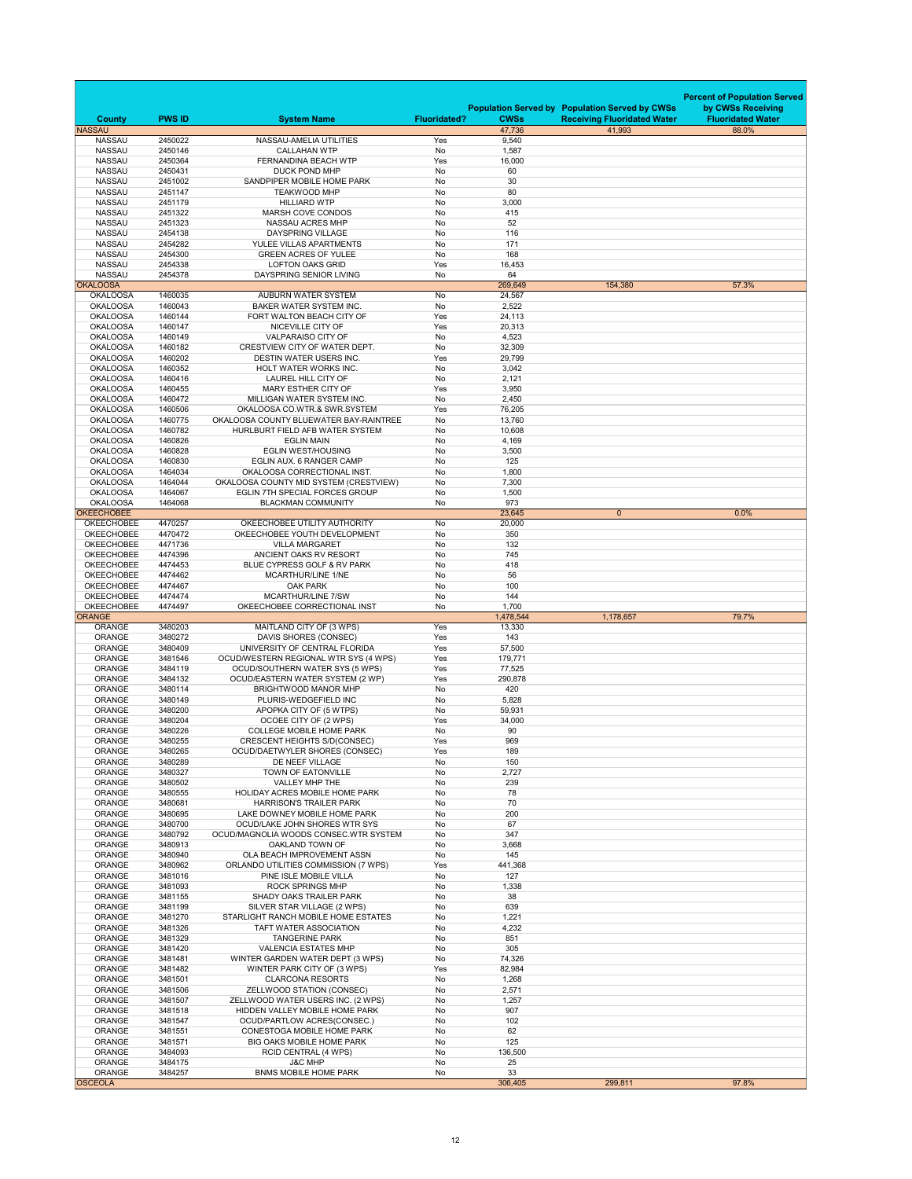|                                        |                    |                                                                        |                     |                  |                                                                                             | <b>Percent of Population Served</b>           |
|----------------------------------------|--------------------|------------------------------------------------------------------------|---------------------|------------------|---------------------------------------------------------------------------------------------|-----------------------------------------------|
| <b>County</b>                          | <b>PWS ID</b>      | <b>System Name</b>                                                     | <b>Fluoridated?</b> | <b>CWSs</b>      | <b>Population Served by Population Served by CWSs</b><br><b>Receiving Fluoridated Water</b> | by CWSs Receiving<br><b>Fluoridated Water</b> |
| <b>NASSAU</b>                          |                    |                                                                        |                     | 47,736           | 41,993                                                                                      | 88.0%                                         |
| <b>NASSAU</b>                          | 2450022            | NASSAU-AMELIA UTILITIES                                                | Yes                 | 9,540            |                                                                                             |                                               |
| <b>NASSAU</b><br><b>NASSAU</b>         | 2450146<br>2450364 | <b>CALLAHAN WTP</b><br>FERNANDINA BEACH WTP                            | No<br>Yes           | 1,587<br>16,000  |                                                                                             |                                               |
| <b>NASSAU</b>                          | 2450431            | <b>DUCK POND MHP</b>                                                   | No                  | 60               |                                                                                             |                                               |
| <b>NASSAU</b>                          | 2451002            | SANDPIPER MOBILE HOME PARK                                             | No                  | 30               |                                                                                             |                                               |
| <b>NASSAU</b>                          | 2451147            | <b>TEAKWOOD MHP</b>                                                    | <b>No</b>           | 80               |                                                                                             |                                               |
| <b>NASSAU</b>                          | 2451179            | <b>HILLIARD WTP</b>                                                    | No                  | 3,000            |                                                                                             |                                               |
| <b>NASSAU</b>                          | 2451322            | MARSH COVE CONDOS                                                      | No                  | 415              |                                                                                             |                                               |
| <b>NASSAU</b>                          | 2451323            | <b>NASSAU ACRES MHP</b>                                                | No                  | 52               |                                                                                             |                                               |
| <b>NASSAU</b>                          | 2454138<br>2454282 | <b>DAYSPRING VILLAGE</b><br>YULEE VILLAS APARTMENTS                    | No<br>No            | 116<br>171       |                                                                                             |                                               |
| <b>NASSAU</b><br><b>NASSAU</b>         | 2454300            | <b>GREEN ACRES OF YULEE</b>                                            | No                  | 168              |                                                                                             |                                               |
| <b>NASSAU</b>                          | 2454338            | <b>LOFTON OAKS GRID</b>                                                | Yes                 | 16,453           |                                                                                             |                                               |
| <b>NASSAU</b>                          | 2454378            | DAYSPRING SENIOR LIVING                                                | No                  | 64               |                                                                                             |                                               |
| <b>OKALOOSA</b>                        |                    |                                                                        |                     | 269,649          | 154,380                                                                                     | 57.3%                                         |
| <b>OKALOOSA</b>                        | 1460035            | <b>AUBURN WATER SYSTEM</b>                                             | No                  | 24,567           |                                                                                             |                                               |
| <b>OKALOOSA</b>                        | 1460043            | <b>BAKER WATER SYSTEM INC.</b>                                         | No                  | 2,522            |                                                                                             |                                               |
| <b>OKALOOSA</b>                        | 1460144            | FORT WALTON BEACH CITY OF                                              | Yes                 | 24,113           |                                                                                             |                                               |
| <b>OKALOOSA</b><br><b>OKALOOSA</b>     | 1460147<br>1460149 | NICEVILLE CITY OF<br><b>VALPARAISO CITY OF</b>                         | Yes<br>No           | 20,313<br>4,523  |                                                                                             |                                               |
| <b>OKALOOSA</b>                        | 1460182            | CRESTVIEW CITY OF WATER DEPT.                                          | No                  | 32,309           |                                                                                             |                                               |
| <b>OKALOOSA</b>                        | 1460202            | <b>DESTIN WATER USERS INC.</b>                                         | Yes                 | 29,799           |                                                                                             |                                               |
| <b>OKALOOSA</b>                        | 1460352            | <b>HOLT WATER WORKS INC.</b>                                           | No                  | 3,042            |                                                                                             |                                               |
| <b>OKALOOSA</b>                        | 1460416            | <b>LAUREL HILL CITY OF</b>                                             | No                  | 2,121            |                                                                                             |                                               |
| <b>OKALOOSA</b>                        | 1460455            | <b>MARY ESTHER CITY OF</b>                                             | Yes                 | 3,950            |                                                                                             |                                               |
| <b>OKALOOSA</b>                        | 1460472            | MILLIGAN WATER SYSTEM INC.                                             | No                  | 2,450            |                                                                                             |                                               |
| <b>OKALOOSA</b><br><b>OKALOOSA</b>     | 1460506<br>1460775 | OKALOOSA CO.WTR.& SWR.SYSTEM<br>OKALOOSA COUNTY BLUEWATER BAY-RAINTREE | Yes<br>No           | 76,205<br>13,760 |                                                                                             |                                               |
| <b>OKALOOSA</b>                        | 1460782            | HURLBURT FIELD AFB WATER SYSTEM                                        | No                  | 10,608           |                                                                                             |                                               |
| <b>OKALOOSA</b>                        | 1460826            | <b>EGLIN MAIN</b>                                                      | <b>No</b>           | 4,169            |                                                                                             |                                               |
| <b>OKALOOSA</b>                        | 1460828            | <b>EGLIN WEST/HOUSING</b>                                              | No                  | 3,500            |                                                                                             |                                               |
| <b>OKALOOSA</b>                        | 1460830            | EGLIN AUX. 6 RANGER CAMP                                               | No                  | 125              |                                                                                             |                                               |
| <b>OKALOOSA</b>                        | 1464034            | OKALOOSA CORRECTIONAL INST.                                            | No                  | 1,800            |                                                                                             |                                               |
| <b>OKALOOSA</b>                        | 1464044            | OKALOOSA COUNTY MID SYSTEM (CRESTVIEW)                                 | No                  | 7,300            |                                                                                             |                                               |
| <b>OKALOOSA</b><br><b>OKALOOSA</b>     | 1464067<br>1464068 | <b>EGLIN 7TH SPECIAL FORCES GROUP</b><br><b>BLACKMAN COMMUNITY</b>     | No<br>No            | 1,500<br>973     |                                                                                             |                                               |
| <b>OKEECHOBEE</b>                      |                    |                                                                        |                     | 23,645           | $\mathbf{0}$                                                                                | 0.0%                                          |
| <b>OKEECHOBEE</b>                      | 4470257            | OKEECHOBEE UTILITY AUTHORITY                                           | No                  | 20,000           |                                                                                             |                                               |
| <b>OKEECHOBEE</b>                      | 4470472            | OKEECHOBEE YOUTH DEVELOPMENT                                           | No                  | 350              |                                                                                             |                                               |
| <b>OKEECHOBEE</b>                      | 4471736            | <b>VILLA MARGARET</b>                                                  | No                  | 132              |                                                                                             |                                               |
| <b>OKEECHOBEE</b>                      | 4474396            | ANCIENT OAKS RV RESORT                                                 | No                  | 745              |                                                                                             |                                               |
| <b>OKEECHOBEE</b>                      | 4474453            | BLUE CYPRESS GOLF & RV PARK                                            | No                  | 418              |                                                                                             |                                               |
| <b>OKEECHOBEE</b><br><b>OKEECHOBEE</b> | 4474462<br>4474467 | <b>MCARTHUR/LINE 1/NE</b><br><b>OAK PARK</b>                           | No<br>No            | 56<br>100        |                                                                                             |                                               |
| <b>OKEECHOBEE</b>                      | 4474474            | <b>MCARTHUR/LINE 7/SW</b>                                              | No                  | 144              |                                                                                             |                                               |
| <b>OKEECHOBEE</b>                      | 4474497            | OKEECHOBEE CORRECTIONAL INST                                           | No                  | 1,700            |                                                                                             |                                               |
| <b>ORANGE</b>                          |                    |                                                                        |                     | 1,478,544        | 1,178,657                                                                                   | 79.7%                                         |
| <b>ORANGE</b>                          | 3480203            | MAITLAND CITY OF (3 WPS)                                               | Yes                 | 13,330           |                                                                                             |                                               |
| <b>ORANGE</b><br><b>ORANGE</b>         | 3480272<br>3480409 | DAVIS SHORES (CONSEC)<br>UNIVERSITY OF CENTRAL FLORIDA                 | Yes<br>Yes          | 143<br>57,500    |                                                                                             |                                               |
| <b>ORANGE</b>                          | 3481546            | OCUD/WESTERN REGIONAL WTR SYS (4 WPS)                                  | Yes                 | 179,771          |                                                                                             |                                               |
| <b>ORANGE</b>                          | 3484119            | <b>OCUD/SOUTHERN WATER SYS (5 WPS)</b>                                 | Yes                 | 77,525           |                                                                                             |                                               |
| <b>ORANGE</b>                          | 3484132            | OCUD/EASTERN WATER SYSTEM (2 WP)                                       | Yes                 | 290,878          |                                                                                             |                                               |
| <b>ORANGE</b>                          | 3480114            | BRIGHTWOOD MANOR MHP                                                   | No                  | 420              |                                                                                             |                                               |
| <b>ORANGE</b>                          | 3480149            | PLURIS-WEDGEFIELD INC                                                  | No                  | 5,828            |                                                                                             |                                               |
| <b>ORANGE</b>                          | 3480200<br>3480204 | APOPKA CITY OF (5 WTPS)<br>OCOEE CITY OF (2 WPS)                       | No<br>Yes           | 59,931<br>34,000 |                                                                                             |                                               |
| <b>ORANGE</b><br><b>ORANGE</b>         | 3480226            | <b>COLLEGE MOBILE HOME PARK</b>                                        | No                  | 90               |                                                                                             |                                               |
| <b>ORANGE</b>                          | 3480255            | <b>CRESCENT HEIGHTS S/D(CONSEC)</b>                                    | Yes                 | 969              |                                                                                             |                                               |
| <b>ORANGE</b>                          | 3480265            | OCUD/DAETWYLER SHORES (CONSEC)                                         | Yes                 | 189              |                                                                                             |                                               |
| <b>ORANGE</b>                          | 3480289            | DE NEEF VILLAGE                                                        | No                  | 150              |                                                                                             |                                               |
| <b>ORANGE</b>                          | 3480327            | TOWN OF EATONVILLE                                                     | No                  | 2,727            |                                                                                             |                                               |
| <b>ORANGE</b>                          | 3480502            | VALLEY MHP THE                                                         | No                  | 239              |                                                                                             |                                               |
| <b>ORANGE</b>                          | 3480555            | <b>HOLIDAY ACRES MOBILE HOME PARK</b>                                  | No                  | 78<br>70         |                                                                                             |                                               |
| <b>ORANGE</b><br><b>ORANGE</b>         | 3480681<br>3480695 | <b>HARRISON'S TRAILER PARK</b><br>LAKE DOWNEY MOBILE HOME PARK         | No<br>No            | 200              |                                                                                             |                                               |
| <b>ORANGE</b>                          | 3480700            | OCUD/LAKE JOHN SHORES WTR SYS                                          | No                  | 67               |                                                                                             |                                               |
| <b>ORANGE</b>                          | 3480792            | OCUD/MAGNOLIA WOODS CONSEC.WTR SYSTEM                                  | No                  | 347              |                                                                                             |                                               |
| <b>ORANGE</b>                          | 3480913            | OAKLAND TOWN OF                                                        | No                  | 3,668            |                                                                                             |                                               |
| <b>ORANGE</b>                          | 3480940            | OLA BEACH IMPROVEMENT ASSN                                             | No                  | 145              |                                                                                             |                                               |
| <b>ORANGE</b>                          | 3480962            | ORLANDO UTILITIES COMMISSION (7 WPS)                                   | Yes                 | 441,368          |                                                                                             |                                               |
| <b>ORANGE</b><br>ORANGE                | 3481016<br>3481093 | PINE ISLE MOBILE VILLA                                                 | No<br>No            | 127              |                                                                                             |                                               |
| <b>ORANGE</b>                          | 3481155            | <b>ROCK SPRINGS MHP</b><br><b>SHADY OAKS TRAILER PARK</b>              | No                  | 1,338<br>38      |                                                                                             |                                               |
| <b>ORANGE</b>                          | 3481199            | SILVER STAR VILLAGE (2 WPS)                                            | No                  | 639              |                                                                                             |                                               |
| <b>ORANGE</b>                          | 3481270            | STARLIGHT RANCH MOBILE HOME ESTATES                                    | No                  | 1,221            |                                                                                             |                                               |
| <b>ORANGE</b>                          | 3481326            | <b>TAFT WATER ASSOCIATION</b>                                          | No                  | 4,232            |                                                                                             |                                               |
| <b>ORANGE</b>                          | 3481329            | <b>TANGERINE PARK</b>                                                  | No                  | 851              |                                                                                             |                                               |
| <b>ORANGE</b>                          | 3481420            | <b>VALENCIA ESTATES MHP</b>                                            | No                  | 305              |                                                                                             |                                               |
| <b>ORANGE</b><br><b>ORANGE</b>         | 3481481<br>3481482 | WINTER GARDEN WATER DEPT (3 WPS)<br>WINTER PARK CITY OF (3 WPS)        | No<br>Yes           | 74,326<br>82,984 |                                                                                             |                                               |
| <b>ORANGE</b>                          | 3481501            | <b>CLARCONA RESORTS</b>                                                | No                  | 1,268            |                                                                                             |                                               |
| <b>ORANGE</b>                          |                    |                                                                        |                     |                  |                                                                                             |                                               |
|                                        | 3481506            | ZELLWOOD STATION (CONSEC)                                              | No                  | 2,571            |                                                                                             |                                               |
| <b>ORANGE</b>                          | 3481507            | ZELLWOOD WATER USERS INC. (2 WPS)                                      | No                  | 1,257            |                                                                                             |                                               |
| <b>ORANGE</b>                          | 3481518            | HIDDEN VALLEY MOBILE HOME PARK                                         | No                  | 907              |                                                                                             |                                               |
| <b>ORANGE</b>                          | 3481547            | OCUD/PARTLOW ACRES(CONSEC.)                                            | No                  | 102              |                                                                                             |                                               |
| <b>ORANGE</b>                          | 3481551            | <b>CONESTOGA MOBILE HOME PARK</b>                                      | No                  | 62               |                                                                                             |                                               |
| <b>ORANGE</b>                          | 3481571            | BIG OAKS MOBILE HOME PARK                                              | No                  | 125              |                                                                                             |                                               |
| <b>ORANGE</b><br><b>ORANGE</b>         | 3484093<br>3484175 | <b>RCID CENTRAL (4 WPS)</b><br><b>J&amp;C MHP</b>                      | No<br>No            | 136,500<br>25    |                                                                                             |                                               |
| <b>ORANGE</b>                          | 3484257            | <b>BNMS MOBILE HOME PARK</b>                                           | No                  | 33               |                                                                                             |                                               |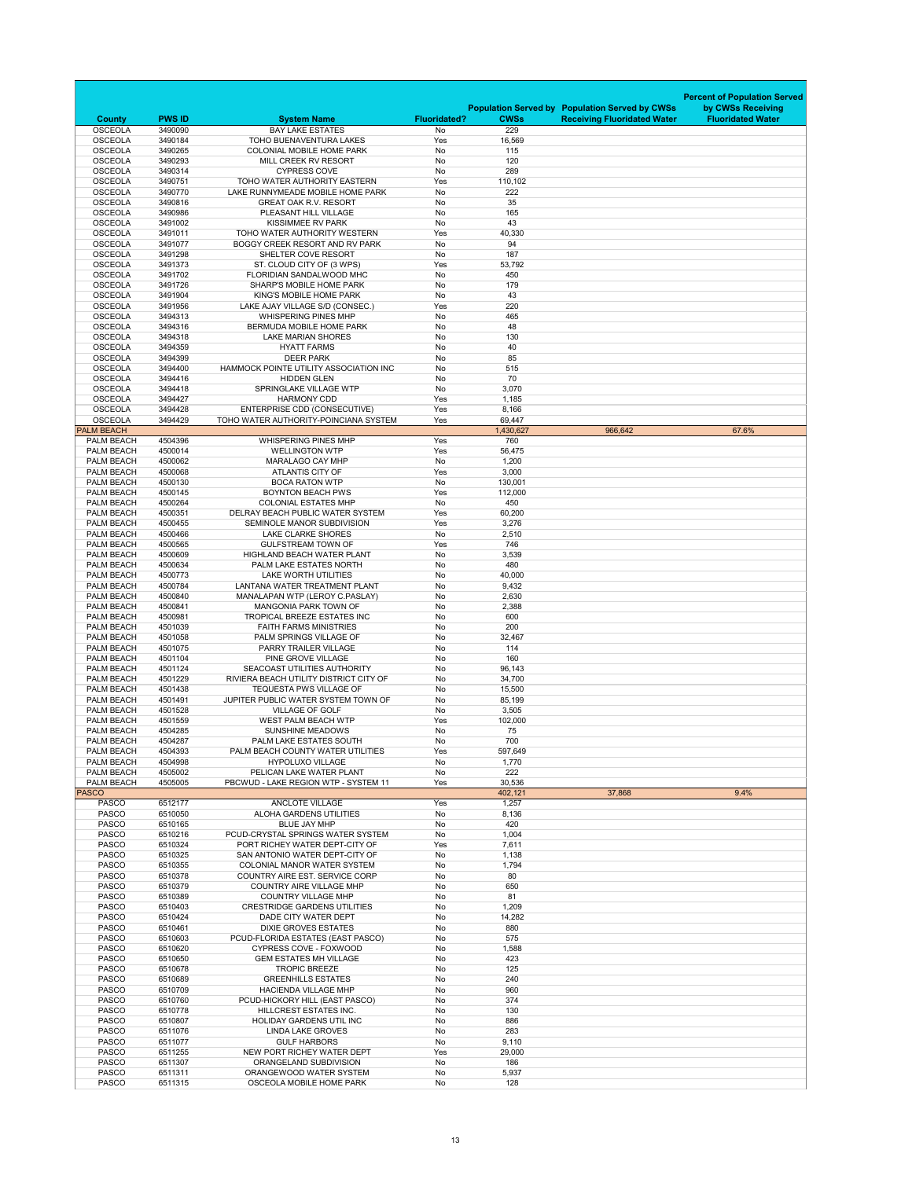|                                        |                    |                                                                        |                     |                     |                                                       | <b>Percent of Population Served</b> |
|----------------------------------------|--------------------|------------------------------------------------------------------------|---------------------|---------------------|-------------------------------------------------------|-------------------------------------|
|                                        |                    |                                                                        |                     |                     | <b>Population Served by Population Served by CWSs</b> | by CWSs Receiving                   |
| <b>County</b>                          | <b>PWS ID</b>      | <b>System Name</b>                                                     | <b>Fluoridated?</b> | <b>CWSs</b>         | <b>Receiving Fluoridated Water</b>                    | <b>Fluoridated Water</b>            |
| <b>OSCEOLA</b><br><b>OSCEOLA</b>       | 3490090<br>3490184 | <b>BAY LAKE ESTATES</b><br>TOHO BUENAVENTURA LAKES                     | No<br>Yes           | 229<br>16,569       |                                                       |                                     |
| <b>OSCEOLA</b>                         | 3490265            | <b>COLONIAL MOBILE HOME PARK</b>                                       | No                  | 115                 |                                                       |                                     |
| <b>OSCEOLA</b>                         | 3490293            | MILL CREEK RV RESORT                                                   | No                  | 120                 |                                                       |                                     |
| <b>OSCEOLA</b>                         | 3490314            | <b>CYPRESS COVE</b>                                                    | <b>No</b>           | 289                 |                                                       |                                     |
| <b>OSCEOLA</b><br><b>OSCEOLA</b>       | 3490751<br>3490770 | TOHO WATER AUTHORITY EASTERN<br>LAKE RUNNYMEADE MOBILE HOME PARK       | Yes<br><b>No</b>    | 110,102<br>222      |                                                       |                                     |
| <b>OSCEOLA</b>                         | 3490816            | <b>GREAT OAK R.V. RESORT</b>                                           | No                  | 35                  |                                                       |                                     |
| <b>OSCEOLA</b>                         | 3490986            | PLEASANT HILL VILLAGE                                                  | No                  | 165                 |                                                       |                                     |
| <b>OSCEOLA</b>                         | 3491002            | <b>KISSIMMEE RV PARK</b>                                               | <b>No</b>           | 43                  |                                                       |                                     |
| <b>OSCEOLA</b><br><b>OSCEOLA</b>       | 3491011<br>3491077 | TOHO WATER AUTHORITY WESTERN<br>BOGGY CREEK RESORT AND RV PARK         | Yes<br>No           | 40,330<br>94        |                                                       |                                     |
| <b>OSCEOLA</b>                         | 3491298            | SHELTER COVE RESORT                                                    | No                  | 187                 |                                                       |                                     |
| <b>OSCEOLA</b>                         | 3491373            | ST. CLOUD CITY OF (3 WPS)                                              | Yes                 | 53,792              |                                                       |                                     |
| <b>OSCEOLA</b>                         | 3491702            | FLORIDIAN SANDALWOOD MHC                                               | No                  | 450                 |                                                       |                                     |
| <b>OSCEOLA</b>                         | 3491726            | <b>SHARP'S MOBILE HOME PARK</b>                                        | No                  | 179                 |                                                       |                                     |
| <b>OSCEOLA</b><br><b>OSCEOLA</b>       | 3491904<br>3491956 | KING'S MOBILE HOME PARK<br>LAKE AJAY VILLAGE S/D (CONSEC.)             | <b>No</b><br>Yes    | 43<br>220           |                                                       |                                     |
| <b>OSCEOLA</b>                         | 3494313            | <b>WHISPERING PINES MHP</b>                                            | No                  | 465                 |                                                       |                                     |
| <b>OSCEOLA</b>                         | 3494316            | BERMUDA MOBILE HOME PARK                                               | No                  | 48                  |                                                       |                                     |
| <b>OSCEOLA</b>                         | 3494318            | <b>LAKE MARIAN SHORES</b>                                              | No                  | 130                 |                                                       |                                     |
| <b>OSCEOLA</b>                         | 3494359            | <b>HYATT FARMS</b>                                                     | <b>No</b>           | 40                  |                                                       |                                     |
| <b>OSCEOLA</b><br><b>OSCEOLA</b>       | 3494399<br>3494400 | <b>DEER PARK</b><br>HAMMOCK POINTE UTILITY ASSOCIATION INC             | No<br>No            | 85<br>515           |                                                       |                                     |
| <b>OSCEOLA</b>                         | 3494416            | <b>HIDDEN GLEN</b>                                                     | No                  | 70                  |                                                       |                                     |
| <b>OSCEOLA</b>                         | 3494418            | SPRINGLAKE VILLAGE WTP                                                 | No                  | 3,070               |                                                       |                                     |
| <b>OSCEOLA</b>                         | 3494427            | <b>HARMONY CDD</b>                                                     | Yes                 | 1,185               |                                                       |                                     |
| <b>OSCEOLA</b>                         | 3494428            | <b>ENTERPRISE CDD (CONSECUTIVE)</b>                                    | Yes                 | 8,166               |                                                       |                                     |
| <b>OSCEOLA</b><br><b>PALM BEACH</b>    | 3494429            | TOHO WATER AUTHORITY-POINCIANA SYSTEM                                  | Yes                 | 69,447<br>1,430,627 | 966,642                                               | 67.6%                               |
| PALM BEACH                             | 4504396            | <b>WHISPERING PINES MHP</b>                                            | Yes                 | 760                 |                                                       |                                     |
| PALM BEACH                             | 4500014            | <b>WELLINGTON WTP</b>                                                  | Yes                 | 56,475              |                                                       |                                     |
| PALM BEACH                             | 4500062            | MARALAGO CAY MHP                                                       | No                  | 1,200               |                                                       |                                     |
| PALM BEACH                             | 4500068            | <b>ATLANTIS CITY OF</b>                                                | Yes                 | 3,000               |                                                       |                                     |
| <b>PALM BEACH</b><br>PALM BEACH        | 4500130<br>4500145 | <b>BOCA RATON WTP</b><br><b>BOYNTON BEACH PWS</b>                      | No<br>Yes           | 130,001<br>112,000  |                                                       |                                     |
| PALM BEACH                             | 4500264            | <b>COLONIAL ESTATES MHP</b>                                            | No                  | 450                 |                                                       |                                     |
| PALM BEACH                             | 4500351            | DELRAY BEACH PUBLIC WATER SYSTEM                                       | Yes                 | 60,200              |                                                       |                                     |
| PALM BEACH                             | 4500455            | SEMINOLE MANOR SUBDIVISION                                             | Yes                 | 3,276               |                                                       |                                     |
| <b>PALM BEACH</b>                      | 4500466            | <b>LAKE CLARKE SHORES</b>                                              | No                  | 2,510               |                                                       |                                     |
| PALM BEACH                             | 4500565<br>4500609 | <b>GULFSTREAM TOWN OF</b><br><b>HIGHLAND BEACH WATER PLANT</b>         | Yes                 | 746                 |                                                       |                                     |
| PALM BEACH<br>PALM BEACH               | 4500634            | PALM LAKE ESTATES NORTH                                                | No<br>No            | 3,539<br>480        |                                                       |                                     |
| <b>PALM BEACH</b>                      | 4500773            | <b>LAKE WORTH UTILITIES</b>                                            | No                  | 40,000              |                                                       |                                     |
| PALM BEACH                             | 4500784            | LANTANA WATER TREATMENT PLANT                                          | No                  | 9,432               |                                                       |                                     |
| <b>PALM BEACH</b>                      | 4500840            | MANALAPAN WTP (LEROY C.PASLAY)                                         | No                  | 2,630               |                                                       |                                     |
| <b>PALM BEACH</b>                      | 4500841<br>4500981 | <b>MANGONIA PARK TOWN OF</b><br>TROPICAL BREEZE ESTATES INC            | No<br>No            | 2,388               |                                                       |                                     |
| PALM BEACH<br><b>PALM BEACH</b>        | 4501039            | <b>FAITH FARMS MINISTRIES</b>                                          | No                  | 600<br>200          |                                                       |                                     |
| PALM BEACH                             | 4501058            | PALM SPRINGS VILLAGE OF                                                | No                  | 32,467              |                                                       |                                     |
| PALM BEACH                             | 4501075            | PARRY TRAILER VILLAGE                                                  | No                  | 114                 |                                                       |                                     |
| PALM BEACH                             | 4501104            | PINE GROVE VILLAGE                                                     | No                  | 160                 |                                                       |                                     |
| <b>PALM BEACH</b><br><b>PALM BEACH</b> | 4501124<br>4501229 | SEACOAST UTILITIES AUTHORITY<br>RIVIERA BEACH UTILITY DISTRICT CITY OF | No<br>No            | 96,143<br>34,700    |                                                       |                                     |
| PALM BEACH                             | 4501438            | <b>TEQUESTA PWS VILLAGE OF</b>                                         | No                  | 15,500              |                                                       |                                     |
| <b>PALM BEACH</b>                      | 4501491            | JUPITER PUBLIC WATER SYSTEM TOWN OF                                    | No                  | 85,199              |                                                       |                                     |
| PALM BEACH                             | 4501528            | <b>VILLAGE OF GOLF</b>                                                 | No                  | 3,505               |                                                       |                                     |
| <b>PALM BEACH</b>                      | 4501559            | <b>WEST PALM BEACH WTP</b>                                             | Yes                 | 102,000             |                                                       |                                     |
| <b>PALM BEACH</b><br>PALM BEACH        | 4504285<br>4504287 | <b>SUNSHINE MEADOWS</b><br>PALM LAKE ESTATES SOUTH                     | No<br>No            | 75<br>700           |                                                       |                                     |
| PALM BEACH                             | 4504393            | <b>PALM BEACH COUNTY WATER UTILITIES</b>                               | Yes                 | 597,649             |                                                       |                                     |
| PALM BEACH                             | 4504998            | <b>HYPOLUXO VILLAGE</b>                                                | No                  | 1,770               |                                                       |                                     |
| <b>PALM BEACH</b>                      | 4505002            | PELICAN LAKE WATER PLANT                                               | No                  | 222                 |                                                       |                                     |
| <b>PALM BEACH</b>                      | 4505005            | PBCWUD - LAKE REGION WTP - SYSTEM 11                                   | Yes                 | 30,536              |                                                       |                                     |
| <b>PASCO</b><br><b>PASCO</b>           | 6512177            | <b>ANCLOTE VILLAGE</b>                                                 | Yes                 | 402,121<br>1,257    | 37,868                                                | 9.4%                                |
| <b>PASCO</b>                           | 6510050            | <b>ALOHA GARDENS UTILITIES</b>                                         | No                  | 8,136               |                                                       |                                     |
| <b>PASCO</b>                           | 6510165            | <b>BLUE JAY MHP</b>                                                    | No                  | 420                 |                                                       |                                     |
| <b>PASCO</b>                           | 6510216            | PCUD-CRYSTAL SPRINGS WATER SYSTEM                                      | No                  | 1,004               |                                                       |                                     |
| <b>PASCO</b>                           | 6510324            | PORT RICHEY WATER DEPT-CITY OF                                         | Yes                 | 7,611               |                                                       |                                     |
| <b>PASCO</b><br><b>PASCO</b>           | 6510325<br>6510355 | SAN ANTONIO WATER DEPT-CITY OF<br><b>COLONIAL MANOR WATER SYSTEM</b>   | No<br>No            | 1,138<br>1,794      |                                                       |                                     |
| <b>PASCO</b>                           | 6510378            | COUNTRY AIRE EST. SERVICE CORP                                         | No                  | 80                  |                                                       |                                     |
| <b>PASCO</b>                           | 6510379            | <b>COUNTRY AIRE VILLAGE MHP</b>                                        | No                  | 650                 |                                                       |                                     |
| <b>PASCO</b>                           | 6510389            | <b>COUNTRY VILLAGE MHP</b>                                             | No                  | 81                  |                                                       |                                     |
| <b>PASCO</b>                           | 6510403            | <b>CRESTRIDGE GARDENS UTILITIES</b>                                    | No                  | 1,209               |                                                       |                                     |
| <b>PASCO</b><br><b>PASCO</b>           | 6510424<br>6510461 | DADE CITY WATER DEPT<br><b>DIXIE GROVES ESTATES</b>                    | No<br>No            | 14,282<br>880       |                                                       |                                     |
| <b>PASCO</b>                           | 6510603            | PCUD-FLORIDA ESTATES (EAST PASCO)                                      | No                  | 575                 |                                                       |                                     |
| <b>PASCO</b>                           | 6510620            | <b>CYPRESS COVE - FOXWOOD</b>                                          | No                  | 1,588               |                                                       |                                     |
| <b>PASCO</b>                           | 6510650            | <b>GEM ESTATES MH VILLAGE</b>                                          | No                  | 423                 |                                                       |                                     |
| <b>PASCO</b><br><b>PASCO</b>           | 6510678<br>6510689 | <b>TROPIC BREEZE</b><br><b>GREENHILLS ESTATES</b>                      | No<br>No            | 125<br>240          |                                                       |                                     |
| <b>PASCO</b>                           | 6510709            | <b>HACIENDA VILLAGE MHP</b>                                            | No                  | 960                 |                                                       |                                     |
| <b>PASCO</b>                           | 6510760            | PCUD-HICKORY HILL (EAST PASCO)                                         | No                  | 374                 |                                                       |                                     |
| <b>PASCO</b>                           | 6510778            | <b>HILLCREST ESTATES INC.</b>                                          | No                  | 130                 |                                                       |                                     |
| <b>PASCO</b>                           | 6510807            | <b>HOLIDAY GARDENS UTIL INC</b>                                        | No                  | 886                 |                                                       |                                     |
| <b>PASCO</b><br><b>PASCO</b>           | 6511076<br>6511077 | <b>LINDA LAKE GROVES</b><br><b>GULF HARBORS</b>                        | No<br>No            | 283<br>9,110        |                                                       |                                     |
| <b>PASCO</b>                           | 6511255            | NEW PORT RICHEY WATER DEPT                                             | Yes                 | 29,000              |                                                       |                                     |
| <b>PASCO</b>                           | 6511307            | ORANGELAND SUBDIVISION                                                 | No                  | 186                 |                                                       |                                     |
| <b>PASCO</b>                           | 6511311            | ORANGEWOOD WATER SYSTEM                                                | No                  | 5,937               |                                                       |                                     |
| <b>PASCO</b>                           | 6511315            | OSCEOLA MOBILE HOME PARK                                               | No                  | 128                 |                                                       |                                     |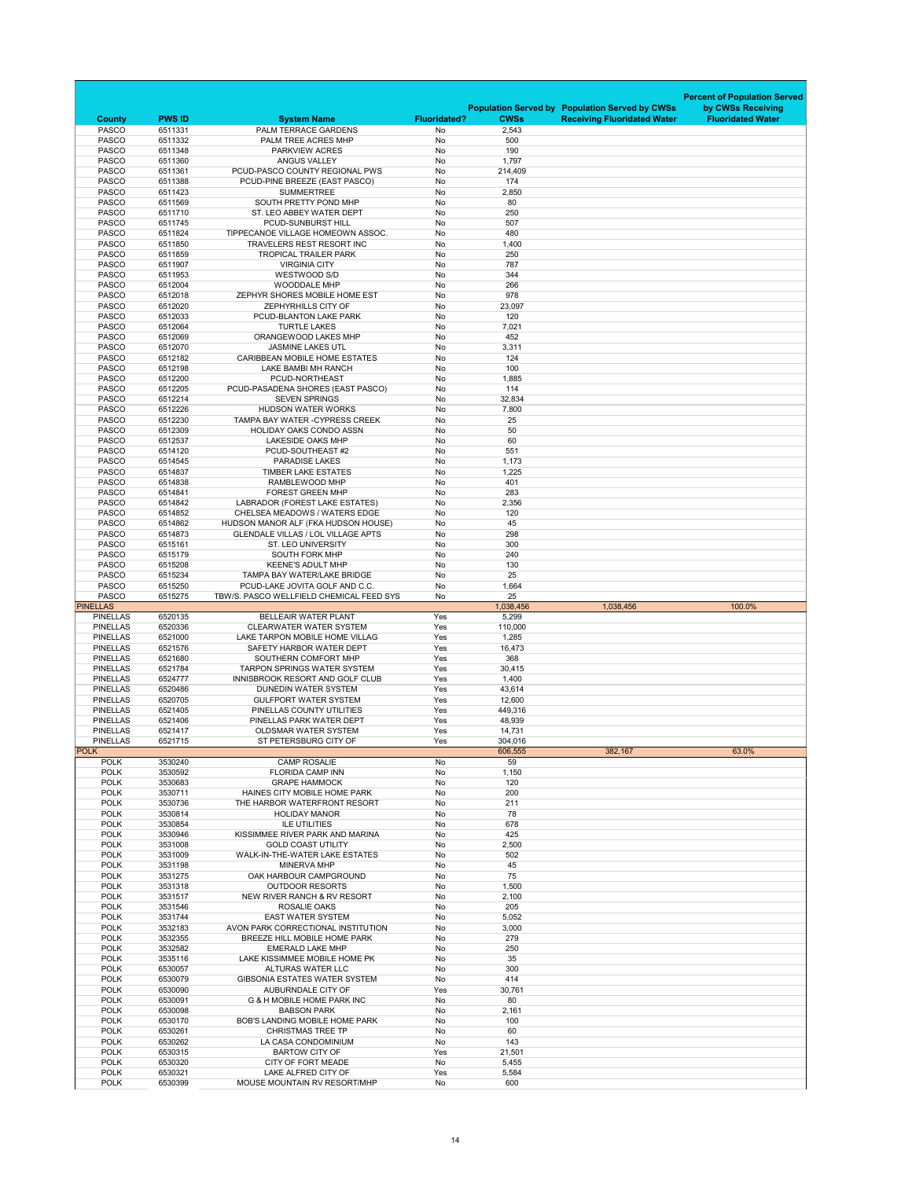|                                    |                    |                                                                            |                        |                    |                                                       | <b>Percent of Population Served</b> |
|------------------------------------|--------------------|----------------------------------------------------------------------------|------------------------|--------------------|-------------------------------------------------------|-------------------------------------|
|                                    |                    |                                                                            |                        |                    | <b>Population Served by Population Served by CWSs</b> | by CWSs Receiving                   |
| <b>County</b>                      | <b>PWS ID</b>      | <b>System Name</b>                                                         | <b>Fluoridated?</b>    | <b>CWSs</b>        | <b>Receiving Fluoridated Water</b>                    | <b>Fluoridated Water</b>            |
| <b>PASCO</b>                       | 6511331            | PALM TERRACE GARDENS                                                       | No                     | 2,543              |                                                       |                                     |
| <b>PASCO</b><br><b>PASCO</b>       | 6511332<br>6511348 | PALM TREE ACRES MHP<br>PARKVIEW ACRES                                      | <b>No</b><br><b>No</b> | 500<br>190         |                                                       |                                     |
| <b>PASCO</b>                       | 6511360            | <b>ANGUS VALLEY</b>                                                        | No                     | 1,797              |                                                       |                                     |
| <b>PASCO</b>                       | 6511361            | PCUD-PASCO COUNTY REGIONAL PWS                                             | <b>No</b>              | 214,409            |                                                       |                                     |
| <b>PASCO</b>                       | 6511388            | PCUD-PINE BREEZE (EAST PASCO)                                              | No                     | 174                |                                                       |                                     |
| <b>PASCO</b>                       | 6511423            | <b>SUMMERTREE</b>                                                          | No                     | 2,850              |                                                       |                                     |
| <b>PASCO</b>                       | 6511569            | SOUTH PRETTY POND MHP                                                      | No                     | 80                 |                                                       |                                     |
| <b>PASCO</b>                       | 6511710            | ST. LEO ABBEY WATER DEPT                                                   | No                     | 250                |                                                       |                                     |
| <b>PASCO</b><br><b>PASCO</b>       | 6511745<br>6511824 | PCUD-SUNBURST HILL<br>TIPPECANOE VILLAGE HOMEOWN ASSOC.                    | No<br>No               | 507<br>480         |                                                       |                                     |
| <b>PASCO</b>                       | 6511850            | <b>TRAVELERS REST RESORT INC</b>                                           | No                     | 1,400              |                                                       |                                     |
| <b>PASCO</b>                       | 6511859            | <b>TROPICAL TRAILER PARK</b>                                               | No                     | 250                |                                                       |                                     |
| <b>PASCO</b>                       | 6511907            | <b>VIRGINIA CITY</b>                                                       | No                     | 787                |                                                       |                                     |
| <b>PASCO</b>                       | 6511953            | WESTWOOD S/D                                                               | No                     | 344                |                                                       |                                     |
| <b>PASCO</b>                       | 6512004            | <b>WOODDALE MHP</b>                                                        | No                     | 266                |                                                       |                                     |
| <b>PASCO</b>                       | 6512018            | ZEPHYR SHORES MOBILE HOME EST                                              | No                     | 978                |                                                       |                                     |
| <b>PASCO</b><br><b>PASCO</b>       | 6512020<br>6512033 | ZEPHYRHILLS CITY OF<br>PCUD-BLANTON LAKE PARK                              | No                     | 23,097<br>120      |                                                       |                                     |
| <b>PASCO</b>                       | 6512064            | <b>TURTLE LAKES</b>                                                        | No<br>No               | 7,021              |                                                       |                                     |
| <b>PASCO</b>                       | 6512069            | ORANGEWOOD LAKES MHP                                                       | No                     | 452                |                                                       |                                     |
| <b>PASCO</b>                       | 6512070            | <b>JASMINE LAKES UTL</b>                                                   | No                     | 3,311              |                                                       |                                     |
| <b>PASCO</b>                       | 6512182            | <b>CARIBBEAN MOBILE HOME ESTATES</b>                                       | No                     | 124                |                                                       |                                     |
| <b>PASCO</b>                       | 6512198            | LAKE BAMBI MH RANCH                                                        | No                     | 100                |                                                       |                                     |
| <b>PASCO</b>                       | 6512200            | PCUD-NORTHEAST                                                             | No                     | 1,885              |                                                       |                                     |
| <b>PASCO</b>                       | 6512205            | PCUD-PASADENA SHORES (EAST PASCO)                                          | No                     | 114                |                                                       |                                     |
| <b>PASCO</b><br><b>PASCO</b>       | 6512214<br>6512226 | <b>SEVEN SPRINGS</b><br><b>HUDSON WATER WORKS</b>                          | No<br>No               | 32,834<br>7,800    |                                                       |                                     |
| <b>PASCO</b>                       | 6512230            | <b>TAMPA BAY WATER - CYPRESS CREEK</b>                                     | No                     | 25                 |                                                       |                                     |
| <b>PASCO</b>                       | 6512309            | <b>HOLIDAY OAKS CONDO ASSN</b>                                             | No                     | 50                 |                                                       |                                     |
| <b>PASCO</b>                       | 6512537            | <b>LAKESIDE OAKS MHP</b>                                                   | No                     | 60                 |                                                       |                                     |
| <b>PASCO</b>                       | 6514120            | PCUD-SOUTHEAST #2                                                          | No                     | 551                |                                                       |                                     |
| <b>PASCO</b>                       | 6514545            | <b>PARADISE LAKES</b>                                                      | No                     | 1,173              |                                                       |                                     |
| <b>PASCO</b>                       | 6514837            | <b>TIMBER LAKE ESTATES</b>                                                 | No                     | 1,225              |                                                       |                                     |
| <b>PASCO</b><br><b>PASCO</b>       | 6514838<br>6514841 | RAMBLEWOOD MHP<br><b>FOREST GREEN MHP</b>                                  | No<br>No               | 401<br>283         |                                                       |                                     |
| <b>PASCO</b>                       | 6514842            | LABRADOR (FOREST LAKE ESTATES)                                             | No                     | 2,356              |                                                       |                                     |
| <b>PASCO</b>                       | 6514852            | CHELSEA MEADOWS / WATERS EDGE                                              | No                     | 120                |                                                       |                                     |
| <b>PASCO</b>                       | 6514862            | HUDSON MANOR ALF (FKA HUDSON HOUSE)                                        | No                     | 45                 |                                                       |                                     |
| <b>PASCO</b>                       | 6514873            | <b>GLENDALE VILLAS / LOL VILLAGE APTS</b>                                  | No                     | 298                |                                                       |                                     |
| <b>PASCO</b>                       | 6515161            | <b>ST. LEO UNIVERSITY</b>                                                  | No                     | 300                |                                                       |                                     |
| <b>PASCO</b>                       | 6515179            | <b>SOUTH FORK MHP</b>                                                      | No                     | 240                |                                                       |                                     |
| <b>PASCO</b><br><b>PASCO</b>       | 6515208<br>6515234 | <b>KEENE'S ADULT MHP</b><br><b>TAMPA BAY WATER/LAKE BRIDGE</b>             | No<br>No               | 130<br>25          |                                                       |                                     |
| <b>PASCO</b>                       | 6515250            |                                                                            |                        |                    |                                                       |                                     |
|                                    |                    |                                                                            |                        |                    |                                                       |                                     |
| <b>PASCO</b>                       | 6515275            | PCUD-LAKE JOVITA GOLF AND C.C.<br>TBW/S. PASCO WELLFIELD CHEMICAL FEED SYS | No<br>No               | 1,664<br>25        |                                                       |                                     |
| <b>PINELLAS</b>                    |                    |                                                                            |                        | 1,038,456          | 1,038,456                                             | 100.0%                              |
| <b>PINELLAS</b>                    | 6520135            | <b>BELLEAIR WATER PLANT</b>                                                | Yes                    | 5,299              |                                                       |                                     |
| <b>PINELLAS</b>                    | 6520336            | <b>CLEARWATER WATER SYSTEM</b>                                             | Yes                    | 110,000            |                                                       |                                     |
| <b>PINELLAS</b>                    | 6521000            | LAKE TARPON MOBILE HOME VILLAG                                             | Yes                    | 1,285              |                                                       |                                     |
| <b>PINELLAS</b>                    | 6521576            | SAFETY HARBOR WATER DEPT<br>SOUTHERN COMFORT MHP                           | Yes                    | 16,473             |                                                       |                                     |
| <b>PINELLAS</b><br><b>PINELLAS</b> | 6521680<br>6521784 | <b>TARPON SPRINGS WATER SYSTEM</b>                                         | Yes<br>Yes             | 368<br>30,415      |                                                       |                                     |
| <b>PINELLAS</b>                    | 6524777            | INNISBROOK RESORT AND GOLF CLUB                                            | Yes                    | 1,400              |                                                       |                                     |
| <b>PINELLAS</b>                    | 6520486            | <b>DUNEDIN WATER SYSTEM</b>                                                | Yes                    | 43,614             |                                                       |                                     |
| <b>PINELLAS</b>                    | 6520705            | <b>GULFPORT WATER SYSTEM</b>                                               | Yes                    | 12,600             |                                                       |                                     |
| <b>PINELLAS</b>                    | 6521405            | PINELLAS COUNTY UTILITIES                                                  | Yes                    | 449,316            |                                                       |                                     |
| <b>PINELLAS</b>                    | 6521406            | PINELLAS PARK WATER DEPT                                                   | Yes                    | 48,939             |                                                       |                                     |
| <b>PINELLAS</b>                    | 6521417            | <b>OLDSMAR WATER SYSTEM</b>                                                | Yes                    | 14,731             |                                                       |                                     |
| <b>PINELLAS</b><br><b>POLK</b>     | 6521715            | ST PETERSBURG CITY OF                                                      | Yes                    | 304,016<br>606,555 | 382,167                                               | 63.0%                               |
| <b>POLK</b>                        | 3530240            | <b>CAMP ROSALIE</b>                                                        | No                     | 59                 |                                                       |                                     |
| <b>POLK</b>                        | 3530592            | <b>FLORIDA CAMP INN</b>                                                    | No                     | 1,150              |                                                       |                                     |
| <b>POLK</b>                        | 3530683            | <b>GRAPE HAMMOCK</b>                                                       | No                     | 120                |                                                       |                                     |
| <b>POLK</b>                        | 3530711            | HAINES CITY MOBILE HOME PARK                                               | No                     | 200                |                                                       |                                     |
| <b>POLK</b>                        | 3530736            | THE HARBOR WATERFRONT RESORT                                               | No                     | 211                |                                                       |                                     |
| <b>POLK</b><br><b>POLK</b>         | 3530814<br>3530854 | <b>HOLIDAY MANOR</b><br><b>ILE UTILITIES</b>                               | No<br>No               | 78<br>678          |                                                       |                                     |
| <b>POLK</b>                        | 3530946            | KISSIMMEE RIVER PARK AND MARINA                                            | No                     | 425                |                                                       |                                     |
| <b>POLK</b>                        | 3531008            | <b>GOLD COAST UTILITY</b>                                                  | No                     | 2,500              |                                                       |                                     |
| <b>POLK</b>                        | 3531009            | <b>WALK-IN-THE-WATER LAKE ESTATES</b>                                      | No                     | 502                |                                                       |                                     |
| <b>POLK</b>                        | 3531198            | <b>MINERVA MHP</b>                                                         | No                     | 45                 |                                                       |                                     |
| <b>POLK</b>                        | 3531275            | OAK HARBOUR CAMPGROUND                                                     | No                     | 75                 |                                                       |                                     |
| <b>POLK</b>                        | 3531318            | <b>OUTDOOR RESORTS</b>                                                     | No                     | 1,500              |                                                       |                                     |
| <b>POLK</b><br><b>POLK</b>         | 3531517<br>3531546 | NEW RIVER RANCH & RV RESORT<br><b>ROSALIE OAKS</b>                         | No<br>No               | 2,100<br>205       |                                                       |                                     |
| <b>POLK</b>                        | 3531744            | <b>EAST WATER SYSTEM</b>                                                   | No                     | 5,052              |                                                       |                                     |
| <b>POLK</b>                        | 3532183            | AVON PARK CORRECTIONAL INSTITUTION                                         | No                     | 3,000              |                                                       |                                     |
| <b>POLK</b>                        | 3532355            | BREEZE HILL MOBILE HOME PARK                                               | No                     | 279                |                                                       |                                     |
| <b>POLK</b>                        | 3532582            | <b>EMERALD LAKE MHP</b>                                                    | No                     | 250                |                                                       |                                     |
| <b>POLK</b>                        | 3535116            | LAKE KISSIMMEE MOBILE HOME PK                                              | No                     | 35                 |                                                       |                                     |
| <b>POLK</b><br><b>POLK</b>         | 6530057<br>6530079 | <b>ALTURAS WATER LLC</b><br><b>GIBSONIA ESTATES WATER SYSTEM</b>           | No<br>No               | 300<br>414         |                                                       |                                     |
| <b>POLK</b>                        | 6530090            | AUBURNDALE CITY OF                                                         | Yes                    | 30,761             |                                                       |                                     |
| <b>POLK</b>                        | 6530091            | <b>G &amp; H MOBILE HOME PARK INC</b>                                      | No                     | 80                 |                                                       |                                     |
| <b>POLK</b>                        | 6530098            | <b>BABSON PARK</b>                                                         | No                     | 2,161              |                                                       |                                     |
| <b>POLK</b>                        | 6530170            | <b>BOB'S LANDING MOBILE HOME PARK</b>                                      | No                     | 100                |                                                       |                                     |
| <b>POLK</b>                        | 6530261            | <b>CHRISTMAS TREE TP</b>                                                   | No                     | 60                 |                                                       |                                     |
| <b>POLK</b>                        | 6530262            | LA CASA CONDOMINIUM                                                        | No                     | 143                |                                                       |                                     |
| <b>POLK</b><br><b>POLK</b>         | 6530315<br>6530320 | <b>BARTOW CITY OF</b><br>CITY OF FORT MEADE                                | Yes<br>No              | 21,501<br>5,455    |                                                       |                                     |
| <b>POLK</b>                        | 6530321            | LAKE ALFRED CITY OF                                                        | Yes                    | 5,584              |                                                       |                                     |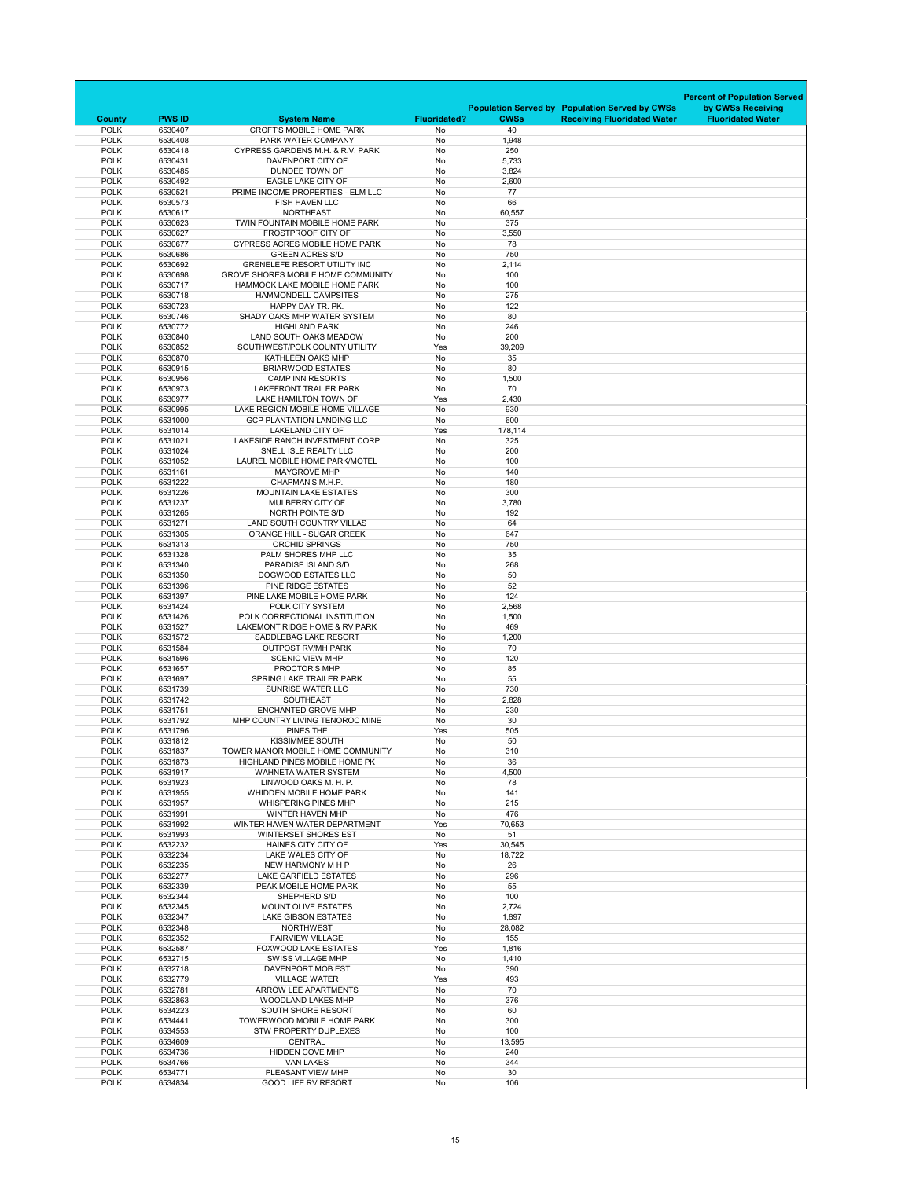|                            |                    |                                                                      |                     |              |                                                       | <b>Percent of Population Served</b> |
|----------------------------|--------------------|----------------------------------------------------------------------|---------------------|--------------|-------------------------------------------------------|-------------------------------------|
|                            |                    |                                                                      |                     |              | <b>Population Served by Population Served by CWSs</b> | by CWSs Receiving                   |
| <b>County</b>              | <b>PWS ID</b>      | <b>System Name</b>                                                   | <b>Fluoridated?</b> | <b>CWSs</b>  | <b>Receiving Fluoridated Water</b>                    | <b>Fluoridated Water</b>            |
| <b>POLK</b><br><b>POLK</b> | 6530407<br>6530408 | <b>CROFT'S MOBILE HOME PARK</b><br>PARK WATER COMPANY                | No<br>No            | 40<br>1,948  |                                                       |                                     |
| <b>POLK</b>                | 6530418            | <b>CYPRESS GARDENS M.H. &amp; R.V. PARK</b>                          | No                  | 250          |                                                       |                                     |
| <b>POLK</b>                | 6530431            | DAVENPORT CITY OF                                                    | No                  | 5,733        |                                                       |                                     |
| <b>POLK</b>                | 6530485            | DUNDEE TOWN OF                                                       | No                  | 3,824        |                                                       |                                     |
| <b>POLK</b><br><b>POLK</b> | 6530492<br>6530521 | <b>EAGLE LAKE CITY OF</b><br>PRIME INCOME PROPERTIES - ELM LLC       | No<br>No            | 2,600<br>77  |                                                       |                                     |
| <b>POLK</b>                | 6530573            | <b>FISH HAVEN LLC</b>                                                | No                  | 66           |                                                       |                                     |
| <b>POLK</b>                | 6530617            | <b>NORTHEAST</b>                                                     | No                  | 60,557       |                                                       |                                     |
| <b>POLK</b>                | 6530623            | TWIN FOUNTAIN MOBILE HOME PARK                                       | No                  | 375          |                                                       |                                     |
| <b>POLK</b><br><b>POLK</b> | 6530627<br>6530677 | <b>FROSTPROOF CITY OF</b><br><b>CYPRESS ACRES MOBILE HOME PARK</b>   | No<br>No            | 3,550<br>78  |                                                       |                                     |
| <b>POLK</b>                | 6530686            | <b>GREEN ACRES S/D</b>                                               | No                  | 750          |                                                       |                                     |
| <b>POLK</b>                | 6530692            | <b>GRENELEFE RESORT UTILITY INC</b>                                  | No                  | 2,114        |                                                       |                                     |
| <b>POLK</b>                | 6530698            | <b>GROVE SHORES MOBILE HOME COMMUNITY</b>                            | No                  | 100          |                                                       |                                     |
| <b>POLK</b>                | 6530717            | HAMMOCK LAKE MOBILE HOME PARK                                        | No                  | 100          |                                                       |                                     |
| <b>POLK</b><br><b>POLK</b> | 6530718<br>6530723 | <b>HAMMONDELL CAMPSITES</b><br>HAPPY DAY TR. PK.                     | <b>No</b><br>No     | 275<br>122   |                                                       |                                     |
| <b>POLK</b>                | 6530746            | SHADY OAKS MHP WATER SYSTEM                                          | No                  | 80           |                                                       |                                     |
| <b>POLK</b>                | 6530772            | <b>HIGHLAND PARK</b>                                                 | No                  | 246          |                                                       |                                     |
| <b>POLK</b>                | 6530840            | LAND SOUTH OAKS MEADOW                                               | No                  | 200          |                                                       |                                     |
| <b>POLK</b><br><b>POLK</b> | 6530852<br>6530870 | SOUTHWEST/POLK COUNTY UTILITY<br>KATHLEEN OAKS MHP                   | Yes<br>No           | 39,209<br>35 |                                                       |                                     |
| <b>POLK</b>                | 6530915            | <b>BRIARWOOD ESTATES</b>                                             | No                  | 80           |                                                       |                                     |
| <b>POLK</b>                | 6530956            | <b>CAMP INN RESORTS</b>                                              | No                  | 1,500        |                                                       |                                     |
| <b>POLK</b>                | 6530973            | <b>LAKEFRONT TRAILER PARK</b>                                        | No                  | 70           |                                                       |                                     |
| <b>POLK</b>                | 6530977            | LAKE HAMILTON TOWN OF                                                | Yes                 | 2,430        |                                                       |                                     |
| <b>POLK</b><br><b>POLK</b> | 6530995<br>6531000 | LAKE REGION MOBILE HOME VILLAGE<br><b>GCP PLANTATION LANDING LLC</b> | No                  | 930<br>600   |                                                       |                                     |
| <b>POLK</b>                | 6531014            | <b>LAKELAND CITY OF</b>                                              | No<br>Yes           | 178,114      |                                                       |                                     |
| <b>POLK</b>                | 6531021            | LAKESIDE RANCH INVESTMENT CORP                                       | No                  | 325          |                                                       |                                     |
| <b>POLK</b>                | 6531024            | SNELL ISLE REALTY LLC                                                | No                  | 200          |                                                       |                                     |
| <b>POLK</b>                | 6531052            | LAUREL MOBILE HOME PARK/MOTEL                                        | No                  | 100          |                                                       |                                     |
| <b>POLK</b><br><b>POLK</b> | 6531161<br>6531222 | <b>MAYGROVE MHP</b><br><b>CHAPMAN'S M.H.P.</b>                       | No<br>No            | 140<br>180   |                                                       |                                     |
| <b>POLK</b>                | 6531226            | <b>MOUNTAIN LAKE ESTATES</b>                                         | No                  | 300          |                                                       |                                     |
| <b>POLK</b>                | 6531237            | <b>MULBERRY CITY OF</b>                                              | No                  | 3,780        |                                                       |                                     |
| <b>POLK</b>                | 6531265            | NORTH POINTE S/D                                                     | No                  | 192          |                                                       |                                     |
| <b>POLK</b>                | 6531271            | <b>LAND SOUTH COUNTRY VILLAS</b>                                     | No                  | 64           |                                                       |                                     |
| <b>POLK</b><br><b>POLK</b> | 6531305<br>6531313 | <b>ORANGE HILL - SUGAR CREEK</b><br><b>ORCHID SPRINGS</b>            | No<br>No            | 647<br>750   |                                                       |                                     |
| <b>POLK</b>                | 6531328            | PALM SHORES MHP LLC                                                  | No                  | 35           |                                                       |                                     |
| <b>POLK</b>                | 6531340            | PARADISE ISLAND S/D                                                  | No                  | 268          |                                                       |                                     |
| <b>POLK</b>                | 6531350            | <b>DOGWOOD ESTATES LLC</b>                                           | No                  | 50           |                                                       |                                     |
| <b>POLK</b>                | 6531396            | PINE RIDGE ESTATES                                                   | No                  | 52           |                                                       |                                     |
| <b>POLK</b><br><b>POLK</b> | 6531397<br>6531424 | PINE LAKE MOBILE HOME PARK<br>POLK CITY SYSTEM                       | No<br>No            | 124<br>2,568 |                                                       |                                     |
| <b>POLK</b>                | 6531426            | POLK CORRECTIONAL INSTITUTION                                        | No                  | 1,500        |                                                       |                                     |
| <b>POLK</b>                | 6531527            | LAKEMONT RIDGE HOME & RV PARK                                        | No                  | 469          |                                                       |                                     |
| <b>POLK</b>                | 6531572            | SADDLEBAG LAKE RESORT                                                | No                  | 1,200        |                                                       |                                     |
| <b>POLK</b>                | 6531584            | <b>OUTPOST RV/MH PARK</b>                                            | No                  | 70           |                                                       |                                     |
| <b>POLK</b><br><b>POLK</b> | 6531596<br>6531657 | <b>SCENIC VIEW MHP</b><br>PROCTOR'S MHP                              | No<br>No            | 120<br>85    |                                                       |                                     |
| <b>POLK</b>                | 6531697            | <b>SPRING LAKE TRAILER PARK</b>                                      | No                  | 55           |                                                       |                                     |
| <b>POLK</b>                | 6531739            | <b>SUNRISE WATER LLC</b>                                             | No                  | 730          |                                                       |                                     |
| <b>POLK</b>                | 6531742            | <b>SOUTHEAST</b>                                                     | No                  | 2,828        |                                                       |                                     |
| <b>POLK</b><br><b>POLK</b> | 6531751<br>6531792 | <b>ENCHANTED GROVE MHP</b><br>MHP COUNTRY LIVING TENOROC MINE        | No<br>No            | 230<br>30    |                                                       |                                     |
| <b>POLK</b>                | 6531796            | PINES THE                                                            | Yes                 | 505          |                                                       |                                     |
| <b>POLK</b>                | 6531812            | <b>KISSIMMEE SOUTH</b>                                               | No                  | 50           |                                                       |                                     |
| <b>POLK</b>                | 6531837            | TOWER MANOR MOBILE HOME COMMUNITY                                    | No                  | 310          |                                                       |                                     |
| <b>POLK</b>                | 6531873            | <b>HIGHLAND PINES MOBILE HOME PK</b>                                 | No                  | 36           |                                                       |                                     |
| <b>POLK</b><br><b>POLK</b> | 6531917<br>6531923 | <b>WAHNETA WATER SYSTEM</b><br>LINWOOD OAKS M. H. P.                 | No<br>No            | 4,500<br>78  |                                                       |                                     |
| <b>POLK</b>                | 6531955            | <b>WHIDDEN MOBILE HOME PARK</b>                                      | No                  | 141          |                                                       |                                     |
| <b>POLK</b>                | 6531957            | <b>WHISPERING PINES MHP</b>                                          | No                  | 215          |                                                       |                                     |
| <b>POLK</b>                | 6531991            | <b>WINTER HAVEN MHP</b>                                              | No                  | 476          |                                                       |                                     |
| <b>POLK</b><br><b>POLK</b> | 6531992<br>6531993 | WINTER HAVEN WATER DEPARTMENT<br><b>WINTERSET SHORES EST</b>         | Yes<br>No           | 70,653<br>51 |                                                       |                                     |
| <b>POLK</b>                | 6532232            | <b>HAINES CITY CITY OF</b>                                           | Yes                 | 30,545       |                                                       |                                     |
| <b>POLK</b>                | 6532234            | LAKE WALES CITY OF                                                   | No                  | 18,722       |                                                       |                                     |
| <b>POLK</b>                | 6532235            | NEW HARMONY M H P                                                    | No                  | 26           |                                                       |                                     |
| <b>POLK</b>                | 6532277            | <b>LAKE GARFIELD ESTATES</b>                                         | No                  | 296          |                                                       |                                     |
| <b>POLK</b><br><b>POLK</b> | 6532339<br>6532344 | PEAK MOBILE HOME PARK<br>SHEPHERD S/D                                | No<br>No            | 55<br>100    |                                                       |                                     |
| <b>POLK</b>                | 6532345            | <b>MOUNT OLIVE ESTATES</b>                                           | No                  | 2,724        |                                                       |                                     |
| <b>POLK</b>                | 6532347            | <b>LAKE GIBSON ESTATES</b>                                           | No                  | 1,897        |                                                       |                                     |
| <b>POLK</b>                | 6532348            | <b>NORTHWEST</b>                                                     | No                  | 28,082       |                                                       |                                     |
| <b>POLK</b><br><b>POLK</b> | 6532352<br>6532587 | <b>FAIRVIEW VILLAGE</b><br><b>FOXWOOD LAKE ESTATES</b>               | No<br>Yes           | 155<br>1,816 |                                                       |                                     |
| <b>POLK</b>                | 6532715            | <b>SWISS VILLAGE MHP</b>                                             | No                  | 1,410        |                                                       |                                     |
| <b>POLK</b>                | 6532718            | DAVENPORT MOB EST                                                    | No                  | 390          |                                                       |                                     |
| <b>POLK</b>                | 6532779            | <b>VILLAGE WATER</b>                                                 | Yes                 | 493          |                                                       |                                     |
| <b>POLK</b>                | 6532781            | ARROW LEE APARTMENTS                                                 | No                  | 70           |                                                       |                                     |
| <b>POLK</b><br><b>POLK</b> | 6532863<br>6534223 | <b>WOODLAND LAKES MHP</b><br><b>SOUTH SHORE RESORT</b>               | No<br>No            | 376<br>60    |                                                       |                                     |
| <b>POLK</b>                | 6534441            | <b>TOWERWOOD MOBILE HOME PARK</b>                                    | No                  | 300          |                                                       |                                     |
| <b>POLK</b>                | 6534553            | <b>STW PROPERTY DUPLEXES</b>                                         | No                  | 100          |                                                       |                                     |
| <b>POLK</b>                | 6534609            | <b>CENTRAL</b>                                                       | No                  | 13,595       |                                                       |                                     |
| <b>POLK</b><br><b>POLK</b> | 6534736            | <b>HIDDEN COVE MHP</b>                                               | No<br>No            | 240<br>344   |                                                       |                                     |
| <b>POLK</b>                | 6534766<br>6534771 | <b>VAN LAKES</b><br>PLEASANT VIEW MHP                                | No                  | 30           |                                                       |                                     |
| <b>POLK</b>                | 6534834            | <b>GOOD LIFE RV RESORT</b>                                           | No                  | 106          |                                                       |                                     |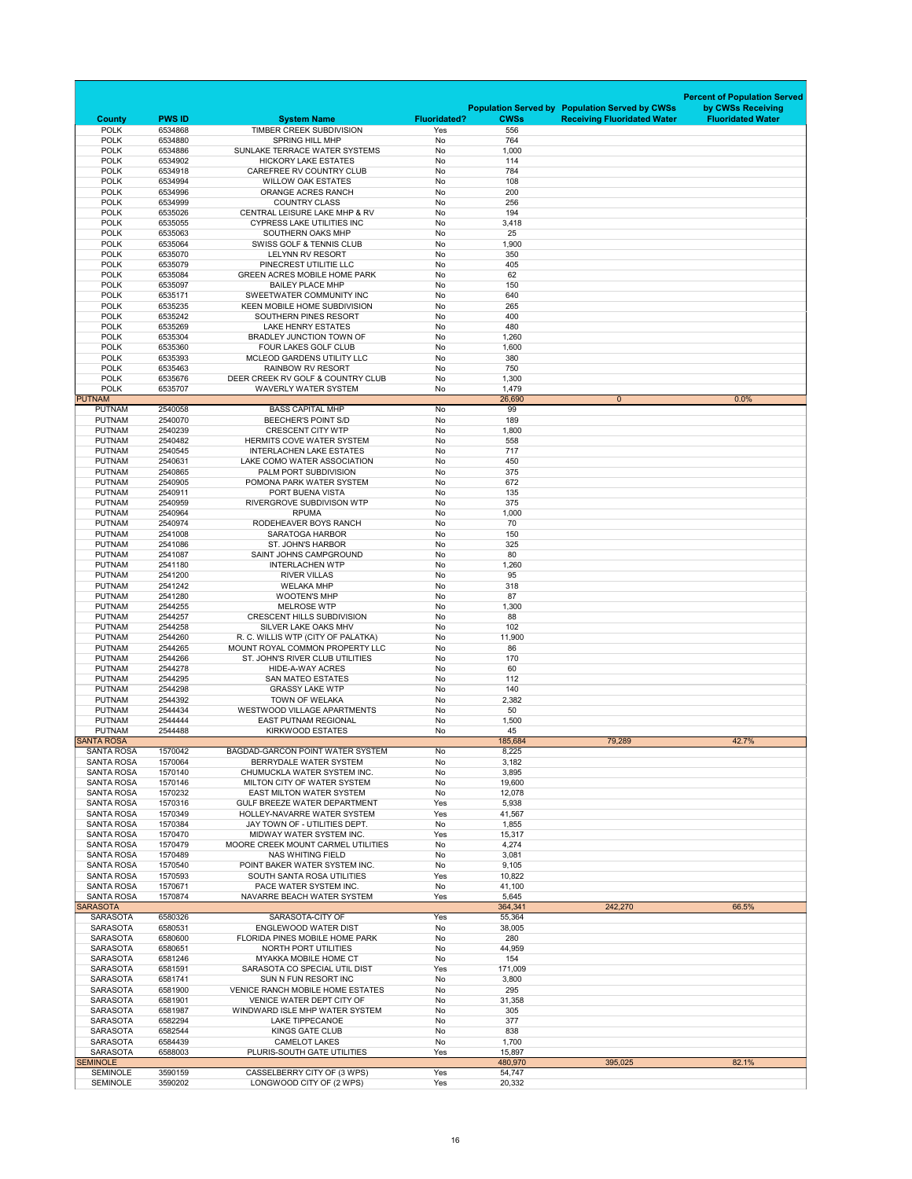|                                        |                    |                                                                       |                        |                    |                                                       | <b>Percent of Population Served</b> |
|----------------------------------------|--------------------|-----------------------------------------------------------------------|------------------------|--------------------|-------------------------------------------------------|-------------------------------------|
|                                        |                    |                                                                       |                        |                    | <b>Population Served by Population Served by CWSs</b> | by CWSs Receiving                   |
| <b>County</b>                          | <b>PWS ID</b>      | <b>System Name</b><br><b>TIMBER CREEK SUBDIVISION</b>                 | <b>Fluoridated?</b>    | <b>CWSs</b><br>556 | <b>Receiving Fluoridated Water</b>                    | <b>Fluoridated Water</b>            |
| <b>POLK</b><br><b>POLK</b>             | 6534868<br>6534880 | <b>SPRING HILL MHP</b>                                                | Yes<br><b>No</b>       | 764                |                                                       |                                     |
| <b>POLK</b>                            | 6534886            | SUNLAKE TERRACE WATER SYSTEMS                                         | <b>No</b>              | 1,000              |                                                       |                                     |
| <b>POLK</b>                            | 6534902            | <b>HICKORY LAKE ESTATES</b>                                           | No                     | 114                |                                                       |                                     |
| <b>POLK</b><br><b>POLK</b>             | 6534918<br>6534994 | <b>CAREFREE RV COUNTRY CLUB</b><br><b>WILLOW OAK ESTATES</b>          | <b>No</b><br><b>No</b> | 784<br>108         |                                                       |                                     |
| <b>POLK</b>                            | 6534996            | ORANGE ACRES RANCH                                                    | <b>No</b>              | 200                |                                                       |                                     |
| <b>POLK</b>                            | 6534999            | <b>COUNTRY CLASS</b>                                                  | No                     | 256                |                                                       |                                     |
| <b>POLK</b><br><b>POLK</b>             | 6535026<br>6535055 | CENTRAL LEISURE LAKE MHP & RV<br><b>CYPRESS LAKE UTILITIES INC</b>    | No<br><b>No</b>        | 194<br>3,418       |                                                       |                                     |
| <b>POLK</b>                            | 6535063            | SOUTHERN OAKS MHP                                                     | <b>No</b>              | 25                 |                                                       |                                     |
| <b>POLK</b>                            | 6535064            | <b>SWISS GOLF &amp; TENNIS CLUB</b>                                   | <b>No</b>              | 1,900              |                                                       |                                     |
| <b>POLK</b>                            | 6535070            | <b>LELYNN RV RESORT</b>                                               | <b>No</b>              | 350                |                                                       |                                     |
| <b>POLK</b><br><b>POLK</b>             | 6535079<br>6535084 | PINECREST UTILITIE LLC<br><b>GREEN ACRES MOBILE HOME PARK</b>         | No<br><b>No</b>        | 405<br>62          |                                                       |                                     |
| <b>POLK</b>                            | 6535097            | <b>BAILEY PLACE MHP</b>                                               | No                     | 150                |                                                       |                                     |
| <b>POLK</b>                            | 6535171            | SWEETWATER COMMUNITY INC                                              | <b>No</b>              | 640                |                                                       |                                     |
| <b>POLK</b><br><b>POLK</b>             | 6535235<br>6535242 | <b>KEEN MOBILE HOME SUBDIVISION</b><br>SOUTHERN PINES RESORT          | No<br>No               | 265<br>400         |                                                       |                                     |
| <b>POLK</b>                            | 6535269            | <b>LAKE HENRY ESTATES</b>                                             | No                     | 480                |                                                       |                                     |
| <b>POLK</b>                            | 6535304            | <b>BRADLEY JUNCTION TOWN OF</b>                                       | No                     | 1,260              |                                                       |                                     |
| <b>POLK</b>                            | 6535360            | <b>FOUR LAKES GOLF CLUB</b>                                           | No                     | 1,600              |                                                       |                                     |
| <b>POLK</b><br><b>POLK</b>             | 6535393<br>6535463 | MCLEOD GARDENS UTILITY LLC<br><b>RAINBOW RV RESORT</b>                | No<br>No               | 380<br>750         |                                                       |                                     |
| <b>POLK</b>                            | 6535676            | DEER CREEK RV GOLF & COUNTRY CLUB                                     | No                     | 1,300              |                                                       |                                     |
| <b>POLK</b>                            | 6535707            | <b>WAVERLY WATER SYSTEM</b>                                           | No                     | 1,479              |                                                       |                                     |
| <b>PUTNAM</b>                          |                    |                                                                       |                        | 26,690             | $\overline{0}$                                        | 0.0%                                |
| <b>PUTNAM</b><br><b>PUTNAM</b>         | 2540058<br>2540070 | <b>BASS CAPITAL MHP</b><br><b>BEECHER'S POINT S/D</b>                 | No<br>No               | 99<br>189          |                                                       |                                     |
| <b>PUTNAM</b>                          | 2540239            | <b>CRESCENT CITY WTP</b>                                              | No                     | 1,800              |                                                       |                                     |
| <b>PUTNAM</b>                          | 2540482            | <b>HERMITS COVE WATER SYSTEM</b>                                      | No                     | 558                |                                                       |                                     |
| <b>PUTNAM</b><br><b>PUTNAM</b>         | 2540545<br>2540631 | <b>INTERLACHEN LAKE ESTATES</b><br>LAKE COMO WATER ASSOCIATION        | No<br>No               | 717<br>450         |                                                       |                                     |
| <b>PUTNAM</b>                          | 2540865            | PALM PORT SUBDIVISION                                                 | No                     | 375                |                                                       |                                     |
| <b>PUTNAM</b>                          | 2540905            | POMONA PARK WATER SYSTEM                                              | No                     | 672                |                                                       |                                     |
| <b>PUTNAM</b>                          | 2540911            | PORT BUENA VISTA                                                      | No                     | 135                |                                                       |                                     |
| <b>PUTNAM</b><br><b>PUTNAM</b>         | 2540959<br>2540964 | RIVERGROVE SUBDIVISON WTP<br><b>RPUMA</b>                             | No<br>No               | 375<br>1,000       |                                                       |                                     |
| <b>PUTNAM</b>                          | 2540974            | RODEHEAVER BOYS RANCH                                                 | No                     | 70                 |                                                       |                                     |
| <b>PUTNAM</b>                          | 2541008            | <b>SARATOGA HARBOR</b>                                                | No                     | 150                |                                                       |                                     |
| <b>PUTNAM</b><br><b>PUTNAM</b>         | 2541086<br>2541087 | <b>ST. JOHN'S HARBOR</b><br>SAINT JOHNS CAMPGROUND                    | No<br>No               | 325<br>80          |                                                       |                                     |
| <b>PUTNAM</b>                          | 2541180            | <b>INTERLACHEN WTP</b>                                                | No                     | 1,260              |                                                       |                                     |
| <b>PUTNAM</b>                          | 2541200            | <b>RIVER VILLAS</b>                                                   | No                     | 95                 |                                                       |                                     |
| <b>PUTNAM</b>                          | 2541242            | <b>WELAKA MHP</b>                                                     | No                     | 318                |                                                       |                                     |
| <b>PUTNAM</b><br><b>PUTNAM</b>         | 2541280<br>2544255 | <b>WOOTEN'S MHP</b><br><b>MELROSE WTP</b>                             | No<br>No               | 87<br>1,300        |                                                       |                                     |
| <b>PUTNAM</b>                          | 2544257            | <b>CRESCENT HILLS SUBDIVISION</b>                                     | No                     | 88                 |                                                       |                                     |
| <b>PUTNAM</b>                          | 2544258            | SILVER LAKE OAKS MHV                                                  | No                     | 102                |                                                       |                                     |
| <b>PUTNAM</b><br><b>PUTNAM</b>         | 2544260<br>2544265 | R. C. WILLIS WTP (CITY OF PALATKA)<br>MOUNT ROYAL COMMON PROPERTY LLC | No<br>No               | 11,900<br>86       |                                                       |                                     |
| <b>PUTNAM</b>                          | 2544266            | ST. JOHN'S RIVER CLUB UTILITIES                                       | No                     | 170                |                                                       |                                     |
| <b>PUTNAM</b>                          | 2544278            | <b>HIDE-A-WAY ACRES</b>                                               | No                     | 60                 |                                                       |                                     |
| <b>PUTNAM</b>                          | 2544295            | <b>SAN MATEO ESTATES</b>                                              | No                     | 112                |                                                       |                                     |
| <b>PUTNAM</b><br><b>PUTNAM</b>         | 2544298<br>2544392 | <b>GRASSY LAKE WTP</b><br><b>TOWN OF WELAKA</b>                       | No<br>No               | 140<br>2,382       |                                                       |                                     |
| <b>PUTNAM</b>                          | 2544434            | <b>WESTWOOD VILLAGE APARTMENTS</b>                                    | No                     | 50                 |                                                       |                                     |
| <b>PUTNAM</b>                          | 2544444            | <b>EAST PUTNAM REGIONAL</b>                                           | No                     | 1,500              |                                                       |                                     |
| <b>PUTNAM</b><br><b>SANTA ROSA</b>     | 2544488            | <b>KIRKWOOD ESTATES</b>                                               | No                     | 45<br>185,684      | 79,289                                                | 42.7%                               |
| <b>SANTA ROSA</b>                      | 1570042            | <b>BAGDAD-GARCON POINT WATER SYSTEM</b>                               | No                     | 8,225              |                                                       |                                     |
| <b>SANTA ROSA</b>                      | 1570064            | BERRYDALE WATER SYSTEM                                                | No                     | 3,182              |                                                       |                                     |
| <b>SANTA ROSA</b><br><b>SANTA ROSA</b> | 1570140<br>1570146 | CHUMUCKLA WATER SYSTEM INC.<br>MILTON CITY OF WATER SYSTEM            | No<br>No               | 3,895              |                                                       |                                     |
| <b>SANTA ROSA</b>                      | 1570232            | <b>EAST MILTON WATER SYSTEM</b>                                       | No                     | 19,600<br>12,078   |                                                       |                                     |
| <b>SANTA ROSA</b>                      | 1570316            | <b>GULF BREEZE WATER DEPARTMENT</b>                                   | Yes                    | 5,938              |                                                       |                                     |
| <b>SANTA ROSA</b>                      | 1570349            | <b>HOLLEY-NAVARRE WATER SYSTEM</b>                                    | Yes                    | 41,567             |                                                       |                                     |
| <b>SANTA ROSA</b><br><b>SANTA ROSA</b> | 1570384<br>1570470 | JAY TOWN OF - UTILITIES DEPT.<br>MIDWAY WATER SYSTEM INC.             | No<br>Yes              | 1,855<br>15,317    |                                                       |                                     |
| <b>SANTA ROSA</b>                      | 1570479            | MOORE CREEK MOUNT CARMEL UTILITIES                                    | No                     | 4,274              |                                                       |                                     |
| <b>SANTA ROSA</b>                      | 1570489            | <b>NAS WHITING FIELD</b>                                              | No                     | 3,081              |                                                       |                                     |
| <b>SANTA ROSA</b>                      | 1570540            | POINT BAKER WATER SYSTEM INC.                                         | No                     | 9,105              |                                                       |                                     |
| <b>SANTA ROSA</b><br><b>SANTA ROSA</b> | 1570593<br>1570671 | <b>SOUTH SANTA ROSA UTILITIES</b><br>PACE WATER SYSTEM INC.           | Yes<br>No              | 10,822<br>41,100   |                                                       |                                     |
| <b>SANTA ROSA</b>                      | 1570874            | NAVARRE BEACH WATER SYSTEM                                            | Yes                    | 5,645              |                                                       |                                     |
| <b>SARASOTA</b>                        |                    |                                                                       |                        | 364,341            | 242,270                                               | 66.5%                               |
| <b>SARASOTA</b><br><b>SARASOTA</b>     | 6580326<br>6580531 | SARASOTA-CITY OF<br><b>ENGLEWOOD WATER DIST</b>                       | Yes<br>No              | 55,364<br>38,005   |                                                       |                                     |
| <b>SARASOTA</b>                        | 6580600            | <b>FLORIDA PINES MOBILE HOME PARK</b>                                 | No                     | 280                |                                                       |                                     |
| <b>SARASOTA</b>                        | 6580651            | NORTH PORT UTILITIES                                                  | No                     | 44,959             |                                                       |                                     |
| <b>SARASOTA</b><br><b>SARASOTA</b>     | 6581246<br>6581591 | <b>MYAKKA MOBILE HOME CT</b><br>SARASOTA CO SPECIAL UTIL DIST         | No<br>Yes              | 154                |                                                       |                                     |
| <b>SARASOTA</b>                        | 6581741            | SUN N FUN RESORT INC                                                  | No                     | 171,009<br>3,800   |                                                       |                                     |
| <b>SARASOTA</b>                        | 6581900            | <b>VENICE RANCH MOBILE HOME ESTATES</b>                               | No                     | 295                |                                                       |                                     |
| <b>SARASOTA</b>                        | 6581901            | <b>VENICE WATER DEPT CITY OF</b>                                      | No                     | 31,358             |                                                       |                                     |
| <b>SARASOTA</b><br><b>SARASOTA</b>     | 6581987<br>6582294 | WINDWARD ISLE MHP WATER SYSTEM<br><b>LAKE TIPPECANOE</b>              | No<br>No               | 305<br>377         |                                                       |                                     |
| <b>SARASOTA</b>                        | 6582544            | <b>KINGS GATE CLUB</b>                                                | No                     | 838                |                                                       |                                     |
| <b>SARASOTA</b>                        | 6584439            | <b>CAMELOT LAKES</b>                                                  | No                     | 1,700              |                                                       |                                     |
| <b>SARASOTA</b><br><b>SEMINOLE</b>     | 6588003            | PLURIS-SOUTH GATE UTILITIES                                           | Yes                    | 15,897<br>480,970  | 395,025                                               | 82.1%                               |
| <b>SEMINOLE</b>                        | 3590159            | CASSELBERRY CITY OF (3 WPS)                                           | Yes                    | 54,747             |                                                       |                                     |
| <b>SEMINOLE</b>                        | 3590202            | LONGWOOD CITY OF (2 WPS)                                              | Yes                    | 20,332             |                                                       |                                     |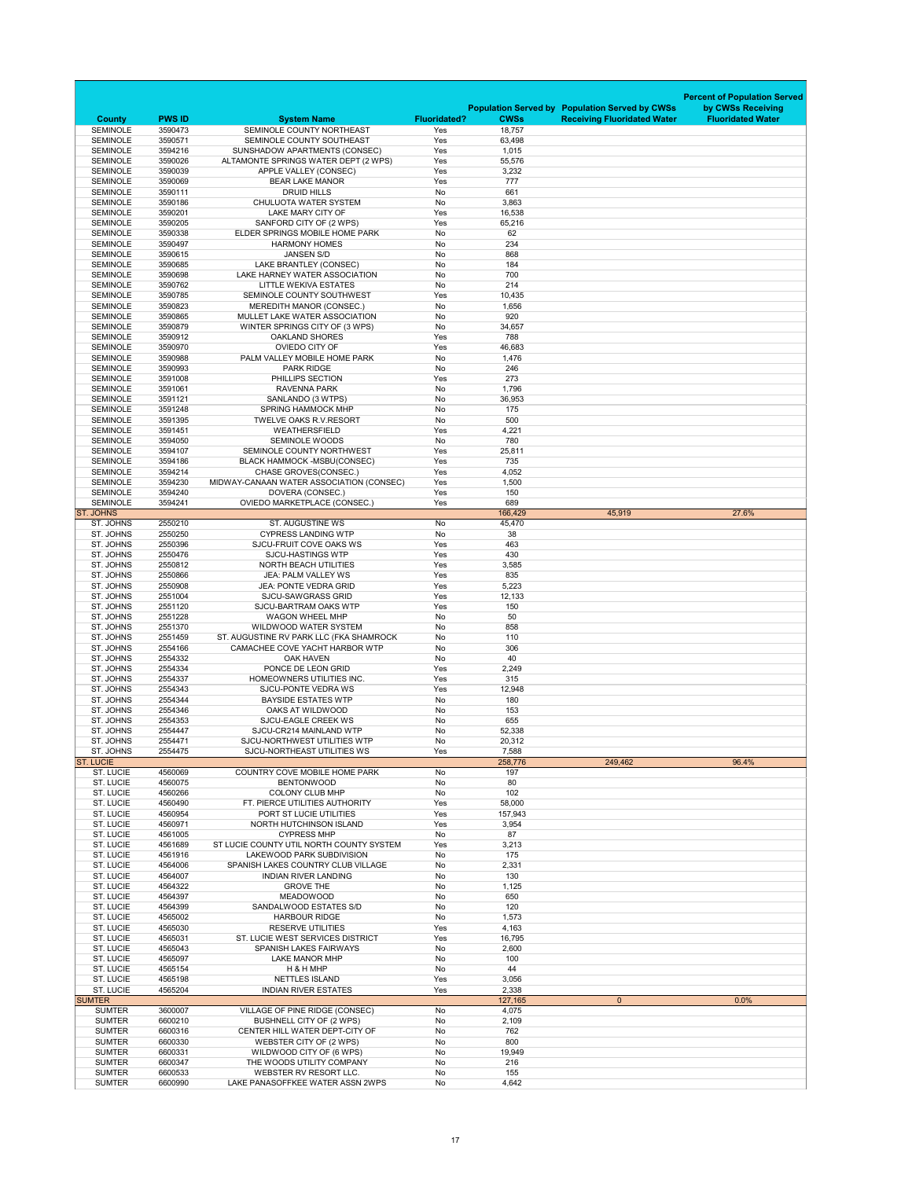|                                                 |                          |                                                                                         |                            |                       |                                                       | <b>Percent of Population Served</b> |
|-------------------------------------------------|--------------------------|-----------------------------------------------------------------------------------------|----------------------------|-----------------------|-------------------------------------------------------|-------------------------------------|
|                                                 |                          |                                                                                         |                            |                       | <b>Population Served by Population Served by CWSs</b> | by CWSs Receiving                   |
| <b>County</b><br><b>SEMINOLE</b>                | <b>PWS ID</b><br>3590473 | <b>System Name</b><br>SEMINOLE COUNTY NORTHEAST                                         | <b>Fluoridated?</b><br>Yes | <b>CWSs</b><br>18,757 | <b>Receiving Fluoridated Water</b>                    | <b>Fluoridated Water</b>            |
| <b>SEMINOLE</b>                                 | 3590571                  | SEMINOLE COUNTY SOUTHEAST                                                               | Yes                        | 63,498                |                                                       |                                     |
| <b>SEMINOLE</b>                                 | 3594216                  | SUNSHADOW APARTMENTS (CONSEC)                                                           | Yes                        | 1,015                 |                                                       |                                     |
| <b>SEMINOLE</b><br><b>SEMINOLE</b>              | 3590026<br>3590039       | ALTAMONTE SPRINGS WATER DEPT (2 WPS)<br>APPLE VALLEY (CONSEC)                           | Yes<br>Yes                 | 55,576<br>3,232       |                                                       |                                     |
| <b>SEMINOLE</b>                                 | 3590069                  | <b>BEAR LAKE MANOR</b>                                                                  | Yes                        | 777                   |                                                       |                                     |
| <b>SEMINOLE</b>                                 | 3590111                  | <b>DRUID HILLS</b>                                                                      | No                         | 661                   |                                                       |                                     |
| <b>SEMINOLE</b><br><b>SEMINOLE</b>              | 3590186<br>3590201       | <b>CHULUOTA WATER SYSTEM</b><br>LAKE MARY CITY OF                                       | No<br>Yes                  | 3,863<br>16,538       |                                                       |                                     |
| <b>SEMINOLE</b>                                 | 3590205                  | SANFORD CITY OF (2 WPS)                                                                 | Yes                        | 65,216                |                                                       |                                     |
| <b>SEMINOLE</b>                                 | 3590338                  | ELDER SPRINGS MOBILE HOME PARK                                                          | No                         | 62                    |                                                       |                                     |
| <b>SEMINOLE</b><br><b>SEMINOLE</b>              | 3590497<br>3590615       | <b>HARMONY HOMES</b><br><b>JANSEN S/D</b>                                               | No<br>No                   | 234<br>868            |                                                       |                                     |
| <b>SEMINOLE</b>                                 | 3590685                  | LAKE BRANTLEY (CONSEC)                                                                  | No                         | 184                   |                                                       |                                     |
| <b>SEMINOLE</b>                                 | 3590698                  | LAKE HARNEY WATER ASSOCIATION                                                           | <b>No</b>                  | 700                   |                                                       |                                     |
| <b>SEMINOLE</b><br><b>SEMINOLE</b>              | 3590762<br>3590785       | <b>LITTLE WEKIVA ESTATES</b><br>SEMINOLE COUNTY SOUTHWEST                               | No<br>Yes                  | 214<br>10,435         |                                                       |                                     |
| <b>SEMINOLE</b>                                 | 3590823                  | <b>MEREDITH MANOR (CONSEC.)</b>                                                         | No                         | 1,656                 |                                                       |                                     |
| <b>SEMINOLE</b>                                 | 3590865                  | MULLET LAKE WATER ASSOCIATION                                                           | No                         | 920                   |                                                       |                                     |
| <b>SEMINOLE</b><br><b>SEMINOLE</b>              | 3590879<br>3590912       | WINTER SPRINGS CITY OF (3 WPS)<br><b>OAKLAND SHORES</b>                                 | No<br>Yes                  | 34,657<br>788         |                                                       |                                     |
| <b>SEMINOLE</b>                                 | 3590970                  | OVIEDO CITY OF                                                                          | Yes                        | 46,683                |                                                       |                                     |
| <b>SEMINOLE</b>                                 | 3590988                  | PALM VALLEY MOBILE HOME PARK                                                            | No                         | 1,476                 |                                                       |                                     |
| <b>SEMINOLE</b><br><b>SEMINOLE</b>              | 3590993<br>3591008       | <b>PARK RIDGE</b><br>PHILLIPS SECTION                                                   | No<br>Yes                  | 246<br>273            |                                                       |                                     |
| <b>SEMINOLE</b>                                 | 3591061                  | <b>RAVENNA PARK</b>                                                                     | No                         | 1,796                 |                                                       |                                     |
| <b>SEMINOLE</b>                                 | 3591121                  | SANLANDO (3 WTPS)                                                                       | No                         | 36,953                |                                                       |                                     |
| <b>SEMINOLE</b><br><b>SEMINOLE</b>              | 3591248<br>3591395       | <b>SPRING HAMMOCK MHP</b><br><b>TWELVE OAKS R.V.RESORT</b>                              | No<br><b>No</b>            | 175<br>500            |                                                       |                                     |
| <b>SEMINOLE</b>                                 | 3591451                  | <b>WEATHERSFIELD</b>                                                                    | Yes                        | 4,221                 |                                                       |                                     |
| <b>SEMINOLE</b>                                 | 3594050                  | <b>SEMINOLE WOODS</b>                                                                   | No                         | 780                   |                                                       |                                     |
| <b>SEMINOLE</b><br><b>SEMINOLE</b>              | 3594107<br>3594186       | SEMINOLE COUNTY NORTHWEST<br><b>BLACK HAMMOCK -MSBU(CONSEC)</b>                         | Yes<br>Yes                 | 25,811<br>735         |                                                       |                                     |
| <b>SEMINOLE</b>                                 | 3594214                  | <b>CHASE GROVES(CONSEC.)</b>                                                            | Yes                        | 4,052                 |                                                       |                                     |
| <b>SEMINOLE</b>                                 | 3594230                  | MIDWAY-CANAAN WATER ASSOCIATION (CONSEC)                                                | Yes                        | 1,500                 |                                                       |                                     |
| <b>SEMINOLE</b><br><b>SEMINOLE</b>              | 3594240<br>3594241       | DOVERA (CONSEC.)<br><b>OVIEDO MARKETPLACE (CONSEC.)</b>                                 | Yes<br>Yes                 | 150<br>689            |                                                       |                                     |
| <b>ST. JOHNS</b>                                |                          |                                                                                         |                            | 166,429               | 45,919                                                | 27.6%                               |
| ST. JOHNS                                       | 2550210                  | <b>ST. AUGUSTINE WS</b>                                                                 | No                         | 45,470                |                                                       |                                     |
| ST. JOHNS<br>ST. JOHNS                          | 2550250<br>2550396       | <b>CYPRESS LANDING WTP</b><br>SJCU-FRUIT COVE OAKS WS                                   | No<br>Yes                  | 38<br>463             |                                                       |                                     |
| ST. JOHNS                                       | 2550476                  | <b>SJCU-HASTINGS WTP</b>                                                                | Yes                        | 430                   |                                                       |                                     |
| ST. JOHNS                                       | 2550812                  | <b>NORTH BEACH UTILITIES</b>                                                            | Yes                        | 3,585                 |                                                       |                                     |
| ST. JOHNS<br>ST. JOHNS                          | 2550866<br>2550908       | <b>JEA: PALM VALLEY WS</b><br><b>JEA: PONTE VEDRA GRID</b>                              | Yes<br>Yes                 | 835<br>5,223          |                                                       |                                     |
| ST. JOHNS                                       | 2551004                  | <b>SJCU-SAWGRASS GRID</b>                                                               | Yes                        | 12,133                |                                                       |                                     |
| ST. JOHNS                                       | 2551120<br>2551228       | <b>SJCU-BARTRAM OAKS WTP</b>                                                            | Yes<br>No                  | 150<br>50             |                                                       |                                     |
| ST. JOHNS                                       |                          | <b>WAGON WHEEL MHP</b>                                                                  |                            |                       |                                                       |                                     |
|                                                 |                          | <b>WILDWOOD WATER SYSTEM</b>                                                            |                            |                       |                                                       |                                     |
| ST. JOHNS<br>ST. JOHNS                          | 2551370<br>2551459       | ST. AUGUSTINE RV PARK LLC (FKA SHAMROCK                                                 | No<br>No                   | 858<br>110            |                                                       |                                     |
| ST. JOHNS                                       | 2554166                  | CAMACHEE COVE YACHT HARBOR WTP                                                          | No                         | 306                   |                                                       |                                     |
| ST. JOHNS<br>ST. JOHNS                          | 2554332<br>2554334       | <b>OAK HAVEN</b><br>PONCE DE LEON GRID                                                  | No<br>Yes                  | 40<br>2,249           |                                                       |                                     |
| ST. JOHNS                                       | 2554337                  | HOMEOWNERS UTILITIES INC.                                                               | Yes                        | 315                   |                                                       |                                     |
| ST. JOHNS                                       | 2554343                  | <b>SJCU-PONTE VEDRA WS</b>                                                              | Yes                        | 12,948                |                                                       |                                     |
| ST. JOHNS<br>ST. JOHNS                          | 2554344<br>2554346       | <b>BAYSIDE ESTATES WTP</b><br>OAKS AT WILDWOOD                                          | No<br>No                   | 180<br>153            |                                                       |                                     |
| ST. JOHNS                                       | 2554353                  | <b>SJCU-EAGLE CREEK WS</b>                                                              | No                         | 655                   |                                                       |                                     |
| ST. JOHNS                                       | 2554447                  | SJCU-CR214 MAINLAND WTP                                                                 | No                         | 52,338                |                                                       |                                     |
| ST. JOHNS<br>ST. JOHNS                          | 2554471<br>2554475       | SJCU-NORTHWEST UTILITIES WTP<br>SJCU-NORTHEAST UTILITIES WS                             | No<br>Yes                  | 20,312<br>7,588       |                                                       |                                     |
| <b>ST. LUCIE</b>                                |                          |                                                                                         |                            | 258,776               | 249,462                                               | 96.4%                               |
| <b>ST. LUCIE</b>                                | 4560069                  | <b>COUNTRY COVE MOBILE HOME PARK</b>                                                    | No                         | 197                   |                                                       |                                     |
| <b>ST. LUCIE</b><br><b>ST. LUCIE</b>            | 4560075<br>4560266       | <b>BENTONWOOD</b><br><b>COLONY CLUB MHP</b>                                             | No<br>No                   | 80<br>102             |                                                       |                                     |
| <b>ST. LUCIE</b>                                | 4560490                  | FT. PIERCE UTILITIES AUTHORITY                                                          | Yes                        | 58,000                |                                                       |                                     |
| <b>ST. LUCIE</b><br><b>ST. LUCIE</b>            | 4560954<br>4560971       | PORT ST LUCIE UTILITIES<br>NORTH HUTCHINSON ISLAND                                      | Yes<br>Yes                 | 157,943<br>3,954      |                                                       |                                     |
| <b>ST. LUCIE</b>                                | 4561005                  | <b>CYPRESS MHP</b>                                                                      | No                         | 87                    |                                                       |                                     |
| <b>ST. LUCIE</b>                                | 4561689                  | ST LUCIE COUNTY UTIL NORTH COUNTY SYSTEM                                                | Yes                        | 3,213                 |                                                       |                                     |
| <b>ST. LUCIE</b><br><b>ST. LUCIE</b>            | 4561916<br>4564006       | LAKEWOOD PARK SUBDIVISION<br>SPANISH LAKES COUNTRY CLUB VILLAGE                         | No<br>No                   | 175<br>2,331          |                                                       |                                     |
| <b>ST. LUCIE</b>                                | 4564007                  | <b>INDIAN RIVER LANDING</b>                                                             | No                         | 130                   |                                                       |                                     |
| <b>ST. LUCIE</b>                                | 4564322                  | <b>GROVE THE</b>                                                                        | No                         | 1,125                 |                                                       |                                     |
| <b>ST. LUCIE</b><br><b>ST. LUCIE</b>            | 4564397<br>4564399       | <b>MEADOWOOD</b><br>SANDALWOOD ESTATES S/D                                              | No<br>No                   | 650<br>120            |                                                       |                                     |
| <b>ST. LUCIE</b>                                | 4565002                  | <b>HARBOUR RIDGE</b>                                                                    | No                         | 1,573                 |                                                       |                                     |
| <b>ST. LUCIE</b>                                | 4565030                  | <b>RESERVE UTILITIES</b>                                                                | Yes                        | 4,163                 |                                                       |                                     |
| <b>ST. LUCIE</b><br><b>ST. LUCIE</b>            | 4565031<br>4565043       | ST. LUCIE WEST SERVICES DISTRICT<br><b>SPANISH LAKES FAIRWAYS</b>                       | Yes<br>No                  | 16,795<br>2,600       |                                                       |                                     |
| <b>ST. LUCIE</b>                                | 4565097                  | <b>LAKE MANOR MHP</b>                                                                   | No                         | 100                   |                                                       |                                     |
| <b>ST. LUCIE</b>                                | 4565154                  | H & H MHP                                                                               | No                         | 44                    |                                                       |                                     |
| <b>ST. LUCIE</b><br><b>ST. LUCIE</b>            | 4565198<br>4565204       | <b>NETTLES ISLAND</b><br><b>INDIAN RIVER ESTATES</b>                                    | Yes<br>Yes                 | 3,056<br>2,338        |                                                       |                                     |
| <b>SUMTER</b>                                   |                          |                                                                                         |                            | 127,165               | $\overline{0}$                                        | 0.0%                                |
| <b>SUMTER</b>                                   | 3600007                  | VILLAGE OF PINE RIDGE (CONSEC)                                                          | No                         | 4,075                 |                                                       |                                     |
| <b>SUMTER</b><br><b>SUMTER</b>                  | 6600210<br>6600316       | <b>BUSHNELL CITY OF (2 WPS)</b><br>CENTER HILL WATER DEPT-CITY OF                       | No<br>No                   | 2,109<br>762          |                                                       |                                     |
| <b>SUMTER</b>                                   | 6600330                  | WEBSTER CITY OF (2 WPS)                                                                 | No                         | 800                   |                                                       |                                     |
| <b>SUMTER</b>                                   | 6600331                  | WILDWOOD CITY OF (6 WPS)                                                                | No                         | 19,949                |                                                       |                                     |
| <b>SUMTER</b><br><b>SUMTER</b><br><b>SUMTER</b> | 6600347<br>6600533       | THE WOODS UTILITY COMPANY<br>WEBSTER RV RESORT LLC.<br>LAKE PANASOFFKEE WATER ASSN 2WPS | No<br>No<br>No             | 216<br>155<br>4,642   |                                                       |                                     |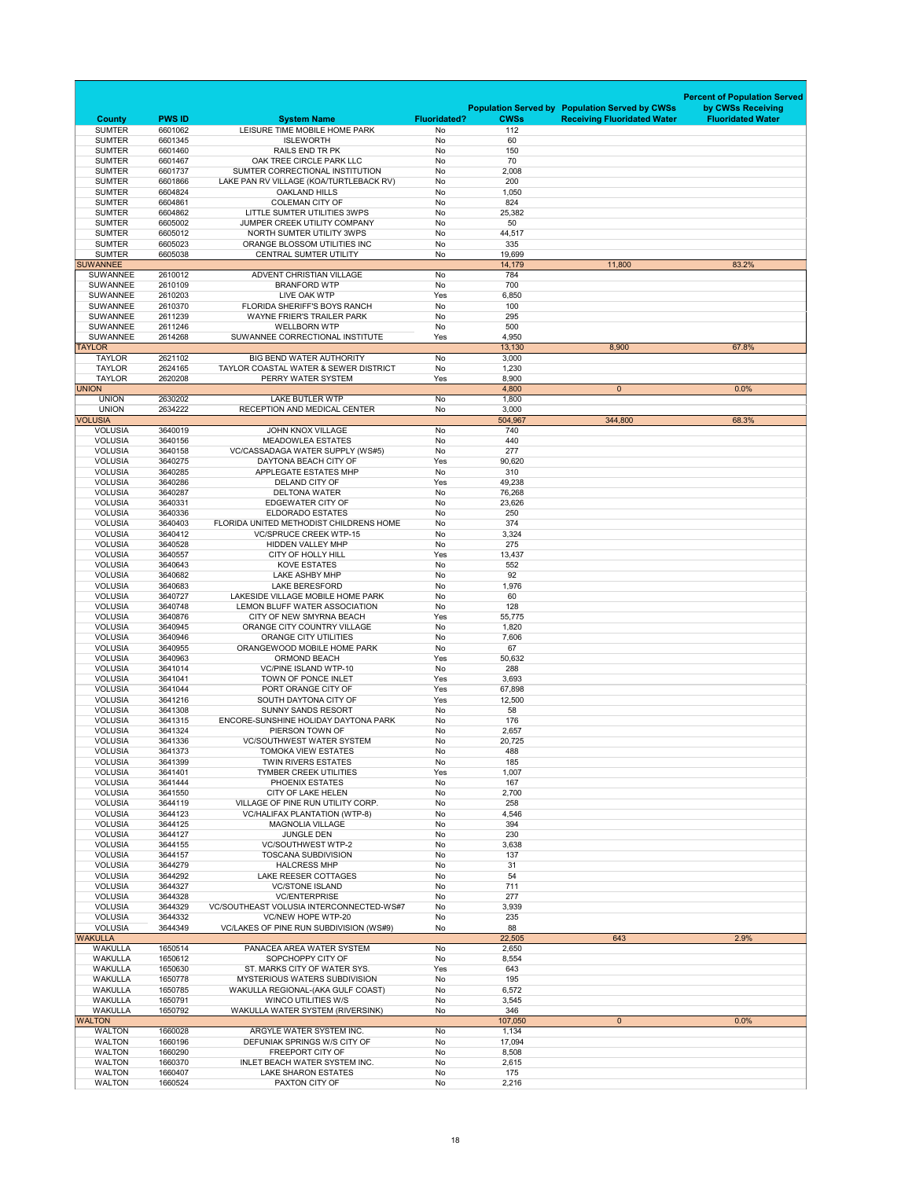|                                    |                    |                                                                                     |                     |                  |                                                       | <b>Percent of Population Served</b> |
|------------------------------------|--------------------|-------------------------------------------------------------------------------------|---------------------|------------------|-------------------------------------------------------|-------------------------------------|
|                                    |                    |                                                                                     |                     |                  | <b>Population Served by Population Served by CWSs</b> | by CWSs Receiving                   |
| <b>County</b>                      | <b>PWS ID</b>      | <b>System Name</b>                                                                  | <b>Fluoridated?</b> | <b>CWSs</b>      | <b>Receiving Fluoridated Water</b>                    | <b>Fluoridated Water</b>            |
| <b>SUMTER</b><br><b>SUMTER</b>     | 6601062<br>6601345 | LEISURE TIME MOBILE HOME PARK<br><b>ISLEWORTH</b>                                   | No<br><b>No</b>     | 112<br>60        |                                                       |                                     |
| <b>SUMTER</b>                      | 6601460            | <b>RAILS END TR PK</b>                                                              | No                  | 150              |                                                       |                                     |
| <b>SUMTER</b>                      | 6601467            | OAK TREE CIRCLE PARK LLC                                                            | No                  | 70               |                                                       |                                     |
| <b>SUMTER</b>                      | 6601737            | SUMTER CORRECTIONAL INSTITUTION                                                     | No                  | 2,008            |                                                       |                                     |
| <b>SUMTER</b><br><b>SUMTER</b>     | 6601866<br>6604824 | LAKE PAN RV VILLAGE (KOA/TURTLEBACK RV)<br><b>OAKLAND HILLS</b>                     | No<br>No            | 200<br>1,050     |                                                       |                                     |
| <b>SUMTER</b>                      | 6604861            | <b>COLEMAN CITY OF</b>                                                              | No                  | 824              |                                                       |                                     |
| <b>SUMTER</b>                      | 6604862            | LITTLE SUMTER UTILITIES 3WPS                                                        | No                  | 25,382           |                                                       |                                     |
| <b>SUMTER</b>                      | 6605002            | JUMPER CREEK UTILITY COMPANY                                                        | No                  | 50               |                                                       |                                     |
| <b>SUMTER</b>                      | 6605012            | NORTH SUMTER UTILITY 3WPS                                                           | No                  | 44,517           |                                                       |                                     |
| <b>SUMTER</b><br><b>SUMTER</b>     | 6605023<br>6605038 | ORANGE BLOSSOM UTILITIES INC<br><b>CENTRAL SUMTER UTILITY</b>                       | No<br>No            | 335<br>19,699    |                                                       |                                     |
| <b>SUWANNEE</b>                    |                    |                                                                                     |                     | 14,179           | 11,800                                                | 83.2%                               |
| <b>SUWANNEE</b>                    | 2610012            | ADVENT CHRISTIAN VILLAGE                                                            | No                  | 784              |                                                       |                                     |
| <b>SUWANNEE</b>                    | 2610109            | <b>BRANFORD WTP</b>                                                                 | No                  | 700              |                                                       |                                     |
| <b>SUWANNEE</b><br><b>SUWANNEE</b> | 2610203<br>2610370 | <b>LIVE OAK WTP</b><br>FLORIDA SHERIFF'S BOYS RANCH                                 | Yes<br>No           | 6,850<br>100     |                                                       |                                     |
| <b>SUWANNEE</b>                    | 2611239            | <b>WAYNE FRIER'S TRAILER PARK</b>                                                   | No                  | 295              |                                                       |                                     |
| <b>SUWANNEE</b>                    | 2611246            | <b>WELLBORN WTP</b>                                                                 | No                  | 500              |                                                       |                                     |
| <b>SUWANNEE</b>                    | 2614268            | SUWANNEE CORRECTIONAL INSTITUTE                                                     | Yes                 | 4,950            |                                                       |                                     |
| <b>TAYLOR</b>                      |                    |                                                                                     |                     | 13,130           | 8,900                                                 | 67.8%                               |
| <b>TAYLOR</b><br><b>TAYLOR</b>     | 2621102<br>2624165 | <b>BIG BEND WATER AUTHORITY</b><br><b>TAYLOR COASTAL WATER &amp; SEWER DISTRICT</b> | No<br>No            | 3,000<br>1,230   |                                                       |                                     |
| <b>TAYLOR</b>                      | 2620208            | PERRY WATER SYSTEM                                                                  | Yes                 | 8,900            |                                                       |                                     |
| <b>UNION</b>                       |                    |                                                                                     |                     | 4,800            | $\overline{0}$                                        | 0.0%                                |
| <b>UNION</b>                       | 2630202            | <b>LAKE BUTLER WTP</b>                                                              | No                  | 1,800            |                                                       |                                     |
| <b>UNION</b>                       | 2634222            | RECEPTION AND MEDICAL CENTER                                                        | No                  | 3,000            |                                                       |                                     |
| <b>VOLUSIA</b><br><b>VOLUSIA</b>   | 3640019            | <b>JOHN KNOX VILLAGE</b>                                                            | No                  | 504,967<br>740   | 344,800                                               | 68.3%                               |
| <b>VOLUSIA</b>                     | 3640156            | <b>MEADOWLEA ESTATES</b>                                                            | No                  | 440              |                                                       |                                     |
| <b>VOLUSIA</b>                     | 3640158            | <b>VC/CASSADAGA WATER SUPPLY (WS#5)</b>                                             | No                  | 277              |                                                       |                                     |
| <b>VOLUSIA</b>                     | 3640275            | DAYTONA BEACH CITY OF                                                               | Yes                 | 90,620           |                                                       |                                     |
| <b>VOLUSIA</b>                     | 3640285            | <b>APPLEGATE ESTATES MHP</b>                                                        | No                  | 310              |                                                       |                                     |
| <b>VOLUSIA</b><br><b>VOLUSIA</b>   | 3640286<br>3640287 | DELAND CITY OF<br><b>DELTONA WATER</b>                                              | Yes<br>No           | 49,238<br>76,268 |                                                       |                                     |
| <b>VOLUSIA</b>                     | 3640331            | EDGEWATER CITY OF                                                                   | No                  | 23,626           |                                                       |                                     |
| <b>VOLUSIA</b>                     | 3640336            | <b>ELDORADO ESTATES</b>                                                             | No                  | 250              |                                                       |                                     |
| <b>VOLUSIA</b>                     | 3640403            | FLORIDA UNITED METHODIST CHILDRENS HOME                                             | No                  | 374              |                                                       |                                     |
| <b>VOLUSIA</b>                     | 3640412            | <b>VC/SPRUCE CREEK WTP-15</b>                                                       | No                  | 3,324            |                                                       |                                     |
| <b>VOLUSIA</b><br><b>VOLUSIA</b>   | 3640528<br>3640557 | <b>HIDDEN VALLEY MHP</b><br><b>CITY OF HOLLY HILL</b>                               | No<br>Yes           | 275<br>13,437    |                                                       |                                     |
| <b>VOLUSIA</b>                     | 3640643            | <b>KOVE ESTATES</b>                                                                 | No                  | 552              |                                                       |                                     |
| <b>VOLUSIA</b>                     | 3640682            | <b>LAKE ASHBY MHP</b>                                                               | No                  | 92               |                                                       |                                     |
| <b>VOLUSIA</b>                     | 3640683            | <b>LAKE BERESFORD</b>                                                               | No                  | 1,976            |                                                       |                                     |
| <b>VOLUSIA</b>                     | 3640727            | LAKESIDE VILLAGE MOBILE HOME PARK                                                   | No                  | 60               |                                                       |                                     |
| <b>VOLUSIA</b><br><b>VOLUSIA</b>   | 3640748<br>3640876 | LEMON BLUFF WATER ASSOCIATION<br>CITY OF NEW SMYRNA BEACH                           | No<br>Yes           | 128<br>55,775    |                                                       |                                     |
| <b>VOLUSIA</b>                     | 3640945            | ORANGE CITY COUNTRY VILLAGE                                                         | No                  | 1,820            |                                                       |                                     |
| <b>VOLUSIA</b>                     | 3640946            | <b>ORANGE CITY UTILITIES</b>                                                        | No                  | 7,606            |                                                       |                                     |
| <b>VOLUSIA</b>                     | 3640955            | ORANGEWOOD MOBILE HOME PARK                                                         | No                  | 67               |                                                       |                                     |
| <b>VOLUSIA</b>                     | 3640963            | <b>ORMOND BEACH</b>                                                                 | Yes                 | 50,632           |                                                       |                                     |
| <b>VOLUSIA</b><br><b>VOLUSIA</b>   | 3641014<br>3641041 | <b>VC/PINE ISLAND WTP-10</b><br>TOWN OF PONCE INLET                                 | No<br>Yes           | 288<br>3,693     |                                                       |                                     |
| <b>VOLUSIA</b>                     | 3641044            | PORT ORANGE CITY OF                                                                 | Yes                 | 67,898           |                                                       |                                     |
| <b>VOLUSIA</b>                     | 3641216            | SOUTH DAYTONA CITY OF                                                               | Yes                 | 12,500           |                                                       |                                     |
| <b>VOLUSIA</b>                     | 3641308            | <b>SUNNY SANDS RESORT</b>                                                           | No                  | 58               |                                                       |                                     |
| <b>VOLUSIA</b>                     | 3641315            | ENCORE-SUNSHINE HOLIDAY DAYTONA PARK                                                | No                  | 176              |                                                       |                                     |
| <b>VOLUSIA</b><br><b>VOLUSIA</b>   | 3641324<br>3641336 | PIERSON TOWN OF<br><b>VC/SOUTHWEST WATER SYSTEM</b>                                 | No<br>No            | 2,657<br>20,725  |                                                       |                                     |
| <b>VOLUSIA</b>                     | 3641373            | <b>TOMOKA VIEW ESTATES</b>                                                          | No                  | 488              |                                                       |                                     |
| <b>VOLUSIA</b>                     | 3641399            | <b>TWIN RIVERS ESTATES</b>                                                          | No                  | 185              |                                                       |                                     |
| <b>VOLUSIA</b>                     | 3641401            | <b>TYMBER CREEK UTILITIES</b>                                                       | Yes                 | 1,007            |                                                       |                                     |
| <b>VOLUSIA</b>                     | 3641444            | PHOENIX ESTATES                                                                     | No                  | 167              |                                                       |                                     |
| <b>VOLUSIA</b><br><b>VOLUSIA</b>   | 3641550<br>3644119 | <b>CITY OF LAKE HELEN</b><br>VILLAGE OF PINE RUN UTILITY CORP.                      | No<br>No            | 2,700<br>258     |                                                       |                                     |
| <b>VOLUSIA</b>                     | 3644123            | <b>VC/HALIFAX PLANTATION (WTP-8)</b>                                                | No                  | 4,546            |                                                       |                                     |
| <b>VOLUSIA</b>                     | 3644125            | <b>MAGNOLIA VILLAGE</b>                                                             | No                  | 394              |                                                       |                                     |
| <b>VOLUSIA</b>                     | 3644127            | <b>JUNGLE DEN</b>                                                                   | No                  | 230              |                                                       |                                     |
| <b>VOLUSIA</b>                     | 3644155            | <b>VC/SOUTHWEST WTP-2</b>                                                           | No                  | 3,638            |                                                       |                                     |
| <b>VOLUSIA</b><br><b>VOLUSIA</b>   | 3644157<br>3644279 | <b>TOSCANA SUBDIVISION</b><br><b>HALCRESS MHP</b>                                   | No<br>No            | 137<br>31        |                                                       |                                     |
| <b>VOLUSIA</b>                     | 3644292            | <b>LAKE REESER COTTAGES</b>                                                         | No                  | 54               |                                                       |                                     |
| <b>VOLUSIA</b>                     | 3644327            | <b>VC/STONE ISLAND</b>                                                              | No                  | 711              |                                                       |                                     |
| <b>VOLUSIA</b>                     | 3644328            | <b>VC/ENTERPRISE</b>                                                                | No                  | 277              |                                                       |                                     |
| <b>VOLUSIA</b><br><b>VOLUSIA</b>   | 3644329<br>3644332 | VC/SOUTHEAST VOLUSIA INTERCONNECTED-WS#7<br><b>VC/NEW HOPE WTP-20</b>               | No<br>No            | 3,939<br>235     |                                                       |                                     |
| <b>VOLUSIA</b>                     | 3644349            | <b>VC/LAKES OF PINE RUN SUBDIVISION (WS#9)</b>                                      | No                  | 88               |                                                       |                                     |
| <b>WAKULLA</b>                     |                    |                                                                                     |                     | 22,505           | 643                                                   | 2.9%                                |
| <b>WAKULLA</b>                     | 1650514            | PANACEA AREA WATER SYSTEM                                                           | No                  | 2,650            |                                                       |                                     |
| <b>WAKULLA</b>                     | 1650612            | SOPCHOPPY CITY OF                                                                   | No                  | 8,554            |                                                       |                                     |
| <b>WAKULLA</b><br><b>WAKULLA</b>   | 1650630<br>1650778 | ST. MARKS CITY OF WATER SYS.<br><b>MYSTERIOUS WATERS SUBDIVISION</b>                | Yes<br>No           | 643<br>195       |                                                       |                                     |
| <b>WAKULLA</b>                     | 1650785            | WAKULLA REGIONAL-(AKA GULF COAST)                                                   | No                  | 6,572            |                                                       |                                     |
| <b>WAKULLA</b>                     | 1650791            | <b>WINCO UTILITIES W/S</b>                                                          | No                  | 3,545            |                                                       |                                     |
| <b>WAKULLA</b>                     | 1650792            | <b>WAKULLA WATER SYSTEM (RIVERSINK)</b>                                             | No                  | 346              |                                                       |                                     |
| <b>WALTON</b><br><b>WALTON</b>     | 1660028            | ARGYLE WATER SYSTEM INC.                                                            | No                  | 107,050<br>1,134 | $\overline{0}$                                        | 0.0%                                |
| <b>WALTON</b>                      | 1660196            | DEFUNIAK SPRINGS W/S CITY OF                                                        | No                  | 17,094           |                                                       |                                     |
| <b>WALTON</b>                      | 1660290            | <b>FREEPORT CITY OF</b>                                                             | No                  | 8,508            |                                                       |                                     |
| <b>WALTON</b>                      | 1660370            | <b>INLET BEACH WATER SYSTEM INC.</b>                                                | No                  | 2,615            |                                                       |                                     |
| <b>WALTON</b>                      | 1660407            | <b>LAKE SHARON ESTATES</b>                                                          | No                  | 175              |                                                       |                                     |
| <b>WALTON</b>                      | 1660524            | PAXTON CITY OF                                                                      | No                  | 2,216            |                                                       |                                     |